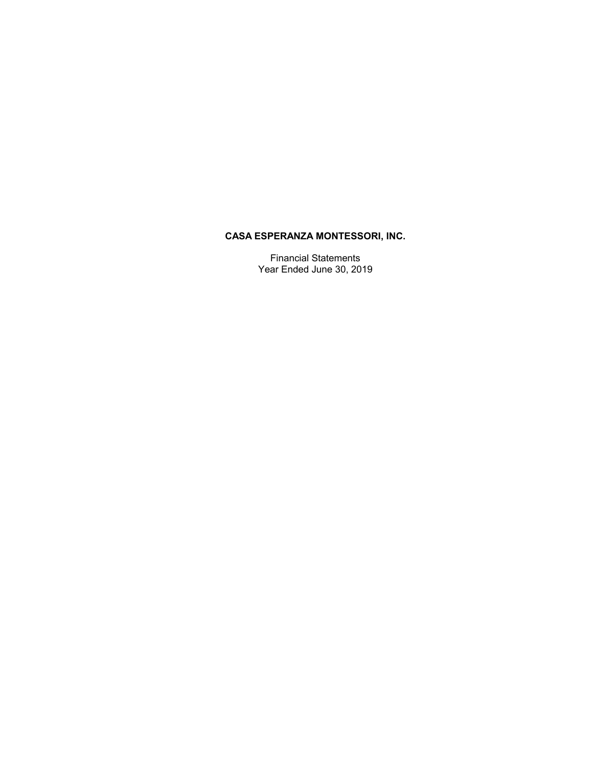# **CASA ESPERANZA MONTESSORI, INC.**

Financial Statements Year Ended June 30, 2019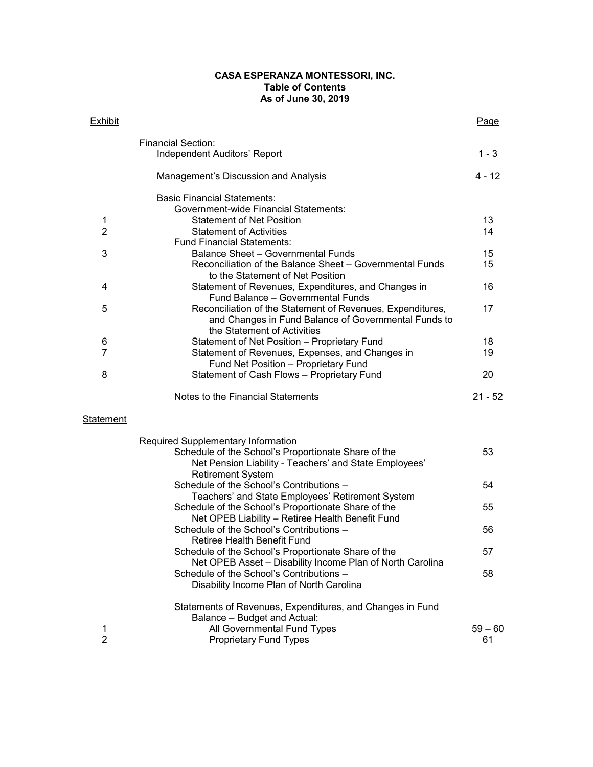#### **CASA ESPERANZA MONTESSORI, INC. Table of Contents As of June 30, 2019**

| <b>Exhibit</b> |                                                                                                                    | Page      |
|----------------|--------------------------------------------------------------------------------------------------------------------|-----------|
|                | <b>Financial Section:</b>                                                                                          |           |
|                | Independent Auditors' Report                                                                                       | $1 - 3$   |
|                | Management's Discussion and Analysis                                                                               | 4 - 12    |
|                | <b>Basic Financial Statements:</b>                                                                                 |           |
|                | <b>Government-wide Financial Statements:</b>                                                                       |           |
| 1              | <b>Statement of Net Position</b>                                                                                   | 13        |
| $\overline{2}$ | <b>Statement of Activities</b>                                                                                     | 14        |
|                | <b>Fund Financial Statements:</b>                                                                                  |           |
| 3              | <b>Balance Sheet - Governmental Funds</b>                                                                          | 15        |
|                | Reconciliation of the Balance Sheet - Governmental Funds<br>to the Statement of Net Position                       | 15        |
| 4              | Statement of Revenues, Expenditures, and Changes in<br>Fund Balance - Governmental Funds                           | 16        |
| 5              | Reconciliation of the Statement of Revenues, Expenditures,<br>and Changes in Fund Balance of Governmental Funds to | 17        |
|                | the Statement of Activities                                                                                        |           |
| 6<br>7         | Statement of Net Position - Proprietary Fund                                                                       | 18        |
|                | Statement of Revenues, Expenses, and Changes in                                                                    | 19        |
|                | Fund Net Position - Proprietary Fund                                                                               |           |
| 8              | Statement of Cash Flows - Proprietary Fund                                                                         | 20        |
|                | Notes to the Financial Statements                                                                                  | $21 - 52$ |
| Statement      |                                                                                                                    |           |
|                | Required Supplementary Information                                                                                 |           |
|                | Schedule of the School's Proportionate Share of the<br>Net Pension Liability - Teachers' and State Employees'      | 53        |
|                | <b>Retirement System</b><br>Schedule of the School's Contributions -                                               | 54        |
|                | Teachers' and State Employees' Retirement System                                                                   |           |
|                | Schedule of the School's Proportionate Share of the                                                                | 55        |
|                | Net OPEB Liability - Retiree Health Benefit Fund                                                                   |           |
|                | Schedule of the School's Contributions -                                                                           | 56        |

Retiree Health Benefit Fund

Balance – Budget and Actual:

Disability Income Plan of North Carolina

Statements of Revenues, Expenditures, and Changes in Fund

1 All Governmental Fund Types 60 and 59 – 60 2 **Proprietary Fund Types CONFINGLE 2** 61

Schedule of the School's Proportionate Share of the 57 Net OPEB Asset – Disability Income Plan of North Carolina Schedule of the School's Contributions – 58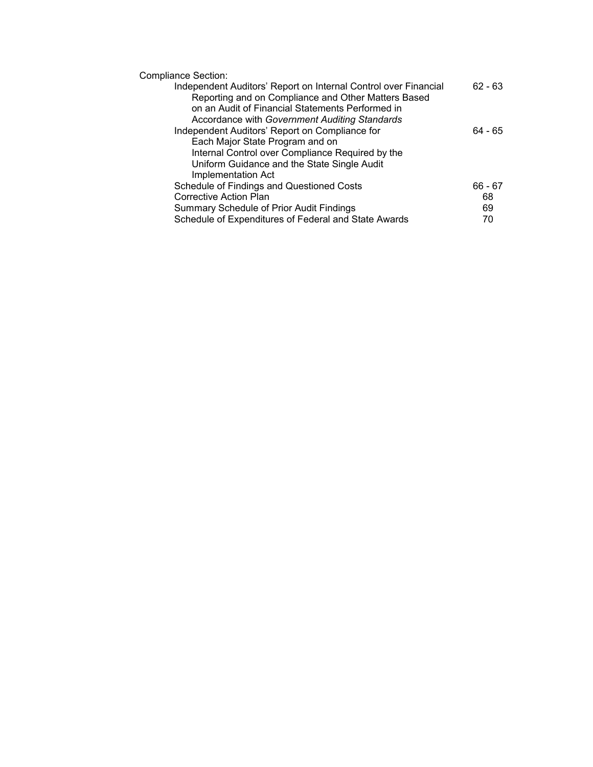Compliance Section:

| Independent Auditors' Report on Internal Control over Financial | $62 - 63$ |
|-----------------------------------------------------------------|-----------|
| Reporting and on Compliance and Other Matters Based             |           |
| on an Audit of Financial Statements Performed in                |           |
| Accordance with Government Auditing Standards                   |           |
| Independent Auditors' Report on Compliance for                  | 64 - 65   |
| Each Major State Program and on                                 |           |
| Internal Control over Compliance Required by the                |           |
| Uniform Guidance and the State Single Audit                     |           |
| Implementation Act                                              |           |
| Schedule of Findings and Questioned Costs                       | 66 - 67   |
| Corrective Action Plan                                          | 68        |
| <b>Summary Schedule of Prior Audit Findings</b>                 | 69        |
| Schedule of Expenditures of Federal and State Awards            | 70        |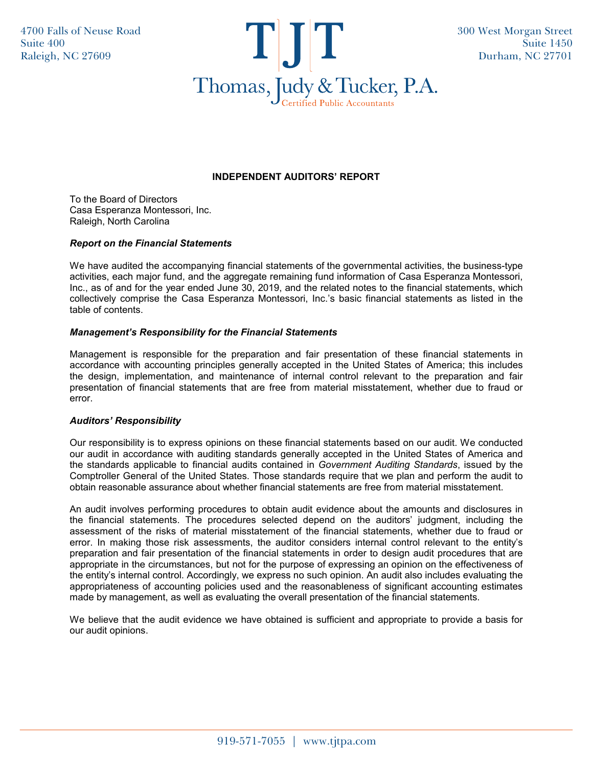

### **INDEPENDENT AUDITORS' REPORT**

To the Board of Directors Casa Esperanza Montessori, Inc. Raleigh, North Carolina

#### *Report on the Financial Statements*

We have audited the accompanying financial statements of the governmental activities, the business-type activities, each major fund, and the aggregate remaining fund information of Casa Esperanza Montessori, Inc., as of and for the year ended June 30, 2019, and the related notes to the financial statements, which collectively comprise the Casa Esperanza Montessori, Inc.'s basic financial statements as listed in the table of contents.

#### *Management's Responsibility for the Financial Statements*

Management is responsible for the preparation and fair presentation of these financial statements in accordance with accounting principles generally accepted in the United States of America; this includes the design, implementation, and maintenance of internal control relevant to the preparation and fair presentation of financial statements that are free from material misstatement, whether due to fraud or error.

#### *Auditors' Responsibility*

Our responsibility is to express opinions on these financial statements based on our audit. We conducted our audit in accordance with auditing standards generally accepted in the United States of America and the standards applicable to financial audits contained in *Government Auditing Standards*, issued by the Comptroller General of the United States. Those standards require that we plan and perform the audit to obtain reasonable assurance about whether financial statements are free from material misstatement.

An audit involves performing procedures to obtain audit evidence about the amounts and disclosures in the financial statements. The procedures selected depend on the auditors' judgment, including the assessment of the risks of material misstatement of the financial statements, whether due to fraud or error. In making those risk assessments, the auditor considers internal control relevant to the entity's preparation and fair presentation of the financial statements in order to design audit procedures that are appropriate in the circumstances, but not for the purpose of expressing an opinion on the effectiveness of the entity's internal control. Accordingly, we express no such opinion. An audit also includes evaluating the appropriateness of accounting policies used and the reasonableness of significant accounting estimates made by management, as well as evaluating the overall presentation of the financial statements.

We believe that the audit evidence we have obtained is sufficient and appropriate to provide a basis for our audit opinions.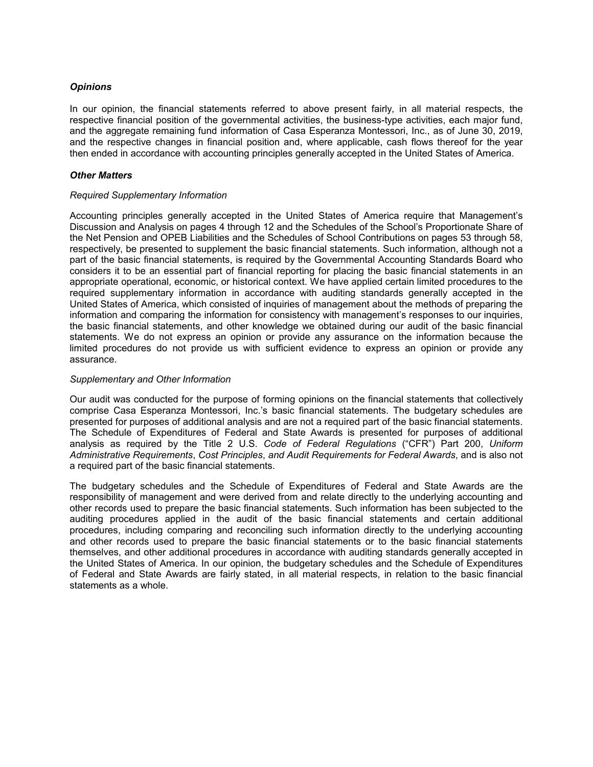#### *Opinions*

In our opinion, the financial statements referred to above present fairly, in all material respects, the respective financial position of the governmental activities, the business-type activities, each major fund, and the aggregate remaining fund information of Casa Esperanza Montessori, Inc., as of June 30, 2019, and the respective changes in financial position and, where applicable, cash flows thereof for the year then ended in accordance with accounting principles generally accepted in the United States of America.

#### *Other Matters*

#### *Required Supplementary Information*

Accounting principles generally accepted in the United States of America require that Management's Discussion and Analysis on pages 4 through 12 and the Schedules of the School's Proportionate Share of the Net Pension and OPEB Liabilities and the Schedules of School Contributions on pages 53 through 58, respectively, be presented to supplement the basic financial statements. Such information, although not a part of the basic financial statements, is required by the Governmental Accounting Standards Board who considers it to be an essential part of financial reporting for placing the basic financial statements in an appropriate operational, economic, or historical context. We have applied certain limited procedures to the required supplementary information in accordance with auditing standards generally accepted in the United States of America, which consisted of inquiries of management about the methods of preparing the information and comparing the information for consistency with management's responses to our inquiries, the basic financial statements, and other knowledge we obtained during our audit of the basic financial statements. We do not express an opinion or provide any assurance on the information because the limited procedures do not provide us with sufficient evidence to express an opinion or provide any assurance.

#### *Supplementary and Other Information*

Our audit was conducted for the purpose of forming opinions on the financial statements that collectively comprise Casa Esperanza Montessori, Inc.'s basic financial statements. The budgetary schedules are presented for purposes of additional analysis and are not a required part of the basic financial statements. The Schedule of Expenditures of Federal and State Awards is presented for purposes of additional analysis as required by the Title 2 U.S. *Code of Federal Regulations* ("CFR") Part 200, *Uniform Administrative Requirements*, *Cost Principles*, *and Audit Requirements for Federal Awards*, and is also not a required part of the basic financial statements.

The budgetary schedules and the Schedule of Expenditures of Federal and State Awards are the responsibility of management and were derived from and relate directly to the underlying accounting and other records used to prepare the basic financial statements. Such information has been subjected to the auditing procedures applied in the audit of the basic financial statements and certain additional procedures, including comparing and reconciling such information directly to the underlying accounting and other records used to prepare the basic financial statements or to the basic financial statements themselves, and other additional procedures in accordance with auditing standards generally accepted in the United States of America. In our opinion, the budgetary schedules and the Schedule of Expenditures of Federal and State Awards are fairly stated, in all material respects, in relation to the basic financial statements as a whole.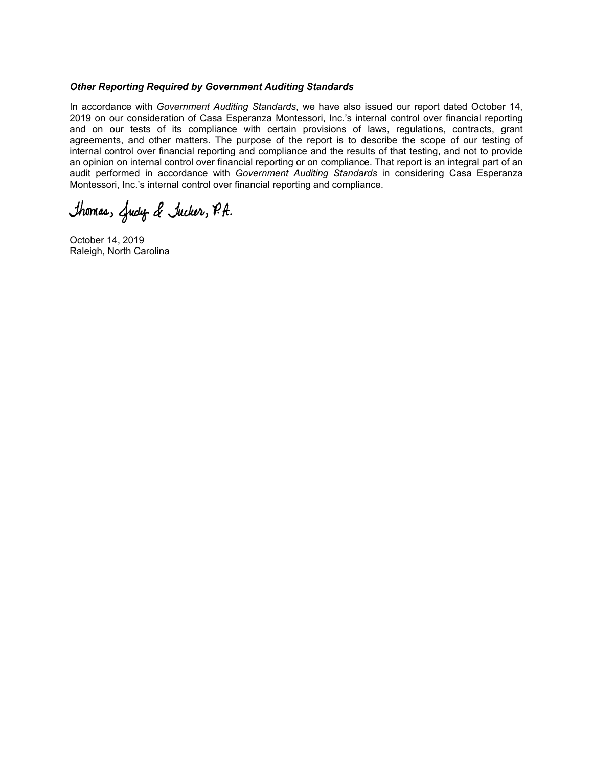#### *Other Reporting Required by Government Auditing Standards*

In accordance with *Government Auditing Standards*, we have also issued our report dated October 14, 2019 on our consideration of Casa Esperanza Montessori, Inc.'s internal control over financial reporting and on our tests of its compliance with certain provisions of laws, regulations, contracts, grant agreements, and other matters. The purpose of the report is to describe the scope of our testing of internal control over financial reporting and compliance and the results of that testing, and not to provide an opinion on internal control over financial reporting or on compliance. That report is an integral part of an audit performed in accordance with *Government Auditing Standards* in considering Casa Esperanza Montessori, Inc.'s internal control over financial reporting and compliance.

Thomas, Judy & Jucker, P.A.

October 14, 2019 Raleigh, North Carolina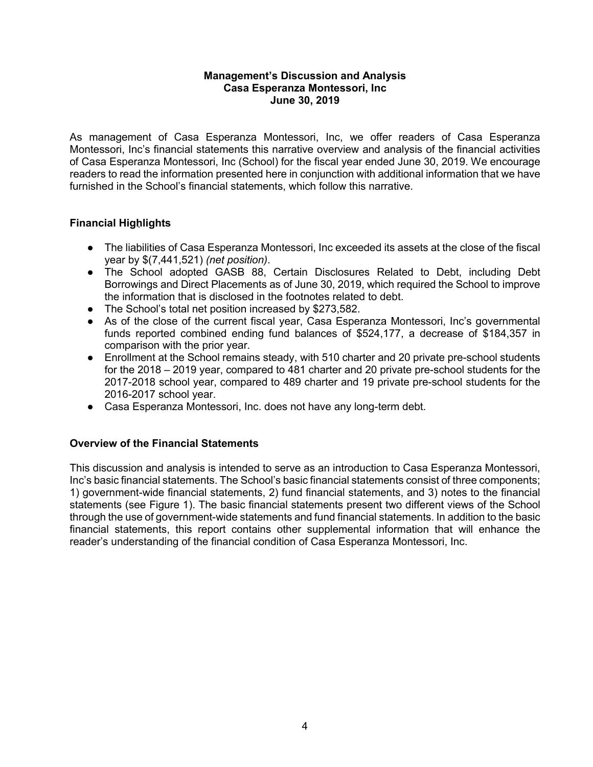As management of Casa Esperanza Montessori, Inc, we offer readers of Casa Esperanza Montessori, Inc's financial statements this narrative overview and analysis of the financial activities of Casa Esperanza Montessori, Inc (School) for the fiscal year ended June 30, 2019. We encourage readers to read the information presented here in conjunction with additional information that we have furnished in the School's financial statements, which follow this narrative.

# **Financial Highlights**

- The liabilities of Casa Esperanza Montessori, Inc exceeded its assets at the close of the fiscal year by \$(7,441,521) *(net position)*.
- The School adopted GASB 88, Certain Disclosures Related to Debt, including Debt Borrowings and Direct Placements as of June 30, 2019, which required the School to improve the information that is disclosed in the footnotes related to debt.
- The School's total net position increased by \$273,582.
- As of the close of the current fiscal year, Casa Esperanza Montessori, Inc's governmental funds reported combined ending fund balances of \$524,177, a decrease of \$184,357 in comparison with the prior year.
- Enrollment at the School remains steady, with 510 charter and 20 private pre-school students for the 2018 – 2019 year, compared to 481 charter and 20 private pre-school students for the 2017-2018 school year, compared to 489 charter and 19 private pre-school students for the 2016-2017 school year.
- Casa Esperanza Montessori, Inc. does not have any long-term debt.

### **Overview of the Financial Statements**

This discussion and analysis is intended to serve as an introduction to Casa Esperanza Montessori, Inc's basic financial statements. The School's basic financial statements consist of three components; 1) government-wide financial statements, 2) fund financial statements, and 3) notes to the financial statements (see Figure 1). The basic financial statements present two different views of the School through the use of government-wide statements and fund financial statements. In addition to the basic financial statements, this report contains other supplemental information that will enhance the reader's understanding of the financial condition of Casa Esperanza Montessori, Inc.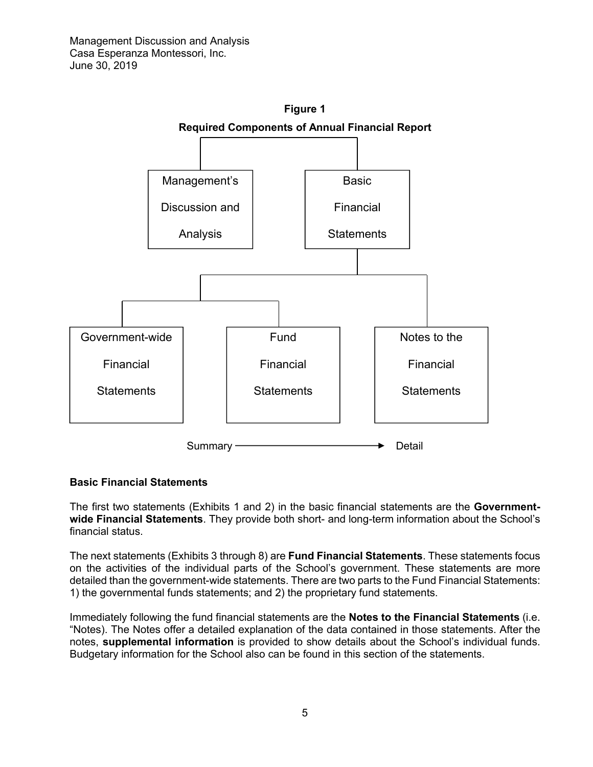

### **Basic Financial Statements**

The first two statements (Exhibits 1 and 2) in the basic financial statements are the **Governmentwide Financial Statements**. They provide both short- and long-term information about the School's financial status.

The next statements (Exhibits 3 through 8) are **Fund Financial Statements**. These statements focus on the activities of the individual parts of the School's government. These statements are more detailed than the government-wide statements. There are two parts to the Fund Financial Statements: 1) the governmental funds statements; and 2) the proprietary fund statements.

Immediately following the fund financial statements are the **Notes to the Financial Statements** (i.e. "Notes). The Notes offer a detailed explanation of the data contained in those statements. After the notes, **supplemental information** is provided to show details about the School's individual funds. Budgetary information for the School also can be found in this section of the statements.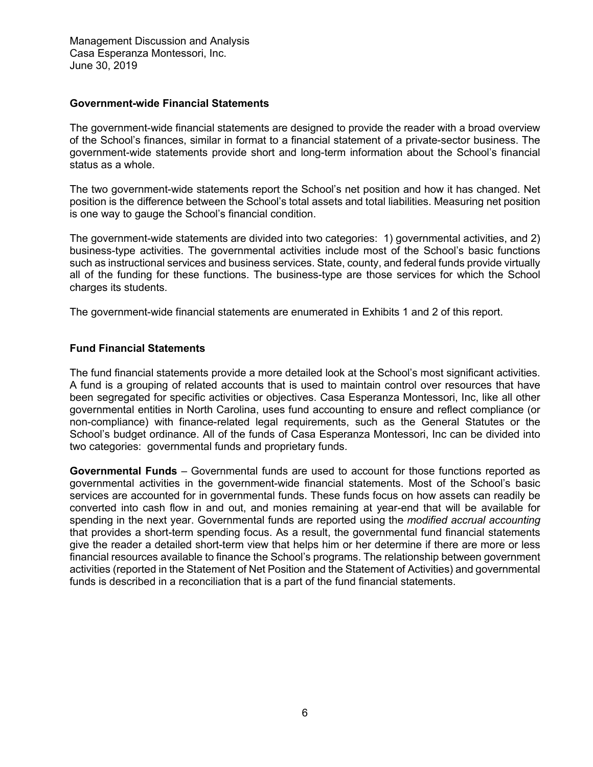### **Government-wide Financial Statements**

The government-wide financial statements are designed to provide the reader with a broad overview of the School's finances, similar in format to a financial statement of a private-sector business. The government-wide statements provide short and long-term information about the School's financial status as a whole.

The two government-wide statements report the School's net position and how it has changed. Net position is the difference between the School's total assets and total liabilities. Measuring net position is one way to gauge the School's financial condition.

The government-wide statements are divided into two categories: 1) governmental activities, and 2) business-type activities. The governmental activities include most of the School's basic functions such as instructional services and business services. State, county, and federal funds provide virtually all of the funding for these functions. The business-type are those services for which the School charges its students.

The government-wide financial statements are enumerated in Exhibits 1 and 2 of this report.

### **Fund Financial Statements**

The fund financial statements provide a more detailed look at the School's most significant activities. A fund is a grouping of related accounts that is used to maintain control over resources that have been segregated for specific activities or objectives. Casa Esperanza Montessori, Inc, like all other governmental entities in North Carolina, uses fund accounting to ensure and reflect compliance (or non-compliance) with finance-related legal requirements, such as the General Statutes or the School's budget ordinance. All of the funds of Casa Esperanza Montessori, Inc can be divided into two categories: governmental funds and proprietary funds.

**Governmental Funds** – Governmental funds are used to account for those functions reported as governmental activities in the government-wide financial statements. Most of the School's basic services are accounted for in governmental funds. These funds focus on how assets can readily be converted into cash flow in and out, and monies remaining at year-end that will be available for spending in the next year. Governmental funds are reported using the *modified accrual accounting* that provides a short-term spending focus. As a result, the governmental fund financial statements give the reader a detailed short-term view that helps him or her determine if there are more or less financial resources available to finance the School's programs. The relationship between government activities (reported in the Statement of Net Position and the Statement of Activities) and governmental funds is described in a reconciliation that is a part of the fund financial statements.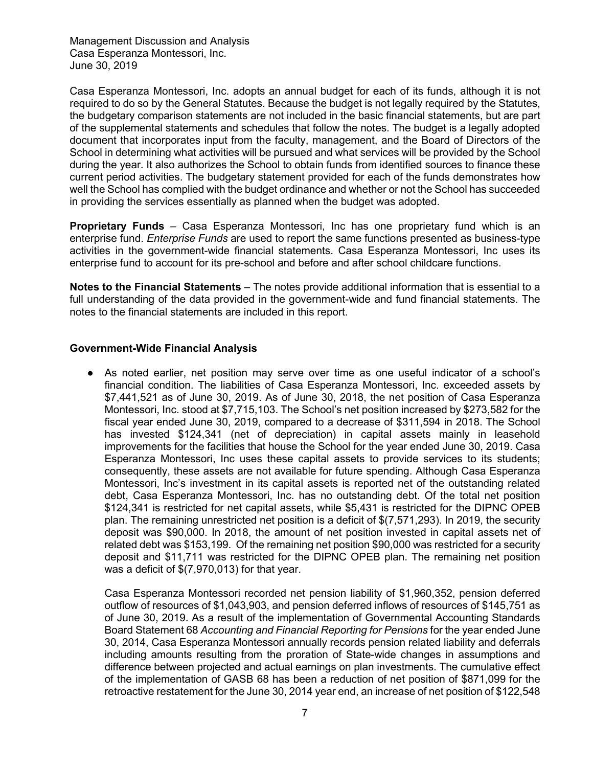Casa Esperanza Montessori, Inc. adopts an annual budget for each of its funds, although it is not required to do so by the General Statutes. Because the budget is not legally required by the Statutes, the budgetary comparison statements are not included in the basic financial statements, but are part of the supplemental statements and schedules that follow the notes. The budget is a legally adopted document that incorporates input from the faculty, management, and the Board of Directors of the School in determining what activities will be pursued and what services will be provided by the School during the year. It also authorizes the School to obtain funds from identified sources to finance these current period activities. The budgetary statement provided for each of the funds demonstrates how well the School has complied with the budget ordinance and whether or not the School has succeeded in providing the services essentially as planned when the budget was adopted.

**Proprietary Funds** – Casa Esperanza Montessori, Inc has one proprietary fund which is an enterprise fund. *Enterprise Funds* are used to report the same functions presented as business-type activities in the government-wide financial statements. Casa Esperanza Montessori, Inc uses its enterprise fund to account for its pre-school and before and after school childcare functions.

**Notes to the Financial Statements** – The notes provide additional information that is essential to a full understanding of the data provided in the government-wide and fund financial statements. The notes to the financial statements are included in this report.

### **Government-Wide Financial Analysis**

● As noted earlier, net position may serve over time as one useful indicator of a school's financial condition. The liabilities of Casa Esperanza Montessori, Inc. exceeded assets by \$7,441,521 as of June 30, 2019. As of June 30, 2018, the net position of Casa Esperanza Montessori, Inc. stood at \$7,715,103. The School's net position increased by \$273,582 for the fiscal year ended June 30, 2019, compared to a decrease of \$311,594 in 2018. The School has invested \$124,341 (net of depreciation) in capital assets mainly in leasehold improvements for the facilities that house the School for the year ended June 30, 2019. Casa Esperanza Montessori, Inc uses these capital assets to provide services to its students; consequently, these assets are not available for future spending. Although Casa Esperanza Montessori, Inc's investment in its capital assets is reported net of the outstanding related debt, Casa Esperanza Montessori, Inc. has no outstanding debt. Of the total net position \$124,341 is restricted for net capital assets, while \$5,431 is restricted for the DIPNC OPEB plan. The remaining unrestricted net position is a deficit of \$(7,571,293). In 2019, the security deposit was \$90,000. In 2018, the amount of net position invested in capital assets net of related debt was \$153,199. Of the remaining net position \$90,000 was restricted for a security deposit and \$11,711 was restricted for the DIPNC OPEB plan. The remaining net position was a deficit of \$(7,970,013) for that year.

Casa Esperanza Montessori recorded net pension liability of \$1,960,352, pension deferred outflow of resources of \$1,043,903, and pension deferred inflows of resources of \$145,751 as of June 30, 2019. As a result of the implementation of Governmental Accounting Standards Board Statement 68 *Accounting and Financial Reporting for Pensions* for the year ended June 30, 2014, Casa Esperanza Montessori annually records pension related liability and deferrals including amounts resulting from the proration of State-wide changes in assumptions and difference between projected and actual earnings on plan investments. The cumulative effect of the implementation of GASB 68 has been a reduction of net position of \$871,099 for the retroactive restatement for the June 30, 2014 year end, an increase of net position of \$122,548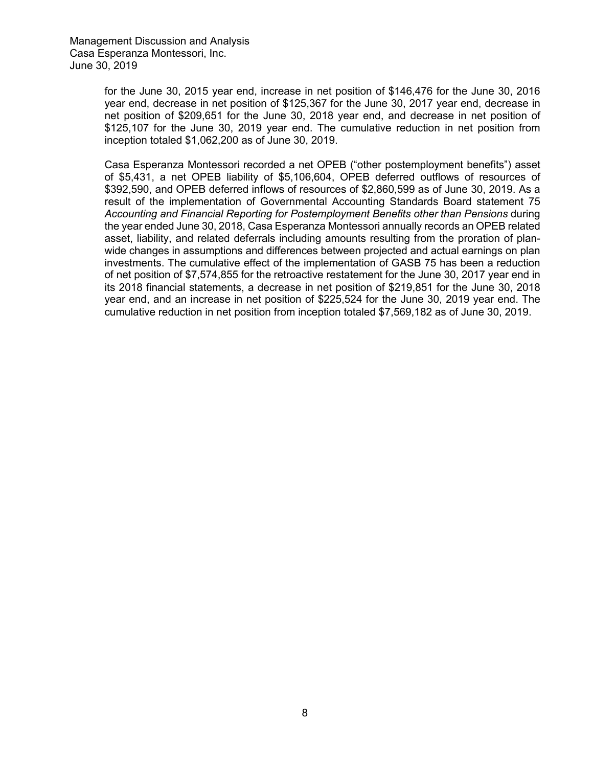for the June 30, 2015 year end, increase in net position of \$146,476 for the June 30, 2016 year end, decrease in net position of \$125,367 for the June 30, 2017 year end, decrease in net position of \$209,651 for the June 30, 2018 year end, and decrease in net position of \$125,107 for the June 30, 2019 year end. The cumulative reduction in net position from inception totaled \$1,062,200 as of June 30, 2019.

Casa Esperanza Montessori recorded a net OPEB ("other postemployment benefits") asset of \$5,431, a net OPEB liability of \$5,106,604, OPEB deferred outflows of resources of \$392,590, and OPEB deferred inflows of resources of \$2,860,599 as of June 30, 2019. As a result of the implementation of Governmental Accounting Standards Board statement 75 *Accounting and Financial Reporting for Postemployment Benefits other than Pensions* during the year ended June 30, 2018, Casa Esperanza Montessori annually records an OPEB related asset, liability, and related deferrals including amounts resulting from the proration of planwide changes in assumptions and differences between projected and actual earnings on plan investments. The cumulative effect of the implementation of GASB 75 has been a reduction of net position of \$7,574,855 for the retroactive restatement for the June 30, 2017 year end in its 2018 financial statements, a decrease in net position of \$219,851 for the June 30, 2018 year end, and an increase in net position of \$225,524 for the June 30, 2019 year end. The cumulative reduction in net position from inception totaled \$7,569,182 as of June 30, 2019.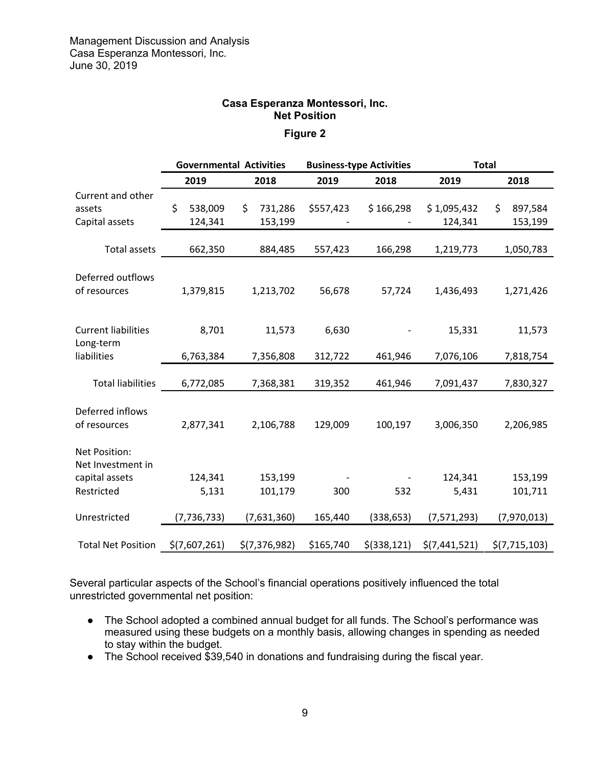### **Casa Esperanza Montessori, Inc. Net Position**

# **Figure 2**

|                                                                    | <b>Governmental Activities</b> |                          |                  | <b>Business-type Activities</b> | <b>Total</b>           |                          |  |
|--------------------------------------------------------------------|--------------------------------|--------------------------|------------------|---------------------------------|------------------------|--------------------------|--|
|                                                                    | 2019                           | 2018                     | 2019             | 2018                            | 2019                   | 2018                     |  |
| Current and other<br>assets<br>Capital assets                      | \$<br>538,009<br>124,341       | \$<br>731,286<br>153,199 | \$557,423        | \$166,298                       | \$1,095,432<br>124,341 | 897,584<br>\$<br>153,199 |  |
| <b>Total assets</b>                                                | 662,350                        | 884,485                  | 557,423          | 166,298                         | 1,219,773              | 1,050,783                |  |
| Deferred outflows<br>of resources                                  | 1,379,815                      | 1,213,702                | 56,678           | 57,724                          | 1,436,493              | 1,271,426                |  |
| <b>Current liabilities</b><br>Long-term<br>liabilities             | 8,701<br>6,763,384             | 11,573<br>7,356,808      | 6,630<br>312,722 | 461,946                         | 15,331<br>7,076,106    | 11,573<br>7,818,754      |  |
| <b>Total liabilities</b>                                           | 6,772,085                      | 7,368,381                | 319,352          | 461,946                         | 7,091,437              | 7,830,327                |  |
| Deferred inflows<br>of resources                                   | 2,877,341                      | 2,106,788                | 129,009          | 100,197                         | 3,006,350              | 2,206,985                |  |
| Net Position:<br>Net Investment in<br>capital assets<br>Restricted | 124,341<br>5,131               | 153,199<br>101,179       | 300              | 532                             | 124,341<br>5,431       | 153,199<br>101,711       |  |
| Unrestricted                                                       | (7, 736, 733)                  | (7,631,360)              | 165,440          | (338, 653)                      | (7,571,293)            | (7,970,013)              |  |
| <b>Total Net Position</b>                                          | \$(7,607,261)                  | \$(7,376,982)            | \$165,740        | $$$ (338,121)                   | \$(7,441,521)          | \$(7,715,103)            |  |

Several particular aspects of the School's financial operations positively influenced the total unrestricted governmental net position:

- The School adopted a combined annual budget for all funds. The School's performance was measured using these budgets on a monthly basis, allowing changes in spending as needed to stay within the budget.
- The School received \$39,540 in donations and fundraising during the fiscal year.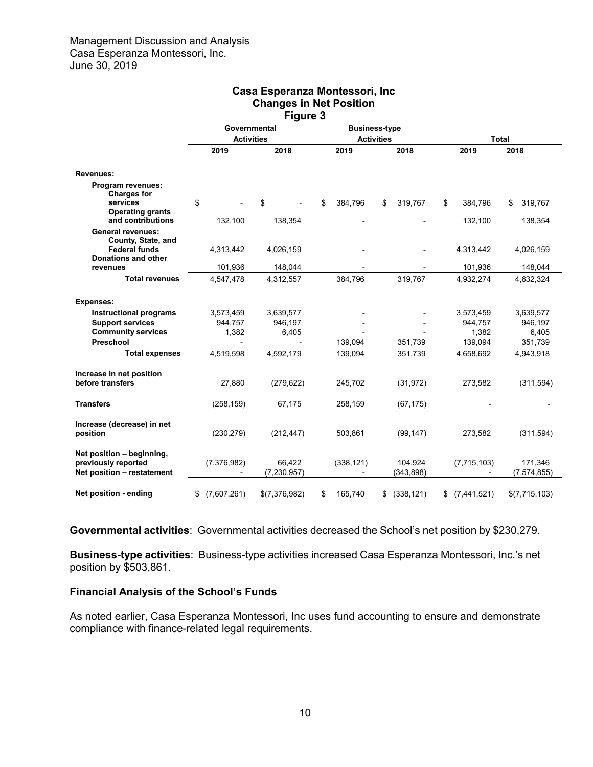| <b>Changes in Net Position</b><br>Figure 3                                     |                                   |                         |                                           |                       |                   |                          |  |  |  |
|--------------------------------------------------------------------------------|-----------------------------------|-------------------------|-------------------------------------------|-----------------------|-------------------|--------------------------|--|--|--|
|                                                                                | Governmental<br><b>Activities</b> |                         | <b>Business-type</b><br><b>Activities</b> |                       | <b>Total</b>      |                          |  |  |  |
|                                                                                | 2019                              | 2018                    | 2019                                      | 2018                  | 2019              | 2018                     |  |  |  |
| <b>Revenues:</b>                                                               |                                   |                         |                                           |                       |                   |                          |  |  |  |
| Program revenues:<br><b>Charges for</b>                                        |                                   |                         |                                           |                       |                   |                          |  |  |  |
| services<br><b>Operating grants</b>                                            | \$                                | \$                      | \$<br>384,796                             | \$<br>319,767         | 384,796<br>\$     | 319,767<br>\$            |  |  |  |
| and contributions<br><b>General revenues:</b>                                  | 132,100                           | 138,354                 |                                           |                       | 132,100           | 138,354                  |  |  |  |
| County, State, and<br><b>Federal funds</b>                                     | 4,313,442                         | 4,026,159               |                                           |                       | 4,313,442         | 4,026,159                |  |  |  |
| Donations and other<br>revenues                                                | 101,936                           | 148,044                 |                                           |                       | 101,936           | 148,044                  |  |  |  |
| <b>Total revenues</b>                                                          | 4,547,478                         | 4,312,557               | 384,796                                   | 319,767               | 4,932,274         | 4,632,324                |  |  |  |
| <b>Expenses:</b>                                                               |                                   |                         |                                           |                       |                   |                          |  |  |  |
| <b>Instructional programs</b>                                                  | 3,573,459                         | 3,639,577               |                                           |                       | 3,573,459         | 3,639,577                |  |  |  |
| <b>Support services</b>                                                        | 944,757                           | 946,197                 |                                           |                       | 944,757           | 946,197                  |  |  |  |
| <b>Community services</b>                                                      | 1,382                             | 6,405                   |                                           |                       | 1,382             | 6,405                    |  |  |  |
| Preschool                                                                      |                                   |                         | 139,094                                   | 351,739               | 139,094           | 351,739                  |  |  |  |
| <b>Total expenses</b>                                                          | 4,519,598                         | 4,592,179               | 139,094                                   | 351,739               | 4,658,692         | 4,943,918                |  |  |  |
| Increase in net position<br>before transfers                                   | 27,880                            | (279, 622)              | 245,702                                   | (31, 972)             | 273,582           | (311,594)                |  |  |  |
| <b>Transfers</b>                                                               | (258, 159)                        | 67,175                  | 258,159                                   | (67, 175)             |                   |                          |  |  |  |
| Increase (decrease) in net<br>position                                         | (230, 279)                        | (212, 447)              | 503.861                                   | (99, 147)             | 273.582           | (311, 594)               |  |  |  |
| Net position - beginning,<br>previously reported<br>Net position - restatement | (7, 376, 982)                     | 66,422<br>(7, 230, 957) | (338, 121)                                | 104,924<br>(343, 898) | (7, 715, 103)     | 171,346<br>(7, 574, 855) |  |  |  |
| Net position - ending                                                          | \$<br>(7,607,261)                 | \$(7,376,982)           | \$<br>165,740                             | (338, 121)<br>\$      | (7,441,521)<br>\$ | \$(7,715,103)            |  |  |  |

# **Casa Esperanza Montessori, Inc Changes in Net Position**

**Governmental activities**: Governmental activities decreased the School's net position by \$230,279.

**Business-type activities**: Business-type activities increased Casa Esperanza Montessori, Inc.'s net position by \$503,861.

### **Financial Analysis of the School's Funds**

As noted earlier, Casa Esperanza Montessori, Inc uses fund accounting to ensure and demonstrate compliance with finance-related legal requirements.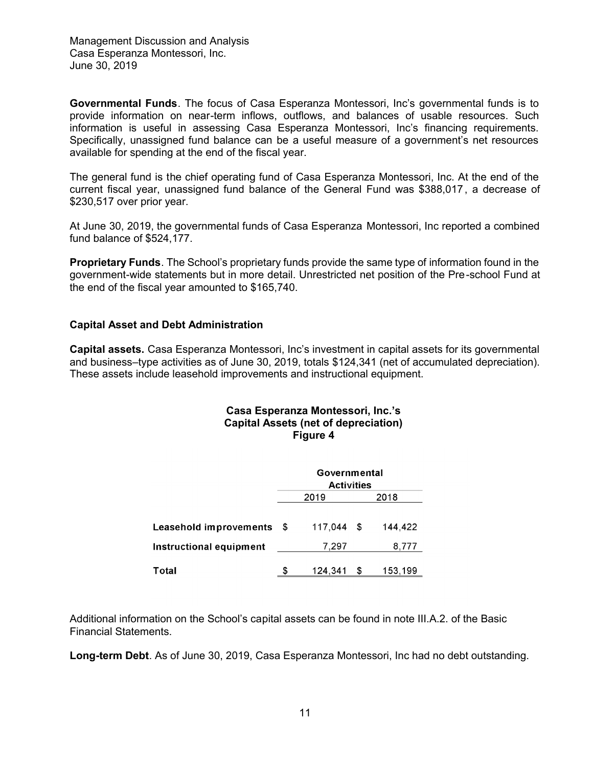**Governmental Funds**. The focus of Casa Esperanza Montessori, Inc's governmental funds is to provide information on near-term inflows, outflows, and balances of usable resources. Such information is useful in assessing Casa Esperanza Montessori, Inc's financing requirements. Specifically, unassigned fund balance can be a useful measure of a government's net resources available for spending at the end of the fiscal year.

The general fund is the chief operating fund of Casa Esperanza Montessori, Inc. At the end of the current fiscal year, unassigned fund balance of the General Fund was \$388,017 , a decrease of \$230,517 over prior year.

At June 30, 2019, the governmental funds of Casa Esperanza Montessori, Inc reported a combined fund balance of \$524,177.

**Proprietary Funds**. The School's proprietary funds provide the same type of information found in the government-wide statements but in more detail. Unrestricted net position of the Pre-school Fund at the end of the fiscal year amounted to \$165,740.

### **Capital Asset and Debt Administration**

**Capital assets.** Casa Esperanza Montessori, Inc's investment in capital assets for its governmental and business–type activities as of June 30, 2019, totals \$124,341 (net of accumulated depreciation). These assets include leasehold improvements and instructional equipment.

### **Casa Esperanza Montessori, Inc.'s Capital Assets (net of depreciation) Figure 4**

|                               | Governmental<br><b>Activities</b> |              |      |         |  |  |
|-------------------------------|-----------------------------------|--------------|------|---------|--|--|
|                               |                                   | 2019         | 2018 |         |  |  |
| <b>Leasehold improvements</b> | - \$                              | $117,044$ \$ |      | 144,422 |  |  |
| Instructional equipment       |                                   | 7,297        |      | 8,777   |  |  |
| Total                         | S                                 | 124,341      | S    | 153,199 |  |  |

Additional information on the School's capital assets can be found in note III.A.2. of the Basic Financial Statements.

**Long-term Debt**. As of June 30, 2019, Casa Esperanza Montessori, Inc had no debt outstanding.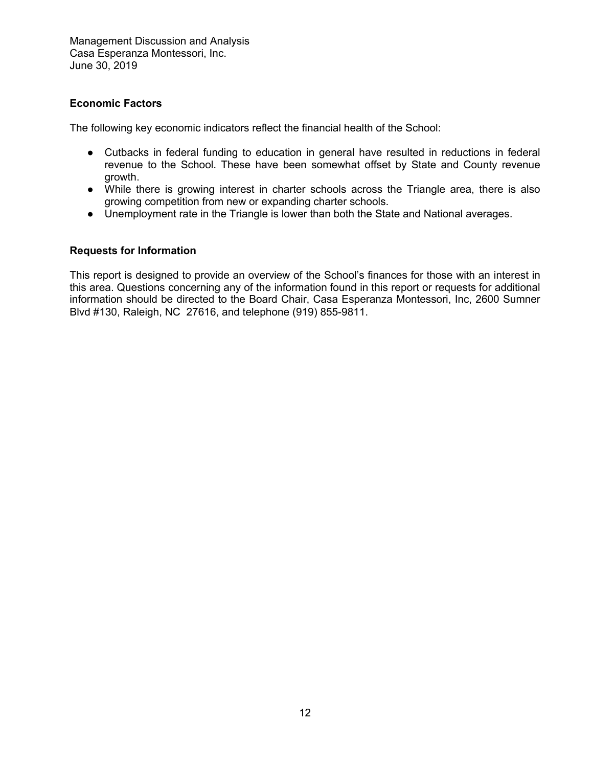### **Economic Factors**

The following key economic indicators reflect the financial health of the School:

- Cutbacks in federal funding to education in general have resulted in reductions in federal revenue to the School. These have been somewhat offset by State and County revenue growth.
- While there is growing interest in charter schools across the Triangle area, there is also growing competition from new or expanding charter schools.
- Unemployment rate in the Triangle is lower than both the State and National averages.

### **Requests for Information**

This report is designed to provide an overview of the School's finances for those with an interest in this area. Questions concerning any of the information found in this report or requests for additional information should be directed to the Board Chair, Casa Esperanza Montessori, Inc, 2600 Sumner Blvd #130, Raleigh, NC 27616, and telephone (919) 855-9811.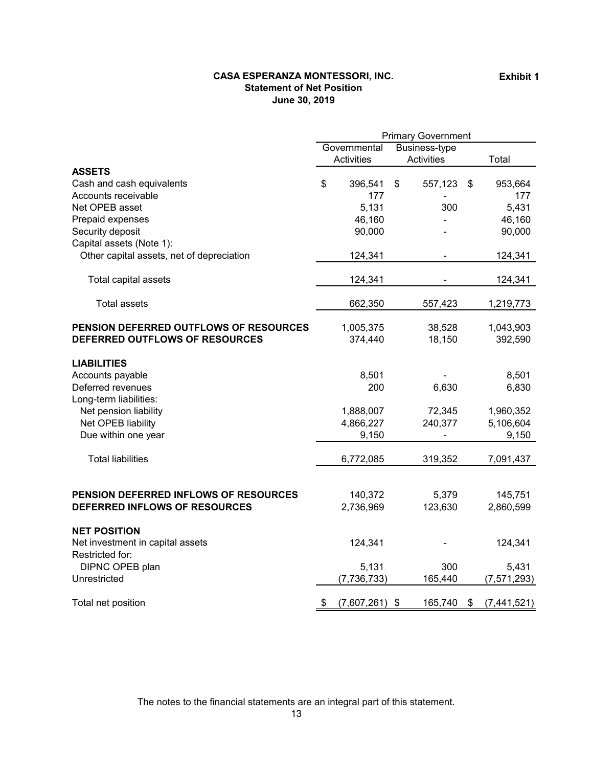### **Statement of Net Position June 30, 2019 CASA ESPERANZA MONTESSORI, INC.**

|                                           | <b>Primary Government</b> |               |                   |         |    |               |
|-------------------------------------------|---------------------------|---------------|-------------------|---------|----|---------------|
|                                           |                           | Governmental  |                   |         |    |               |
|                                           | Activities                |               | <b>Activities</b> |         |    | Total         |
| <b>ASSETS</b>                             |                           |               |                   |         |    |               |
| Cash and cash equivalents                 | \$                        | 396,541       | \$                | 557,123 | \$ | 953,664       |
| Accounts receivable                       |                           | 177           |                   |         |    | 177           |
| Net OPEB asset                            |                           | 5,131         |                   | 300     |    | 5,431         |
| Prepaid expenses                          |                           | 46,160        |                   |         |    | 46,160        |
| Security deposit                          |                           | 90,000        |                   |         |    | 90,000        |
| Capital assets (Note 1):                  |                           |               |                   |         |    |               |
| Other capital assets, net of depreciation |                           | 124,341       |                   |         |    | 124,341       |
| Total capital assets                      |                           | 124,341       |                   |         |    | 124,341       |
| <b>Total assets</b>                       |                           | 662,350       |                   | 557,423 |    | 1,219,773     |
| PENSION DEFERRED OUTFLOWS OF RESOURCES    |                           | 1,005,375     |                   | 38,528  |    | 1,043,903     |
| DEFERRED OUTFLOWS OF RESOURCES            |                           | 374,440       |                   | 18,150  |    | 392,590       |
|                                           |                           |               |                   |         |    |               |
| <b>LIABILITIES</b><br>Accounts payable    |                           | 8,501         |                   |         |    | 8,501         |
| Deferred revenues                         |                           | 200           |                   | 6,630   |    | 6,830         |
| Long-term liabilities:                    |                           |               |                   |         |    |               |
| Net pension liability                     |                           | 1,888,007     |                   | 72,345  |    | 1,960,352     |
| Net OPEB liability                        |                           | 4,866,227     |                   | 240,377 |    | 5,106,604     |
| Due within one year                       |                           | 9,150         |                   |         |    | 9,150         |
|                                           |                           |               |                   |         |    |               |
| <b>Total liabilities</b>                  |                           | 6,772,085     |                   | 319,352 |    | 7,091,437     |
|                                           |                           |               |                   |         |    |               |
| PENSION DEFERRED INFLOWS OF RESOURCES     |                           | 140,372       |                   | 5,379   |    | 145,751       |
| DEFERRED INFLOWS OF RESOURCES             |                           | 2,736,969     |                   | 123,630 |    | 2,860,599     |
|                                           |                           |               |                   |         |    |               |
| <b>NET POSITION</b>                       |                           |               |                   |         |    |               |
| Net investment in capital assets          |                           | 124,341       |                   |         |    | 124,341       |
| Restricted for:                           |                           |               |                   |         |    |               |
| DIPNC OPEB plan                           |                           | 5,131         |                   | 300     |    | 5,431         |
| Unrestricted                              |                           | (7, 736, 733) |                   | 165,440 |    | (7, 571, 293) |
| Total net position                        | \$                        | (7,607,261)   | \$                | 165,740 | \$ | (7,441,521)   |

The notes to the financial statements are an integral part of this statement.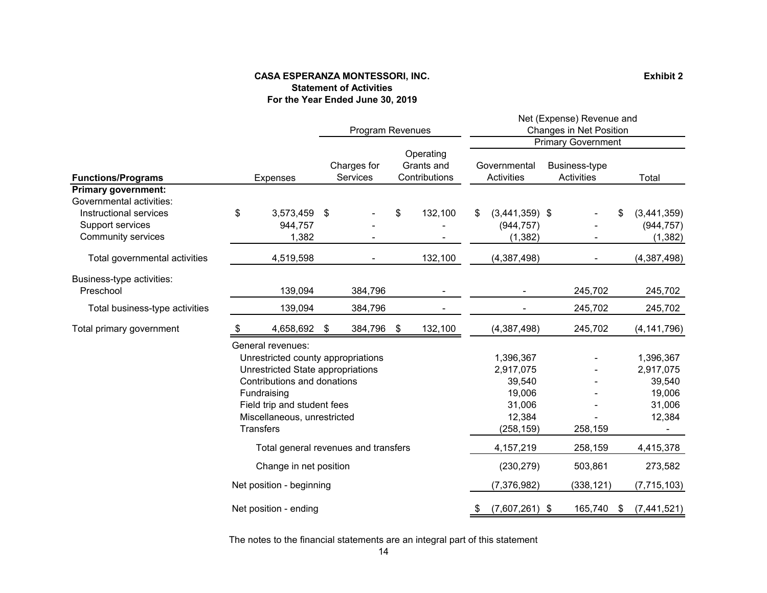### **Statement of Activities CASA ESPERANZA MONTESSORI, INC. For the Year Ended June 30, 2019**

**Exhibit 2**

|                                                                                                                                                                                                                              |                                      |                          |                                | <b>Program Revenues</b> |                                          |                                                                              | Net (Expense) Revenue and<br>Changes in Net Position<br>Primary Government |         |                             |                                                                |                           |
|------------------------------------------------------------------------------------------------------------------------------------------------------------------------------------------------------------------------------|--------------------------------------|--------------------------|--------------------------------|-------------------------|------------------------------------------|------------------------------------------------------------------------------|----------------------------------------------------------------------------|---------|-----------------------------|----------------------------------------------------------------|---------------------------|
| <b>Functions/Programs</b>                                                                                                                                                                                                    |                                      | Expenses                 | Charges for<br><b>Services</b> |                         | Operating<br>Grants and<br>Contributions |                                                                              | Governmental<br>Activities                                                 |         | Business-type<br>Activities |                                                                | Total                     |
| <b>Primary government:</b><br>Governmental activities:                                                                                                                                                                       |                                      |                          |                                |                         |                                          |                                                                              |                                                                            |         |                             |                                                                |                           |
| Instructional services<br>Support services                                                                                                                                                                                   | \$                                   | 3,573,459<br>944,757     | \$                             |                         | \$                                       | 132,100                                                                      | $(3,441,359)$ \$<br>\$<br>(944, 757)                                       |         |                             |                                                                | (3,441,359)<br>(944, 757) |
| <b>Community services</b><br>Total governmental activities                                                                                                                                                                   |                                      | 1,382<br>4,519,598       |                                |                         |                                          | 132,100                                                                      | (1, 382)<br>(4,387,498)                                                    |         |                             |                                                                | (1, 382)<br>(4,387,498)   |
| Business-type activities:<br>Preschool                                                                                                                                                                                       |                                      | 139,094                  |                                | 384,796                 |                                          |                                                                              |                                                                            |         | 245,702                     |                                                                | 245,702                   |
| Total business-type activities                                                                                                                                                                                               |                                      | 139,094                  |                                | 384,796                 |                                          | ۰                                                                            |                                                                            |         | 245,702                     |                                                                | 245,702                   |
| Total primary government                                                                                                                                                                                                     |                                      | 4,658,692                | \$                             | 384,796                 | \$                                       | 132,100                                                                      | (4,387,498)                                                                |         | 245,702                     |                                                                | (4, 141, 796)             |
| General revenues:<br>Unrestricted county appropriations<br>Unrestricted State appropriations<br>Contributions and donations<br>Fundraising<br>Field trip and student fees<br>Miscellaneous, unrestricted<br><b>Transfers</b> |                                      |                          |                                |                         |                                          | 1,396,367<br>2,917,075<br>39,540<br>19,006<br>31,006<br>12,384<br>(258, 159) |                                                                            | 258,159 |                             | 1,396,367<br>2,917,075<br>39,540<br>19,006<br>31,006<br>12,384 |                           |
|                                                                                                                                                                                                                              | Total general revenues and transfers |                          |                                |                         |                                          |                                                                              | 4,157,219                                                                  |         | 258,159                     |                                                                | 4,415,378                 |
|                                                                                                                                                                                                                              | Change in net position               |                          |                                |                         |                                          |                                                                              | (230, 279)                                                                 |         | 503,861                     |                                                                | 273,582                   |
|                                                                                                                                                                                                                              |                                      | Net position - beginning |                                |                         |                                          |                                                                              | (7, 376, 982)                                                              |         | (338, 121)                  |                                                                | (7, 715, 103)             |
|                                                                                                                                                                                                                              | Net position - ending                |                          |                                |                         |                                          |                                                                              | $(7,607,261)$ \$<br>\$                                                     |         | 165,740                     | \$                                                             | (7,441,521)               |

The notes to the financial statements are an integral part of this statement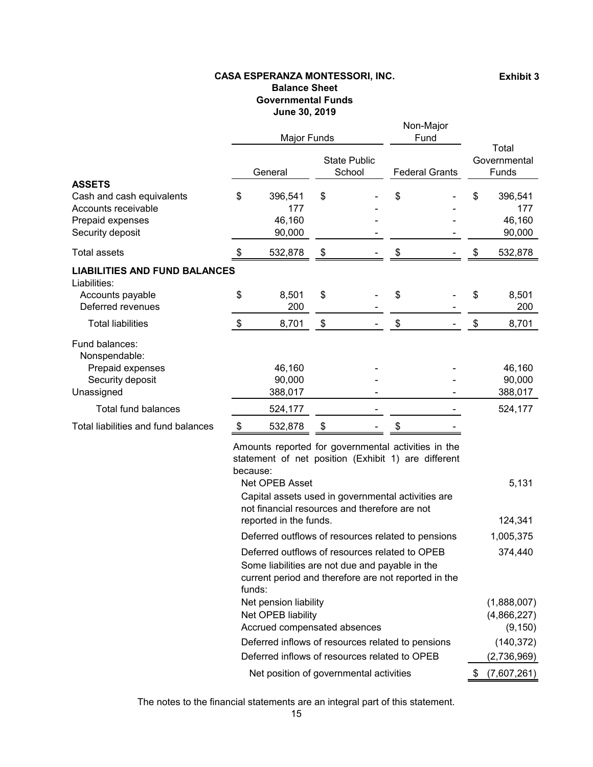### **CASA ESPERANZA MONTESSORI, INC. Balance Sheet Governmental Funds June 30, 2019**

|                                                      | Major Funds               |         |                               |  | Non-Major<br>Fund     |  |                                |         |
|------------------------------------------------------|---------------------------|---------|-------------------------------|--|-----------------------|--|--------------------------------|---------|
|                                                      | General                   |         | <b>State Public</b><br>School |  | <b>Federal Grants</b> |  | Total<br>Governmental<br>Funds |         |
| <b>ASSETS</b>                                        |                           |         |                               |  |                       |  |                                |         |
| Cash and cash equivalents                            | \$                        | 396,541 | \$                            |  | \$                    |  | \$                             | 396,541 |
| Accounts receivable                                  |                           | 177     |                               |  |                       |  |                                | 177     |
| Prepaid expenses                                     |                           | 46,160  |                               |  |                       |  |                                | 46,160  |
| Security deposit                                     |                           | 90,000  |                               |  |                       |  |                                | 90,000  |
| <b>Total assets</b>                                  | S                         | 532,878 | \$                            |  |                       |  |                                | 532,878 |
| <b>LIABILITIES AND FUND BALANCES</b><br>Liabilities: |                           |         |                               |  |                       |  |                                |         |
| Accounts payable                                     | \$                        | 8,501   | \$                            |  | \$                    |  | \$                             | 8,501   |
| Deferred revenues                                    |                           | 200     |                               |  |                       |  |                                | 200     |
| <b>Total liabilities</b>                             | $\boldsymbol{\mathsf{S}}$ | 8,701   | \$                            |  | \$                    |  | \$                             | 8,701   |
| Fund balances:<br>Nonspendable:                      |                           |         |                               |  |                       |  |                                |         |
| Prepaid expenses                                     |                           | 46,160  |                               |  |                       |  |                                | 46,160  |
| Security deposit                                     |                           | 90,000  |                               |  |                       |  |                                | 90,000  |
| Unassigned                                           |                           | 388,017 |                               |  |                       |  |                                | 388,017 |
| Total fund balances                                  |                           | 524,177 |                               |  |                       |  |                                | 524,177 |
| Total liabilities and fund balances                  | \$                        | 532,878 | \$                            |  | \$                    |  |                                |         |

Amounts reported for governmental activities in the statement of net position (Exhibit 1) are different because:

| Net OPEB Asset                                                                                                                                                      | 5,131       |
|---------------------------------------------------------------------------------------------------------------------------------------------------------------------|-------------|
| Capital assets used in governmental activities are<br>not financial resources and therefore are not                                                                 |             |
| reported in the funds.                                                                                                                                              | 124,341     |
| Deferred outflows of resources related to pensions                                                                                                                  | 1,005,375   |
| Deferred outflows of resources related to OPEB<br>Some liabilities are not due and payable in the<br>current period and therefore are not reported in the<br>funds: | 374,440     |
| Net pension liability                                                                                                                                               | (1,888,007) |
| Net OPEB liability                                                                                                                                                  | (4,866,227) |
| Accrued compensated absences                                                                                                                                        | (9, 150)    |
| Deferred inflows of resources related to pensions                                                                                                                   | (140, 372)  |
| Deferred inflows of resources related to OPEB                                                                                                                       | (2,736,969) |
| Net position of governmental activities                                                                                                                             | (7,607,261) |

The notes to the financial statements are an integral part of this statement.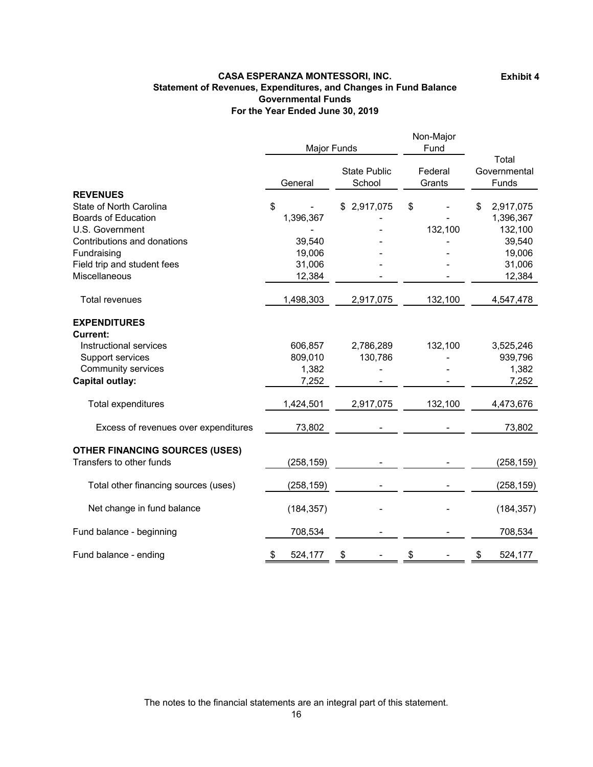#### **Statement of Revenues, Expenditures, and Changes in Fund Balance Governmental Funds For the Year Ended June 30, 2019 CASA ESPERANZA MONTESSORI, INC.**

**Exhibit 4**

|                                       | Major Funds   |                               | Non-Major<br>Fund |                                |
|---------------------------------------|---------------|-------------------------------|-------------------|--------------------------------|
|                                       | General       | <b>State Public</b><br>School |                   | Total<br>Governmental<br>Funds |
| <b>REVENUES</b>                       |               |                               |                   |                                |
| State of North Carolina               | \$            | 2,917,075<br>\$               | \$                | 2,917,075<br>\$                |
| <b>Boards of Education</b>            | 1,396,367     |                               |                   | 1,396,367                      |
| U.S. Government                       |               |                               | 132,100           | 132,100                        |
| Contributions and donations           | 39,540        |                               |                   | 39,540                         |
| Fundraising                           | 19,006        |                               |                   | 19,006                         |
| Field trip and student fees           | 31,006        |                               |                   | 31,006                         |
| Miscellaneous                         | 12,384        |                               |                   | 12,384                         |
| <b>Total revenues</b>                 | 1,498,303     | 2,917,075                     | 132,100           | 4,547,478                      |
| <b>EXPENDITURES</b>                   |               |                               |                   |                                |
| <b>Current:</b>                       |               |                               |                   |                                |
| Instructional services                | 606,857       | 2,786,289                     | 132,100           | 3,525,246                      |
| Support services                      | 809,010       | 130,786                       |                   | 939,796                        |
| <b>Community services</b>             | 1,382         |                               |                   | 1,382                          |
| <b>Capital outlay:</b>                | 7,252         |                               |                   | 7,252                          |
| <b>Total expenditures</b>             | 1,424,501     | 2,917,075                     | 132,100           | 4,473,676                      |
| Excess of revenues over expenditures  | 73,802        |                               |                   | 73,802                         |
| <b>OTHER FINANCING SOURCES (USES)</b> |               |                               |                   |                                |
| Transfers to other funds              | (258, 159)    |                               |                   | (258, 159)                     |
| Total other financing sources (uses)  | (258, 159)    |                               |                   | (258, 159)                     |
| Net change in fund balance            | (184, 357)    |                               |                   | (184, 357)                     |
| Fund balance - beginning              | 708,534       |                               |                   | 708,534                        |
| Fund balance - ending                 | \$<br>524,177 | \$                            | \$                | \$<br>524,177                  |

The notes to the financial statements are an integral part of this statement.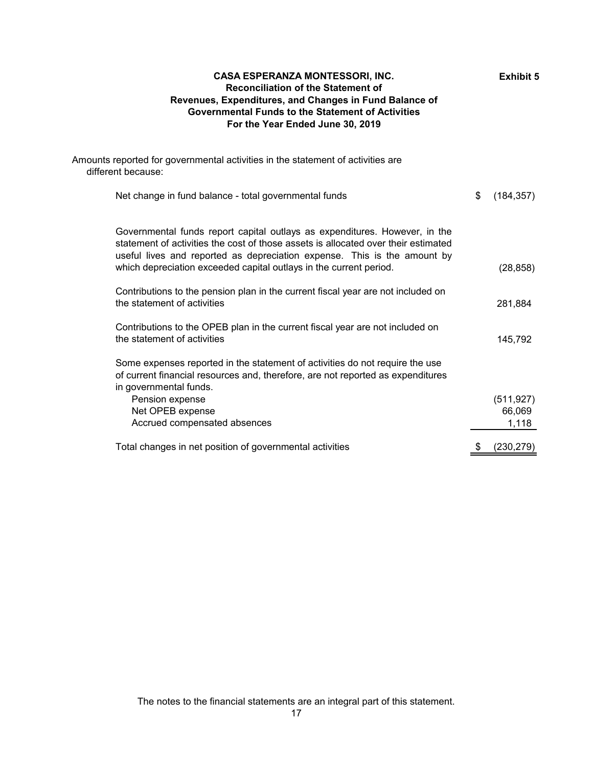| <b>CASA ESPERANZA MONTESSORI, INC.</b><br><b>Reconciliation of the Statement of</b><br>Revenues, Expenditures, and Changes in Fund Balance of<br><b>Governmental Funds to the Statement of Activities</b><br>For the Year Ended June 30, 2019                                                                      | <b>Exhibit 5</b>              |
|--------------------------------------------------------------------------------------------------------------------------------------------------------------------------------------------------------------------------------------------------------------------------------------------------------------------|-------------------------------|
| Amounts reported for governmental activities in the statement of activities are<br>different because:                                                                                                                                                                                                              |                               |
| Net change in fund balance - total governmental funds                                                                                                                                                                                                                                                              | \$<br>(184, 357)              |
| Governmental funds report capital outlays as expenditures. However, in the<br>statement of activities the cost of those assets is allocated over their estimated<br>useful lives and reported as depreciation expense. This is the amount by<br>which depreciation exceeded capital outlays in the current period. | (28, 858)                     |
| Contributions to the pension plan in the current fiscal year are not included on<br>the statement of activities                                                                                                                                                                                                    | 281,884                       |
| Contributions to the OPEB plan in the current fiscal year are not included on<br>the statement of activities                                                                                                                                                                                                       | 145,792                       |
| Some expenses reported in the statement of activities do not require the use<br>of current financial resources and, therefore, are not reported as expenditures<br>in governmental funds.                                                                                                                          |                               |
| Pension expense<br>Net OPEB expense<br>Accrued compensated absences                                                                                                                                                                                                                                                | (511, 927)<br>66,069<br>1,118 |
| Total changes in net position of governmental activities                                                                                                                                                                                                                                                           | \$<br>(230, 279)              |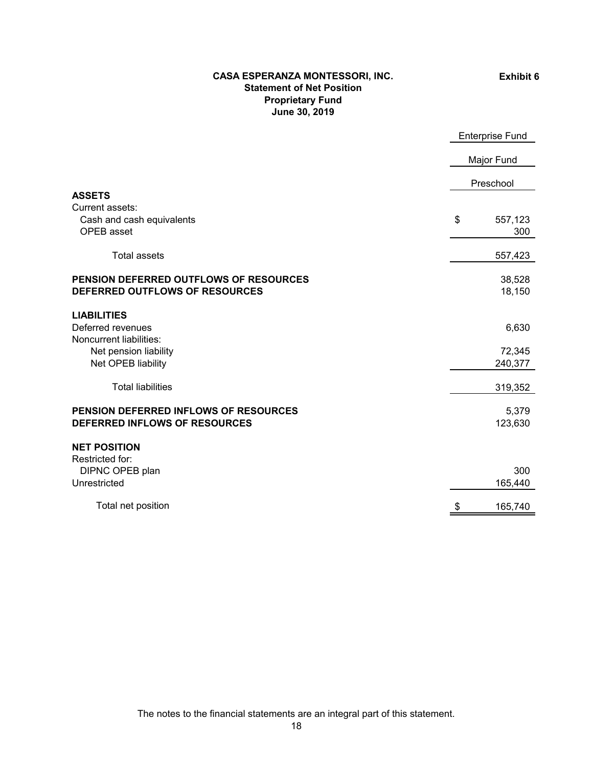### **CASA ESPERANZA MONTESSORI, INC. Statement of Net Position Proprietary Fund June 30, 2019**

**Exhibit 6**

|                                               | <b>Enterprise Fund</b> |            |  |
|-----------------------------------------------|------------------------|------------|--|
|                                               |                        | Major Fund |  |
|                                               |                        | Preschool  |  |
| <b>ASSETS</b>                                 |                        |            |  |
| Current assets:<br>Cash and cash equivalents  | \$                     | 557,123    |  |
| OPEB asset                                    |                        | 300        |  |
| <b>Total assets</b>                           |                        | 557,423    |  |
| <b>PENSION DEFERRED OUTFLOWS OF RESOURCES</b> |                        | 38,528     |  |
| DEFERRED OUTFLOWS OF RESOURCES                |                        | 18,150     |  |
| <b>LIABILITIES</b>                            |                        |            |  |
| Deferred revenues                             |                        | 6,630      |  |
| Noncurrent liabilities:                       |                        |            |  |
| Net pension liability                         |                        | 72,345     |  |
| Net OPEB liability                            |                        | 240,377    |  |
| <b>Total liabilities</b>                      |                        | 319,352    |  |
| PENSION DEFERRED INFLOWS OF RESOURCES         |                        | 5,379      |  |
| DEFERRED INFLOWS OF RESOURCES                 |                        | 123,630    |  |
| <b>NET POSITION</b>                           |                        |            |  |
| Restricted for:                               |                        |            |  |
| DIPNC OPEB plan                               |                        | 300        |  |
| Unrestricted                                  |                        | 165,440    |  |
| Total net position                            | \$                     | 165,740    |  |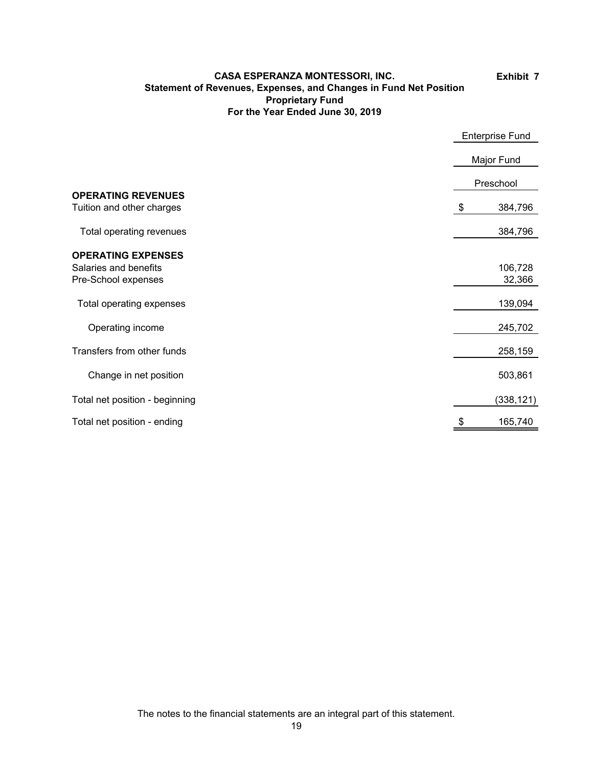### **CASA ESPERANZA MONTESSORI, INC. Statement of Revenues, Expenses, and Changes in Fund Net Position Proprietary Fund For the Year Ended June 30, 2019**

**Exhibit 7**

|                                                                           |            | <b>Enterprise Fund</b> |
|---------------------------------------------------------------------------|------------|------------------------|
|                                                                           | Major Fund |                        |
|                                                                           | Preschool  |                        |
| <b>OPERATING REVENUES</b><br>Tuition and other charges                    | \$         | 384,796                |
| Total operating revenues                                                  |            | 384,796                |
| <b>OPERATING EXPENSES</b><br>Salaries and benefits<br>Pre-School expenses |            | 106,728<br>32,366      |
| Total operating expenses                                                  |            | 139,094                |
| Operating income                                                          |            | 245,702                |
| Transfers from other funds                                                |            | 258,159                |
| Change in net position                                                    |            | 503,861                |
| Total net position - beginning                                            |            | (338, 121)             |
| Total net position - ending                                               |            | 165,740                |

The notes to the financial statements are an integral part of this statement.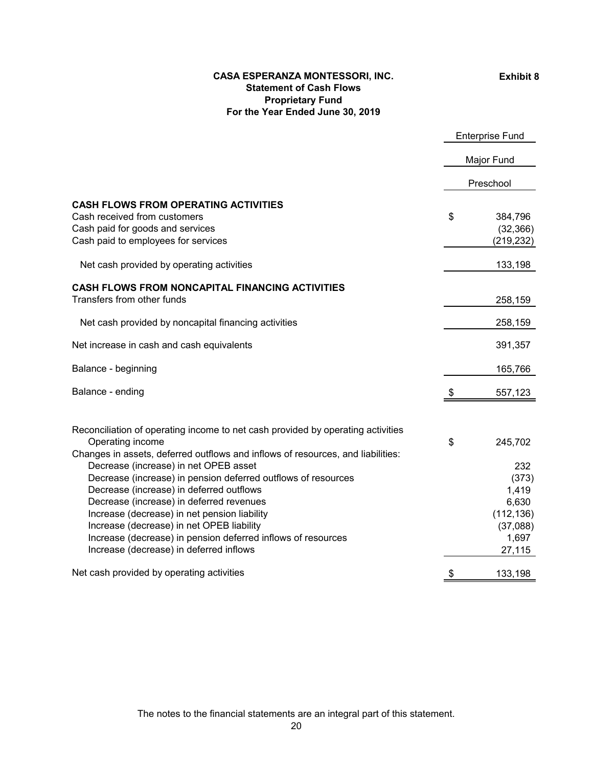### **Exhibit 8**

### **For the Year Ended June 30, 2019 CASA ESPERANZA MONTESSORI, INC. Statement of Cash Flows Proprietary Fund**

|                                                                                                                                                                                                                                                                                                                                                                                                        | <b>Enterprise Fund</b> |                                                                             |
|--------------------------------------------------------------------------------------------------------------------------------------------------------------------------------------------------------------------------------------------------------------------------------------------------------------------------------------------------------------------------------------------------------|------------------------|-----------------------------------------------------------------------------|
|                                                                                                                                                                                                                                                                                                                                                                                                        |                        | Major Fund                                                                  |
|                                                                                                                                                                                                                                                                                                                                                                                                        |                        | Preschool                                                                   |
| <b>CASH FLOWS FROM OPERATING ACTIVITIES</b><br>Cash received from customers<br>Cash paid for goods and services<br>Cash paid to employees for services                                                                                                                                                                                                                                                 | \$                     | 384,796<br>(32, 366)<br>(219, 232)                                          |
| Net cash provided by operating activities                                                                                                                                                                                                                                                                                                                                                              |                        | 133,198                                                                     |
| <b>CASH FLOWS FROM NONCAPITAL FINANCING ACTIVITIES</b><br>Transfers from other funds                                                                                                                                                                                                                                                                                                                   |                        | 258,159                                                                     |
| Net cash provided by noncapital financing activities                                                                                                                                                                                                                                                                                                                                                   |                        | 258,159                                                                     |
| Net increase in cash and cash equivalents                                                                                                                                                                                                                                                                                                                                                              |                        | 391,357                                                                     |
| Balance - beginning                                                                                                                                                                                                                                                                                                                                                                                    |                        | 165,766                                                                     |
| Balance - ending                                                                                                                                                                                                                                                                                                                                                                                       | æ.                     | 557,123                                                                     |
| Reconciliation of operating income to net cash provided by operating activities<br>Operating income<br>Changes in assets, deferred outflows and inflows of resources, and liabilities:                                                                                                                                                                                                                 | \$                     | 245,702                                                                     |
| Decrease (increase) in net OPEB asset<br>Decrease (increase) in pension deferred outflows of resources<br>Decrease (increase) in deferred outflows<br>Decrease (increase) in deferred revenues<br>Increase (decrease) in net pension liability<br>Increase (decrease) in net OPEB liability<br>Increase (decrease) in pension deferred inflows of resources<br>Increase (decrease) in deferred inflows |                        | 232<br>(373)<br>1,419<br>6,630<br>(112, 136)<br>(37,088)<br>1,697<br>27,115 |
| Net cash provided by operating activities                                                                                                                                                                                                                                                                                                                                                              | \$                     | 133,198                                                                     |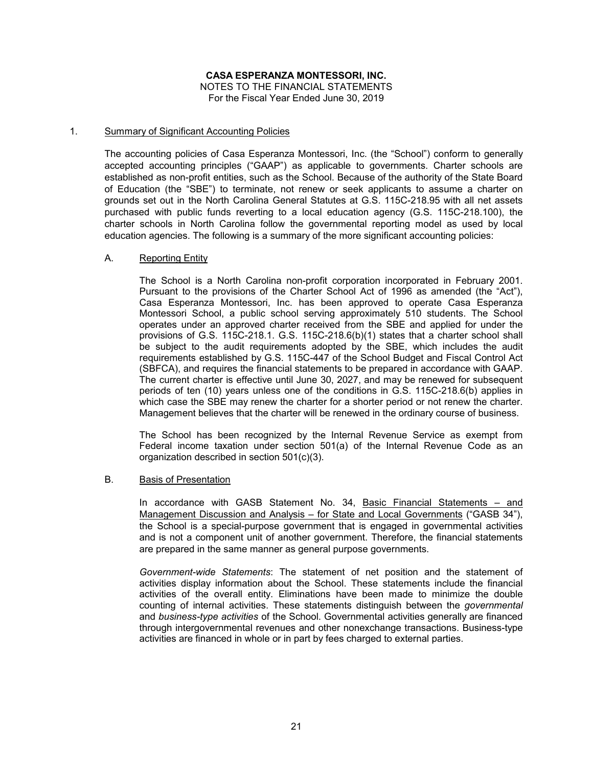#### 1. Summary of Significant Accounting Policies

The accounting policies of Casa Esperanza Montessori, Inc. (the "School") conform to generally accepted accounting principles ("GAAP") as applicable to governments. Charter schools are established as non-profit entities, such as the School. Because of the authority of the State Board of Education (the "SBE") to terminate, not renew or seek applicants to assume a charter on grounds set out in the North Carolina General Statutes at G.S. 115C-218.95 with all net assets purchased with public funds reverting to a local education agency (G.S. 115C-218.100), the charter schools in North Carolina follow the governmental reporting model as used by local education agencies. The following is a summary of the more significant accounting policies:

#### A. Reporting Entity

The School is a North Carolina non-profit corporation incorporated in February 2001. Pursuant to the provisions of the Charter School Act of 1996 as amended (the "Act"), Casa Esperanza Montessori, Inc. has been approved to operate Casa Esperanza Montessori School, a public school serving approximately 510 students. The School operates under an approved charter received from the SBE and applied for under the provisions of G.S. 115C-218.1. G.S. 115C-218.6(b)(1) states that a charter school shall be subject to the audit requirements adopted by the SBE, which includes the audit requirements established by G.S. 115C-447 of the School Budget and Fiscal Control Act (SBFCA), and requires the financial statements to be prepared in accordance with GAAP. The current charter is effective until June 30, 2027, and may be renewed for subsequent periods of ten (10) years unless one of the conditions in G.S. 115C-218.6(b) applies in which case the SBE may renew the charter for a shorter period or not renew the charter. Management believes that the charter will be renewed in the ordinary course of business.

The School has been recognized by the Internal Revenue Service as exempt from Federal income taxation under section 501(a) of the Internal Revenue Code as an organization described in section 501(c)(3).

#### B. Basis of Presentation

In accordance with GASB Statement No. 34, Basic Financial Statements – and Management Discussion and Analysis – for State and Local Governments ("GASB 34"), the School is a special-purpose government that is engaged in governmental activities and is not a component unit of another government. Therefore, the financial statements are prepared in the same manner as general purpose governments.

*Government-wide Statements*: The statement of net position and the statement of activities display information about the School. These statements include the financial activities of the overall entity. Eliminations have been made to minimize the double counting of internal activities. These statements distinguish between the *governmental* and *business-type activities* of the School. Governmental activities generally are financed through intergovernmental revenues and other nonexchange transactions. Business-type activities are financed in whole or in part by fees charged to external parties.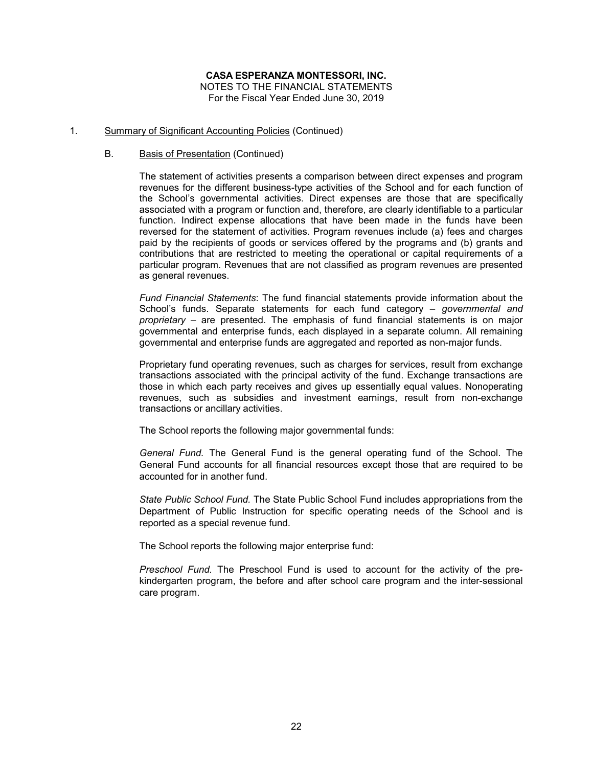# **CASA ESPERANZA MONTESSORI, INC.**

NOTES TO THE FINANCIAL STATEMENTS For the Fiscal Year Ended June 30, 2019

#### 1. Summary of Significant Accounting Policies (Continued)

#### B. Basis of Presentation (Continued)

The statement of activities presents a comparison between direct expenses and program revenues for the different business-type activities of the School and for each function of the School's governmental activities. Direct expenses are those that are specifically associated with a program or function and, therefore, are clearly identifiable to a particular function. Indirect expense allocations that have been made in the funds have been reversed for the statement of activities. Program revenues include (a) fees and charges paid by the recipients of goods or services offered by the programs and (b) grants and contributions that are restricted to meeting the operational or capital requirements of a particular program. Revenues that are not classified as program revenues are presented as general revenues.

*Fund Financial Statements*: The fund financial statements provide information about the School's funds. Separate statements for each fund category – *governmental and proprietary* – are presented. The emphasis of fund financial statements is on major governmental and enterprise funds, each displayed in a separate column. All remaining governmental and enterprise funds are aggregated and reported as non-major funds.

Proprietary fund operating revenues, such as charges for services, result from exchange transactions associated with the principal activity of the fund. Exchange transactions are those in which each party receives and gives up essentially equal values. Nonoperating revenues, such as subsidies and investment earnings, result from non-exchange transactions or ancillary activities.

The School reports the following major governmental funds:

*General Fund.* The General Fund is the general operating fund of the School. The General Fund accounts for all financial resources except those that are required to be accounted for in another fund.

*State Public School Fund.* The State Public School Fund includes appropriations from the Department of Public Instruction for specific operating needs of the School and is reported as a special revenue fund.

The School reports the following major enterprise fund:

*Preschool Fund.* The Preschool Fund is used to account for the activity of the prekindergarten program, the before and after school care program and the inter-sessional care program.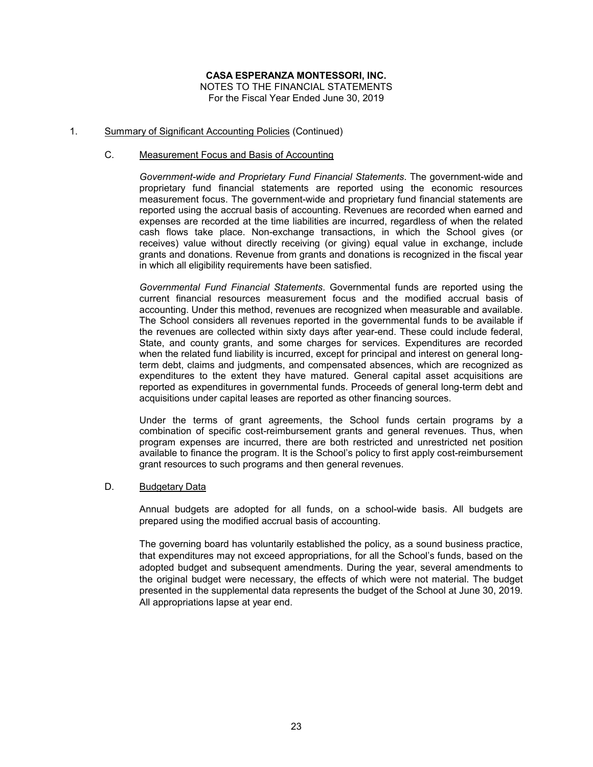#### 1. Summary of Significant Accounting Policies (Continued)

#### C. Measurement Focus and Basis of Accounting

*Government-wide and Proprietary Fund Financial Statements*. The government-wide and proprietary fund financial statements are reported using the economic resources measurement focus. The government-wide and proprietary fund financial statements are reported using the accrual basis of accounting. Revenues are recorded when earned and expenses are recorded at the time liabilities are incurred, regardless of when the related cash flows take place. Non-exchange transactions, in which the School gives (or receives) value without directly receiving (or giving) equal value in exchange, include grants and donations. Revenue from grants and donations is recognized in the fiscal year in which all eligibility requirements have been satisfied.

*Governmental Fund Financial Statements*. Governmental funds are reported using the current financial resources measurement focus and the modified accrual basis of accounting. Under this method, revenues are recognized when measurable and available. The School considers all revenues reported in the governmental funds to be available if the revenues are collected within sixty days after year-end. These could include federal, State, and county grants, and some charges for services. Expenditures are recorded when the related fund liability is incurred, except for principal and interest on general longterm debt, claims and judgments, and compensated absences, which are recognized as expenditures to the extent they have matured. General capital asset acquisitions are reported as expenditures in governmental funds. Proceeds of general long-term debt and acquisitions under capital leases are reported as other financing sources.

Under the terms of grant agreements, the School funds certain programs by a combination of specific cost-reimbursement grants and general revenues. Thus, when program expenses are incurred, there are both restricted and unrestricted net position available to finance the program. It is the School's policy to first apply cost-reimbursement grant resources to such programs and then general revenues.

#### D. Budgetary Data

Annual budgets are adopted for all funds, on a school-wide basis. All budgets are prepared using the modified accrual basis of accounting.

The governing board has voluntarily established the policy, as a sound business practice, that expenditures may not exceed appropriations, for all the School's funds, based on the adopted budget and subsequent amendments. During the year, several amendments to the original budget were necessary, the effects of which were not material. The budget presented in the supplemental data represents the budget of the School at June 30, 2019. All appropriations lapse at year end.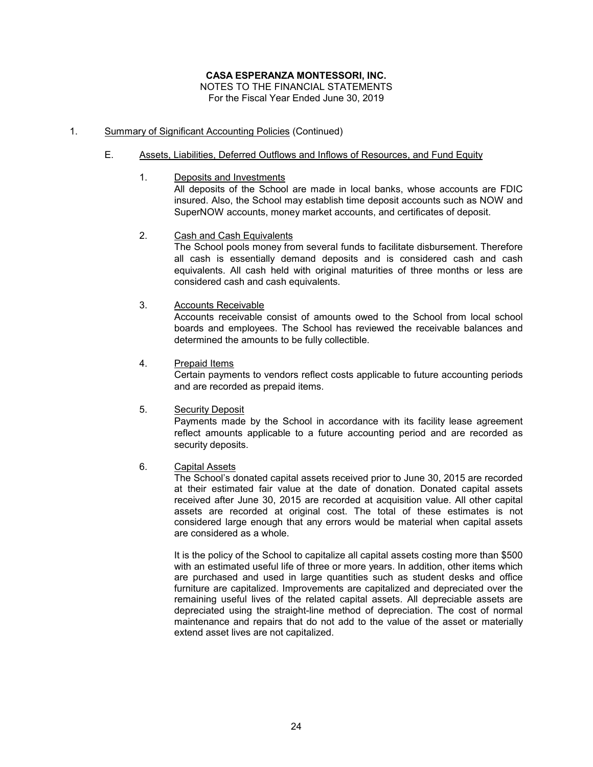#### 1. Summary of Significant Accounting Policies (Continued)

#### E. Assets, Liabilities, Deferred Outflows and Inflows of Resources, and Fund Equity

1. Deposits and Investments All deposits of the School are made in local banks, whose accounts are FDIC insured. Also, the School may establish time deposit accounts such as NOW and SuperNOW accounts, money market accounts, and certificates of deposit.

#### 2. Cash and Cash Equivalents

The School pools money from several funds to facilitate disbursement. Therefore all cash is essentially demand deposits and is considered cash and cash equivalents. All cash held with original maturities of three months or less are considered cash and cash equivalents.

3. Accounts Receivable

Accounts receivable consist of amounts owed to the School from local school boards and employees. The School has reviewed the receivable balances and determined the amounts to be fully collectible.

4. Prepaid Items

Certain payments to vendors reflect costs applicable to future accounting periods and are recorded as prepaid items.

5. Security Deposit

Payments made by the School in accordance with its facility lease agreement reflect amounts applicable to a future accounting period and are recorded as security deposits.

### 6. Capital Assets

The School's donated capital assets received prior to June 30, 2015 are recorded at their estimated fair value at the date of donation. Donated capital assets received after June 30, 2015 are recorded at acquisition value. All other capital assets are recorded at original cost. The total of these estimates is not considered large enough that any errors would be material when capital assets are considered as a whole.

It is the policy of the School to capitalize all capital assets costing more than \$500 with an estimated useful life of three or more years. In addition, other items which are purchased and used in large quantities such as student desks and office furniture are capitalized. Improvements are capitalized and depreciated over the remaining useful lives of the related capital assets. All depreciable assets are depreciated using the straight-line method of depreciation. The cost of normal maintenance and repairs that do not add to the value of the asset or materially extend asset lives are not capitalized.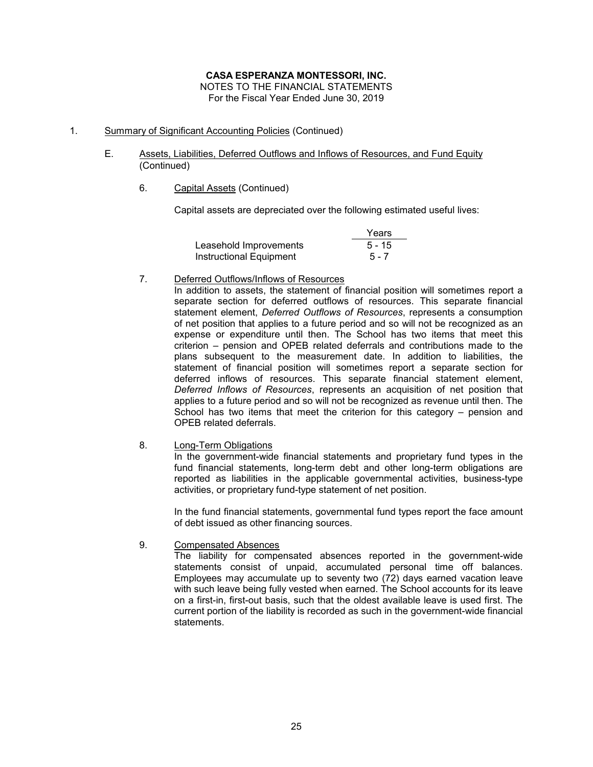### 1. Summary of Significant Accounting Policies (Continued)

- E. Assets, Liabilities, Deferred Outflows and Inflows of Resources, and Fund Equity (Continued)
	- 6. Capital Assets (Continued)

Capital assets are depreciated over the following estimated useful lives:

|                         | Years    |
|-------------------------|----------|
| Leasehold Improvements  | $5 - 15$ |
| Instructional Equipment | $5 - 7$  |

#### 7. Deferred Outflows/Inflows of Resources

In addition to assets, the statement of financial position will sometimes report a separate section for deferred outflows of resources. This separate financial statement element, *Deferred Outflows of Resources*, represents a consumption of net position that applies to a future period and so will not be recognized as an expense or expenditure until then. The School has two items that meet this criterion – pension and OPEB related deferrals and contributions made to the plans subsequent to the measurement date. In addition to liabilities, the statement of financial position will sometimes report a separate section for deferred inflows of resources. This separate financial statement element, *Deferred Inflows of Resources*, represents an acquisition of net position that applies to a future period and so will not be recognized as revenue until then. The School has two items that meet the criterion for this category – pension and OPEB related deferrals.

#### 8. Long-Term Obligations

In the government-wide financial statements and proprietary fund types in the fund financial statements, long-term debt and other long-term obligations are reported as liabilities in the applicable governmental activities, business-type activities, or proprietary fund-type statement of net position.

In the fund financial statements, governmental fund types report the face amount of debt issued as other financing sources.

9. Compensated Absences

The liability for compensated absences reported in the government-wide statements consist of unpaid, accumulated personal time off balances. Employees may accumulate up to seventy two  $(72)$  days earned vacation leave with such leave being fully vested when earned. The School accounts for its leave on a first-in, first-out basis, such that the oldest available leave is used first. The current portion of the liability is recorded as such in the government-wide financial statements.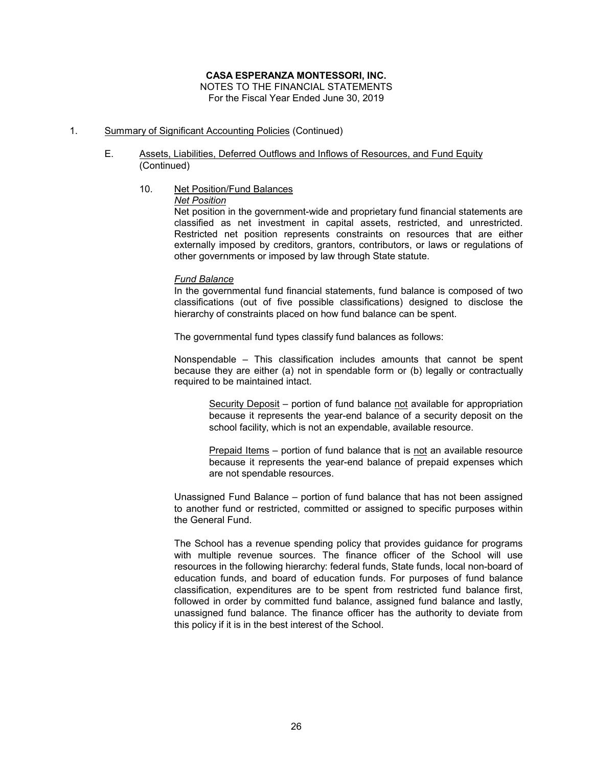### **CASA ESPERANZA MONTESSORI, INC.**

NOTES TO THE FINANCIAL STATEMENTS For the Fiscal Year Ended June 30, 2019

### 1. Summary of Significant Accounting Policies (Continued)

- E. Assets, Liabilities, Deferred Outflows and Inflows of Resources, and Fund Equity (Continued)
	- 10. Net Position/Fund Balances

*Net Position*

Net position in the government-wide and proprietary fund financial statements are classified as net investment in capital assets, restricted, and unrestricted. Restricted net position represents constraints on resources that are either externally imposed by creditors, grantors, contributors, or laws or regulations of other governments or imposed by law through State statute.

#### *Fund Balance*

In the governmental fund financial statements, fund balance is composed of two classifications (out of five possible classifications) designed to disclose the hierarchy of constraints placed on how fund balance can be spent.

The governmental fund types classify fund balances as follows:

Nonspendable – This classification includes amounts that cannot be spent because they are either (a) not in spendable form or (b) legally or contractually required to be maintained intact.

Security Deposit - portion of fund balance not available for appropriation because it represents the year-end balance of a security deposit on the school facility, which is not an expendable, available resource.

Prepaid Items – portion of fund balance that is not an available resource because it represents the year-end balance of prepaid expenses which are not spendable resources.

Unassigned Fund Balance – portion of fund balance that has not been assigned to another fund or restricted, committed or assigned to specific purposes within the General Fund.

The School has a revenue spending policy that provides guidance for programs with multiple revenue sources. The finance officer of the School will use resources in the following hierarchy: federal funds, State funds, local non-board of education funds, and board of education funds. For purposes of fund balance classification, expenditures are to be spent from restricted fund balance first, followed in order by committed fund balance, assigned fund balance and lastly, unassigned fund balance. The finance officer has the authority to deviate from this policy if it is in the best interest of the School.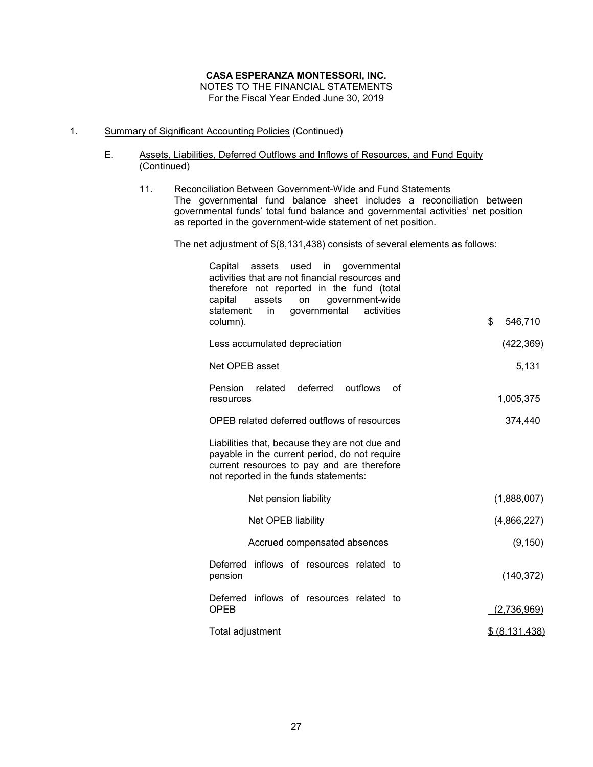#### 1. Summary of Significant Accounting Policies (Continued)

- E. Assets, Liabilities, Deferred Outflows and Inflows of Resources, and Fund Equity (Continued)
	- 11. Reconciliation Between Government-Wide and Fund Statements The governmental fund balance sheet includes a reconciliation between governmental funds' total fund balance and governmental activities' net position as reported in the government-wide statement of net position.

The net adjustment of \$(8,131,438) consists of several elements as follows:

| Capital<br>assets<br>used<br>$\mathsf{in}$<br>governmental<br>activities that are not financial resources and<br>therefore not reported in the fund (total<br>government-wide<br>capital<br>assets<br>on<br>governmental activities<br>statement<br>in<br>column). | \$<br>546,710  |
|--------------------------------------------------------------------------------------------------------------------------------------------------------------------------------------------------------------------------------------------------------------------|----------------|
| Less accumulated depreciation                                                                                                                                                                                                                                      | (422, 369)     |
|                                                                                                                                                                                                                                                                    |                |
| Net OPEB asset                                                                                                                                                                                                                                                     | 5,131          |
| Pension<br>related<br>deferred<br>outfiows<br>οf<br>resources                                                                                                                                                                                                      | 1,005,375      |
| OPEB related deferred outflows of resources                                                                                                                                                                                                                        | 374,440        |
| Liabilities that, because they are not due and<br>payable in the current period, do not require<br>current resources to pay and are therefore<br>not reported in the funds statements:                                                                             |                |
| Net pension liability                                                                                                                                                                                                                                              | (1,888,007)    |
| Net OPEB liability                                                                                                                                                                                                                                                 | (4,866,227)    |
| Accrued compensated absences                                                                                                                                                                                                                                       | (9, 150)       |
| Deferred inflows of resources related to<br>pension                                                                                                                                                                                                                | (140, 372)     |
| inflows of resources related to<br><b>Deferred</b><br><b>OPEB</b>                                                                                                                                                                                                  | (2,736,969)    |
| Total adjustment                                                                                                                                                                                                                                                   | \$ (8,131,438) |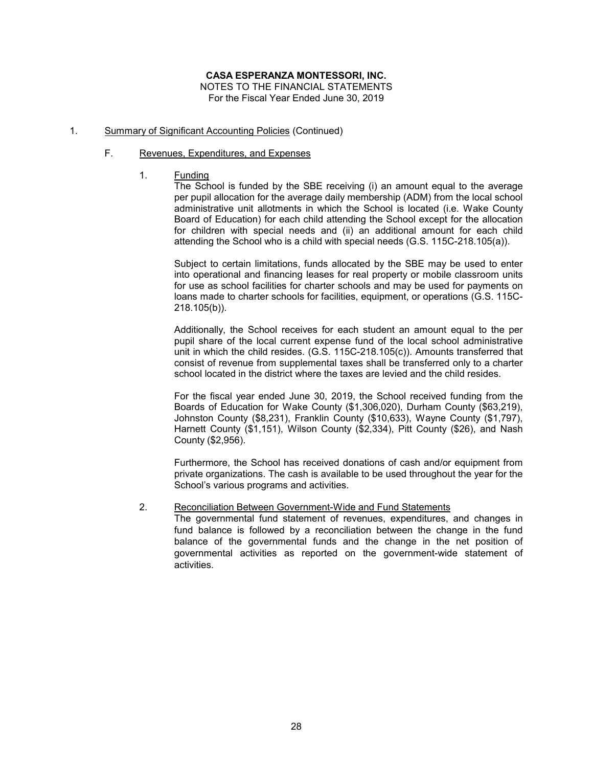### **CASA ESPERANZA MONTESSORI, INC.**

NOTES TO THE FINANCIAL STATEMENTS For the Fiscal Year Ended June 30, 2019

#### 1. Summary of Significant Accounting Policies (Continued)

#### F. Revenues, Expenditures, and Expenses

1. Funding

The School is funded by the SBE receiving (i) an amount equal to the average per pupil allocation for the average daily membership (ADM) from the local school administrative unit allotments in which the School is located (i.e. Wake County Board of Education) for each child attending the School except for the allocation for children with special needs and (ii) an additional amount for each child attending the School who is a child with special needs (G.S. 115C-218.105(a)).

Subject to certain limitations, funds allocated by the SBE may be used to enter into operational and financing leases for real property or mobile classroom units for use as school facilities for charter schools and may be used for payments on loans made to charter schools for facilities, equipment, or operations (G.S. 115C-218.105(b)).

Additionally, the School receives for each student an amount equal to the per pupil share of the local current expense fund of the local school administrative unit in which the child resides. (G.S. 115C-218.105(c)). Amounts transferred that consist of revenue from supplemental taxes shall be transferred only to a charter school located in the district where the taxes are levied and the child resides.

For the fiscal year ended June 30, 2019, the School received funding from the Boards of Education for Wake County (\$1,306,020), Durham County (\$63,219), Johnston County (\$8,231), Franklin County (\$10,633), Wayne County (\$1,797), Harnett County (\$1,151), Wilson County (\$2,334), Pitt County (\$26), and Nash County (\$2,956).

Furthermore, the School has received donations of cash and/or equipment from private organizations. The cash is available to be used throughout the year for the School's various programs and activities.

#### 2. Reconciliation Between Government-Wide and Fund Statements

The governmental fund statement of revenues, expenditures, and changes in fund balance is followed by a reconciliation between the change in the fund balance of the governmental funds and the change in the net position of governmental activities as reported on the government-wide statement of **activities**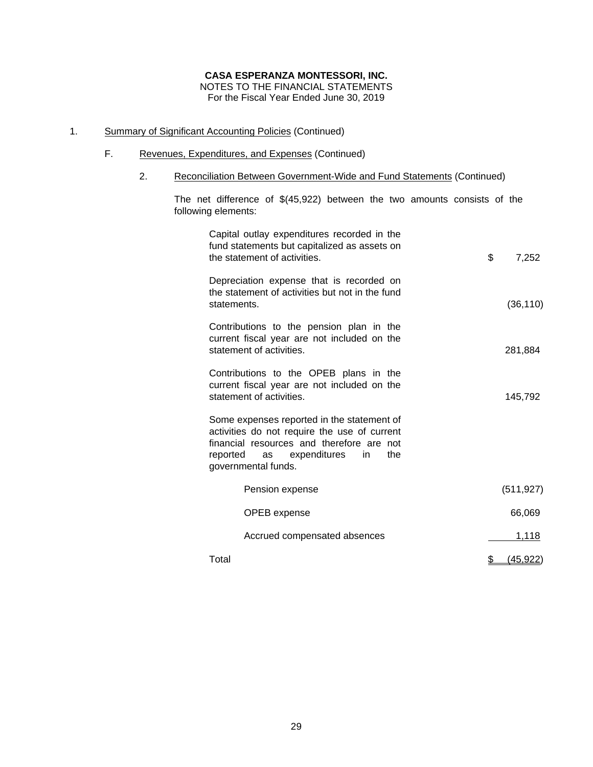### 1. Summary of Significant Accounting Policies (Continued)

- F. Revenues, Expenditures, and Expenses (Continued)
	- 2. Reconciliation Between Government-Wide and Fund Statements (Continued)

The net difference of \$(45,922) between the two amounts consists of the following elements:

| Capital outlay expenditures recorded in the<br>fund statements but capitalized as assets on<br>the statement of activities.                                                                                 | \$<br>7,252     |
|-------------------------------------------------------------------------------------------------------------------------------------------------------------------------------------------------------------|-----------------|
| Depreciation expense that is recorded on<br>the statement of activities but not in the fund<br>statements.                                                                                                  | (36, 110)       |
| Contributions to the pension plan in the<br>current fiscal year are not included on the<br>statement of activities.                                                                                         | 281,884         |
| Contributions to the OPEB plans in the<br>current fiscal year are not included on the<br>statement of activities.                                                                                           | 145,792         |
| Some expenses reported in the statement of<br>activities do not require the use of current<br>financial resources and therefore are not<br>reported<br>as expenditures<br>the<br>in.<br>governmental funds. |                 |
| Pension expense                                                                                                                                                                                             | (511, 927)      |
| OPEB expense                                                                                                                                                                                                | 66,069          |
| Accrued compensated absences                                                                                                                                                                                | 1,118           |
| Total                                                                                                                                                                                                       | <u>(45,922)</u> |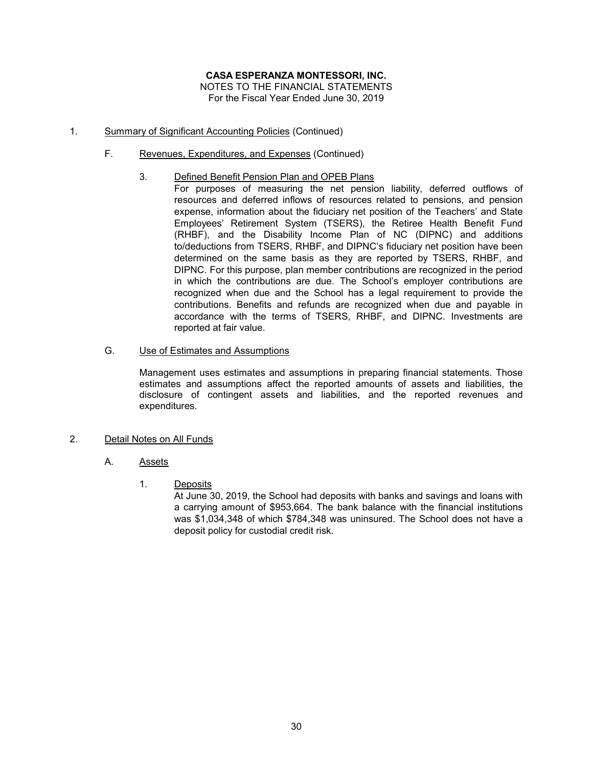- 1. Summary of Significant Accounting Policies (Continued)
	- F. Revenues, Expenditures, and Expenses (Continued)
		- 3. Defined Benefit Pension Plan and OPEB Plans
			- For purposes of measuring the net pension liability, deferred outflows of resources and deferred inflows of resources related to pensions, and pension expense, information about the fiduciary net position of the Teachers' and State Employees' Retirement System (TSERS), the Retiree Health Benefit Fund (RHBF), and the Disability Income Plan of NC (DIPNC) and additions to/deductions from TSERS, RHBF, and DIPNC's fiduciary net position have been determined on the same basis as they are reported by TSERS, RHBF, and DIPNC. For this purpose, plan member contributions are recognized in the period in which the contributions are due. The School's employer contributions are recognized when due and the School has a legal requirement to provide the contributions. Benefits and refunds are recognized when due and payable in accordance with the terms of TSERS, RHBF, and DIPNC. Investments are reported at fair value.
	- G. Use of Estimates and Assumptions

Management uses estimates and assumptions in preparing financial statements. Those estimates and assumptions affect the reported amounts of assets and liabilities, the disclosure of contingent assets and liabilities, and the reported revenues and expenditures.

#### 2. Detail Notes on All Funds

- A. Assets
	- 1. Deposits

At June 30, 2019, the School had deposits with banks and savings and loans with a carrying amount of \$953,664. The bank balance with the financial institutions was \$1,034,348 of which \$784,348 was uninsured. The School does not have a deposit policy for custodial credit risk.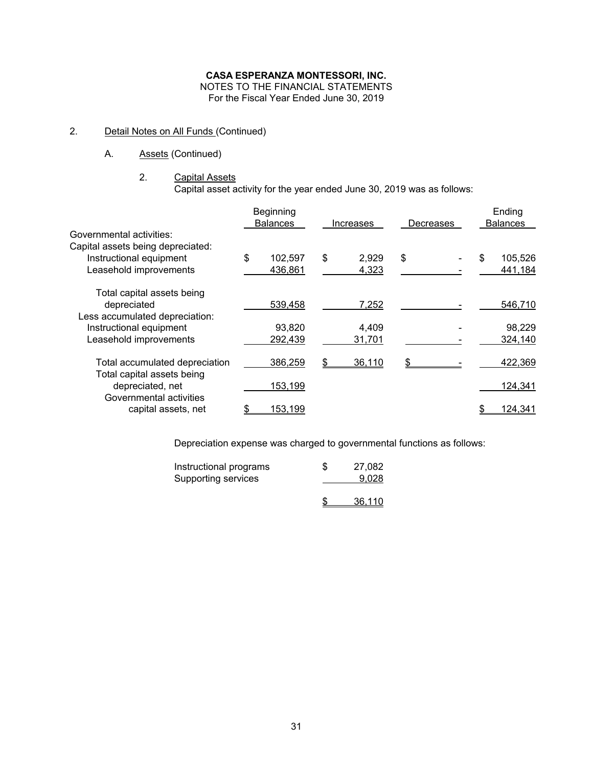### **CASA ESPERANZA MONTESSORI, INC.**

NOTES TO THE FINANCIAL STATEMENTS

For the Fiscal Year Ended June 30, 2019

### 2. Detail Notes on All Funds (Continued)

A. Assets (Continued)

#### 2. Capital Assets

Capital asset activity for the year ended June 30, 2019 was as follows:

|                                                | Beginning       |             |           | Ending          |
|------------------------------------------------|-----------------|-------------|-----------|-----------------|
|                                                | <b>Balances</b> | Increases   | Decreases | <b>Balances</b> |
| Governmental activities:                       |                 |             |           |                 |
| Capital assets being depreciated:              |                 |             |           |                 |
| Instructional equipment                        | \$<br>102,597   | \$<br>2,929 | \$        | \$<br>105,526   |
| Leasehold improvements                         | 436,861         | 4,323       |           | 441,184         |
| Total capital assets being                     |                 |             |           |                 |
| depreciated                                    | 539,458         | 7,252       |           | 546,710         |
| Less accumulated depreciation:                 |                 |             |           |                 |
| Instructional equipment                        | 93.820          | 4,409       |           | 98,229          |
| Leasehold improvements                         | 292,439         | 31,701      |           | 324,140         |
| Total accumulated depreciation                 | 386,259         | 36,110      |           | 422,369         |
| Total capital assets being<br>depreciated, net | 153,199         |             |           | 124,341         |
| Governmental activities<br>capital assets, net | <u>153,199</u>  |             |           | 124,341         |

Depreciation expense was charged to governmental functions as follows:

| Instructional programs<br>Supporting services | S | 27.082<br>9.028 |
|-----------------------------------------------|---|-----------------|
|                                               |   | 36.110          |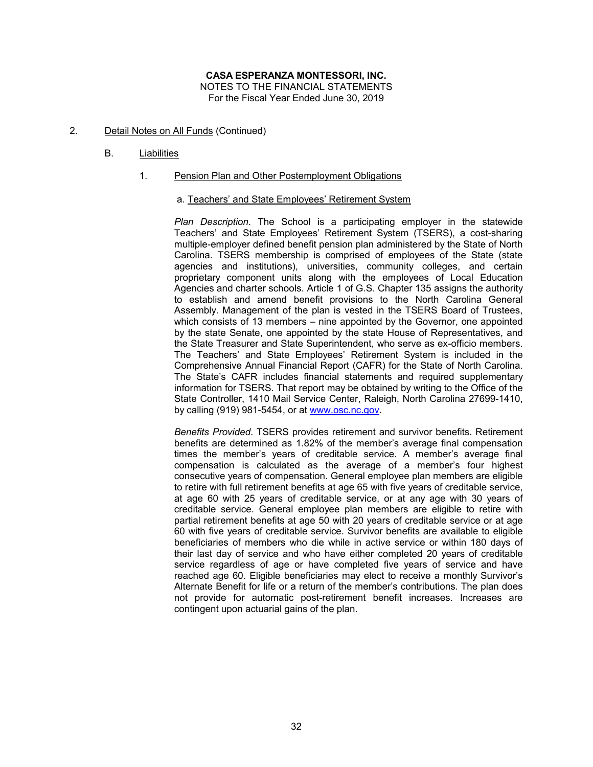- 2. Detail Notes on All Funds (Continued)
	- B. Liabilities

#### 1. Pension Plan and Other Postemployment Obligations

#### a. Teachers' and State Employees' Retirement System

*Plan Description*. The School is a participating employer in the statewide Teachers' and State Employees' Retirement System (TSERS), a cost-sharing multiple-employer defined benefit pension plan administered by the State of North Carolina. TSERS membership is comprised of employees of the State (state agencies and institutions), universities, community colleges, and certain proprietary component units along with the employees of Local Education Agencies and charter schools. Article 1 of G.S. Chapter 135 assigns the authority to establish and amend benefit provisions to the North Carolina General Assembly. Management of the plan is vested in the TSERS Board of Trustees, which consists of 13 members – nine appointed by the Governor, one appointed by the state Senate, one appointed by the state House of Representatives, and the State Treasurer and State Superintendent, who serve as ex-officio members. The Teachers' and State Employees' Retirement System is included in the Comprehensive Annual Financial Report (CAFR) for the State of North Carolina. The State's CAFR includes financial statements and required supplementary information for TSERS. That report may be obtained by writing to the Office of the State Controller, 1410 Mail Service Center, Raleigh, North Carolina 27699-1410, by calling (919) 981-5454, or at www.osc.nc.gov.

*Benefits Provided*. TSERS provides retirement and survivor benefits. Retirement benefits are determined as 1.82% of the member's average final compensation times the member's years of creditable service. A member's average final compensation is calculated as the average of a member's four highest consecutive years of compensation. General employee plan members are eligible to retire with full retirement benefits at age 65 with five years of creditable service, at age 60 with 25 years of creditable service, or at any age with 30 years of creditable service. General employee plan members are eligible to retire with partial retirement benefits at age 50 with 20 years of creditable service or at age 60 with five years of creditable service. Survivor benefits are available to eligible beneficiaries of members who die while in active service or within 180 days of their last day of service and who have either completed 20 years of creditable service regardless of age or have completed five years of service and have reached age 60. Eligible beneficiaries may elect to receive a monthly Survivor's Alternate Benefit for life or a return of the member's contributions. The plan does not provide for automatic post-retirement benefit increases. Increases are contingent upon actuarial gains of the plan.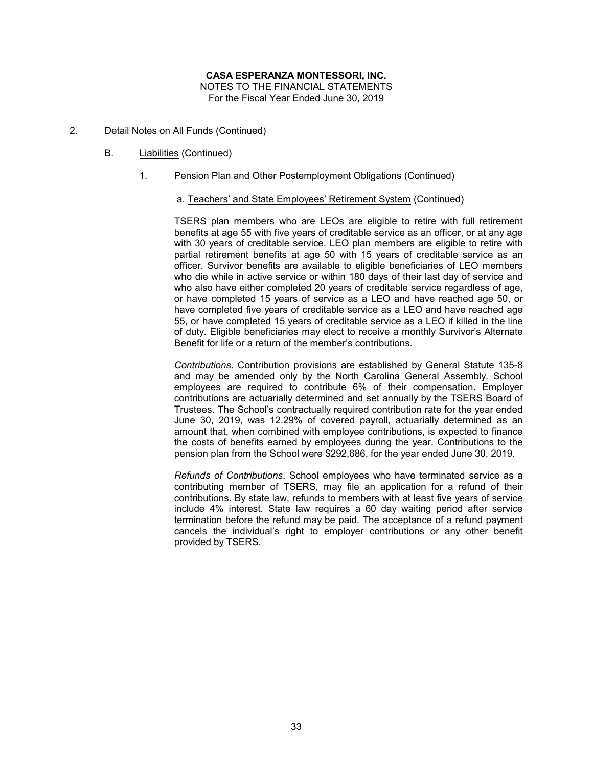- 2. Detail Notes on All Funds (Continued)
	- B. Liabilities (Continued)
		- 1. Pension Plan and Other Postemployment Obligations (Continued)

#### a. Teachers' and State Employees' Retirement System (Continued)

TSERS plan members who are LEOs are eligible to retire with full retirement benefits at age 55 with five years of creditable service as an officer, or at any age with 30 years of creditable service. LEO plan members are eligible to retire with partial retirement benefits at age 50 with 15 years of creditable service as an officer. Survivor benefits are available to eligible beneficiaries of LEO members who die while in active service or within 180 days of their last day of service and who also have either completed 20 years of creditable service regardless of age, or have completed 15 years of service as a LEO and have reached age 50, or have completed five years of creditable service as a LEO and have reached age 55, or have completed 15 years of creditable service as a LEO if killed in the line of duty. Eligible beneficiaries may elect to receive a monthly Survivor's Alternate Benefit for life or a return of the member's contributions.

*Contributions.* Contribution provisions are established by General Statute 135-8 and may be amended only by the North Carolina General Assembly. School employees are required to contribute 6% of their compensation. Employer contributions are actuarially determined and set annually by the TSERS Board of Trustees. The School's contractually required contribution rate for the year ended June 30, 2019, was 12.29% of covered payroll, actuarially determined as an amount that, when combined with employee contributions, is expected to finance the costs of benefits earned by employees during the year. Contributions to the pension plan from the School were \$292,686, for the year ended June 30, 2019.

*Refunds of Contributions*. School employees who have terminated service as a contributing member of TSERS, may file an application for a refund of their contributions. By state law, refunds to members with at least five years of service include 4% interest. State law requires a 60 day waiting period after service termination before the refund may be paid. The acceptance of a refund payment cancels the individual's right to employer contributions or any other benefit provided by TSERS.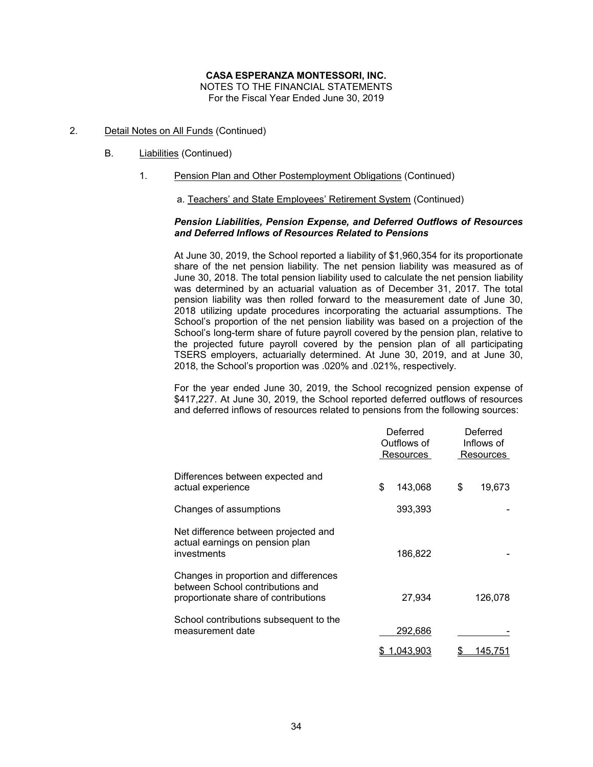NOTES TO THE FINANCIAL STATEMENTS For the Fiscal Year Ended June 30, 2019

- 2. Detail Notes on All Funds (Continued)
	- B. Liabilities (Continued)
		- 1. Pension Plan and Other Postemployment Obligations (Continued)

a. Teachers' and State Employees' Retirement System (Continued)

### *Pension Liabilities, Pension Expense, and Deferred Outflows of Resources and Deferred Inflows of Resources Related to Pensions*

At June 30, 2019, the School reported a liability of \$1,960,354 for its proportionate share of the net pension liability. The net pension liability was measured as of June 30, 2018. The total pension liability used to calculate the net pension liability was determined by an actuarial valuation as of December 31, 2017. The total pension liability was then rolled forward to the measurement date of June 30, 2018 utilizing update procedures incorporating the actuarial assumptions. The School's proportion of the net pension liability was based on a projection of the School's long-term share of future payroll covered by the pension plan, relative to the projected future payroll covered by the pension plan of all participating TSERS employers, actuarially determined. At June 30, 2019, and at June 30, 2018, the School's proportion was .020% and .021%, respectively.

For the year ended June 30, 2019, the School recognized pension expense of \$417,227. At June 30, 2019, the School reported deferred outflows of resources and deferred inflows of resources related to pensions from the following sources:

|                                                                                                                   | Deferred<br>Outflows of<br>Resources |    | Deferred<br>Inflows of<br>Resources |
|-------------------------------------------------------------------------------------------------------------------|--------------------------------------|----|-------------------------------------|
| Differences between expected and<br>actual experience                                                             | \$<br>143,068                        | \$ | 19,673                              |
| Changes of assumptions                                                                                            | 393,393                              |    |                                     |
| Net difference between projected and<br>actual earnings on pension plan<br>investments                            | 186,822                              |    |                                     |
| Changes in proportion and differences<br>between School contributions and<br>proportionate share of contributions | 27,934                               |    | 126,078                             |
| School contributions subsequent to the<br>measurement date                                                        | 292,686                              |    |                                     |
|                                                                                                                   | 1.043.903                            |    | 145.751                             |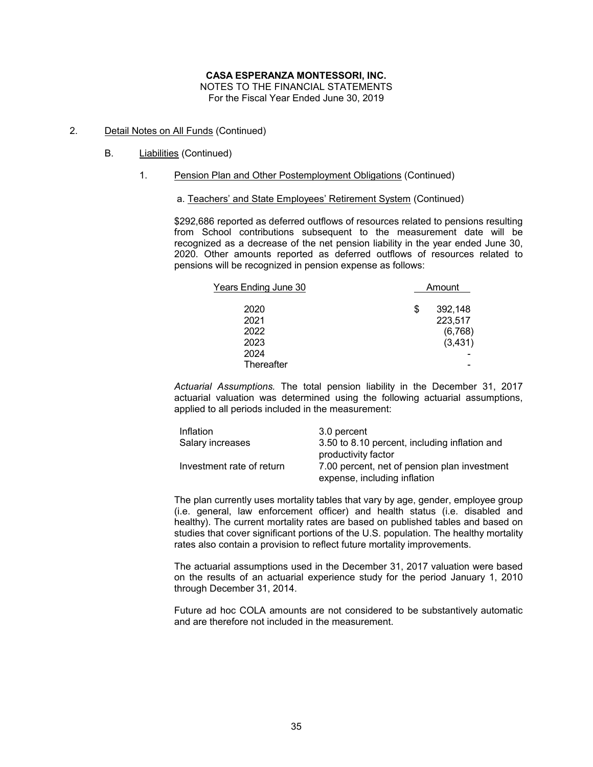NOTES TO THE FINANCIAL STATEMENTS For the Fiscal Year Ended June 30, 2019

- 2. Detail Notes on All Funds (Continued)
	- B. Liabilities (Continued)
		- 1. Pension Plan and Other Postemployment Obligations (Continued)
			- a. Teachers' and State Employees' Retirement System (Continued)

\$292,686 reported as deferred outflows of resources related to pensions resulting from School contributions subsequent to the measurement date will be recognized as a decrease of the net pension liability in the year ended June 30, 2020. Other amounts reported as deferred outflows of resources related to pensions will be recognized in pension expense as follows:

| <u> Years Ending June 30</u> | Amount |          |  |
|------------------------------|--------|----------|--|
| 2020                         | \$     | 392,148  |  |
| 2021                         |        | 223,517  |  |
| 2022                         |        | (6,768)  |  |
| 2023                         |        | (3, 431) |  |
| 2024                         |        |          |  |
| Thereafter                   |        |          |  |

*Actuarial Assumptions.* The total pension liability in the December 31, 2017 actuarial valuation was determined using the following actuarial assumptions, applied to all periods included in the measurement:

| Inflation                 | 3.0 percent                                   |
|---------------------------|-----------------------------------------------|
| Salary increases          | 3.50 to 8.10 percent, including inflation and |
|                           | productivity factor                           |
| Investment rate of return | 7.00 percent, net of pension plan investment  |
|                           | expense, including inflation                  |

The plan currently uses mortality tables that vary by age, gender, employee group (i.e. general, law enforcement officer) and health status (i.e. disabled and healthy). The current mortality rates are based on published tables and based on studies that cover significant portions of the U.S. population. The healthy mortality rates also contain a provision to reflect future mortality improvements.

The actuarial assumptions used in the December 31, 2017 valuation were based on the results of an actuarial experience study for the period January 1, 2010 through December 31, 2014.

Future ad hoc COLA amounts are not considered to be substantively automatic and are therefore not included in the measurement.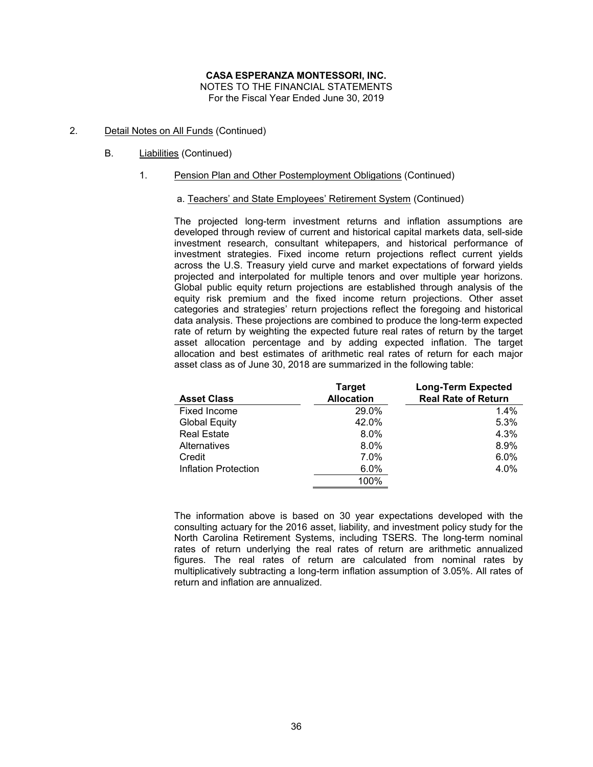- 2. Detail Notes on All Funds (Continued)
	- B. Liabilities (Continued)
		- 1. Pension Plan and Other Postemployment Obligations (Continued)

### a. Teachers' and State Employees' Retirement System (Continued)

The projected long-term investment returns and inflation assumptions are developed through review of current and historical capital markets data, sell-side investment research, consultant whitepapers, and historical performance of investment strategies. Fixed income return projections reflect current yields across the U.S. Treasury yield curve and market expectations of forward yields projected and interpolated for multiple tenors and over multiple year horizons. Global public equity return projections are established through analysis of the equity risk premium and the fixed income return projections. Other asset categories and strategies' return projections reflect the foregoing and historical data analysis. These projections are combined to produce the long-term expected rate of return by weighting the expected future real rates of return by the target asset allocation percentage and by adding expected inflation. The target allocation and best estimates of arithmetic real rates of return for each major asset class as of June 30, 2018 are summarized in the following table:

|                      | <b>Target</b>     | <b>Long-Term Expected</b>  |
|----------------------|-------------------|----------------------------|
| <b>Asset Class</b>   | <b>Allocation</b> | <b>Real Rate of Return</b> |
| Fixed Income         | 29.0%             | $1.4\%$                    |
| <b>Global Equity</b> | 42.0%             | 5.3%                       |
| <b>Real Estate</b>   | $8.0\%$           | 4.3%                       |
| Alternatives         | $8.0\%$           | 8.9%                       |
| Credit               | 7.0%              | 6.0%                       |
| Inflation Protection | 6.0%              | 4.0%                       |
|                      | 100%              |                            |

The information above is based on 30 year expectations developed with the consulting actuary for the 2016 asset, liability, and investment policy study for the North Carolina Retirement Systems, including TSERS. The long-term nominal rates of return underlying the real rates of return are arithmetic annualized figures. The real rates of return are calculated from nominal rates by multiplicatively subtracting a long-term inflation assumption of 3.05%. All rates of return and inflation are annualized.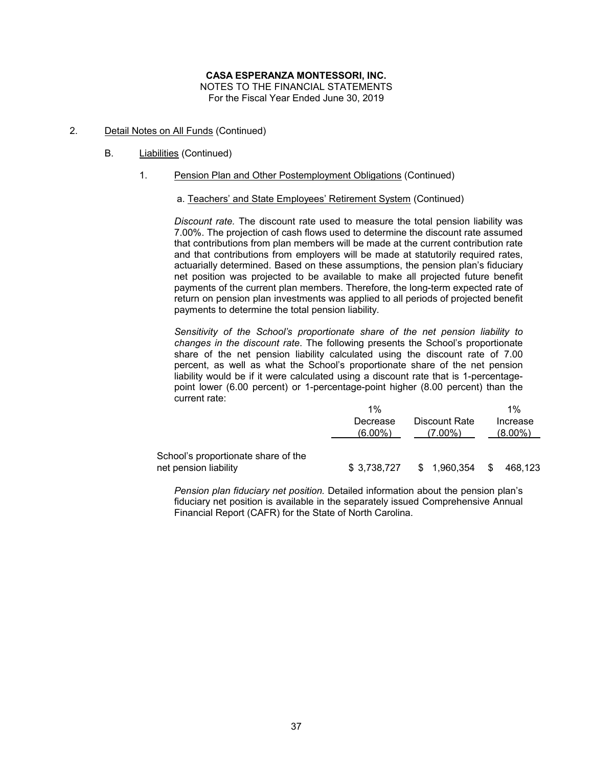- 2. Detail Notes on All Funds (Continued)
	- B. Liabilities (Continued)
		- 1. Pension Plan and Other Postemployment Obligations (Continued)

### a. Teachers' and State Employees' Retirement System (Continued)

*Discount rate.* The discount rate used to measure the total pension liability was 7.00%. The projection of cash flows used to determine the discount rate assumed that contributions from plan members will be made at the current contribution rate and that contributions from employers will be made at statutorily required rates, actuarially determined. Based on these assumptions, the pension plan's fiduciary net position was projected to be available to make all projected future benefit payments of the current plan members. Therefore, the long-term expected rate of return on pension plan investments was applied to all periods of projected benefit payments to determine the total pension liability.

*Sensitivity of the School's proportionate share of the net pension liability to changes in the discount rate*. The following presents the School's proportionate share of the net pension liability calculated using the discount rate of 7.00 percent, as well as what the School's proportionate share of the net pension liability would be if it were calculated using a discount rate that is 1-percentagepoint lower (6.00 percent) or 1-percentage-point higher (8.00 percent) than the current rate:

|                                     | 1%           | $1\%$       |                     |
|-------------------------------------|--------------|-------------|---------------------|
|                                     | Decrease     | Increase    |                     |
|                                     | $(6.00\%)$   | $(7.00\%)$  | $(8.00\%)$          |
| School's proportionate share of the |              |             |                     |
| net pension liability               | \$ 3.738.727 | \$1,960,354 | <b>S</b><br>468.123 |

*Pension plan fiduciary net position.* Detailed information about the pension plan's fiduciary net position is available in the separately issued Comprehensive Annual Financial Report (CAFR) for the State of North Carolina.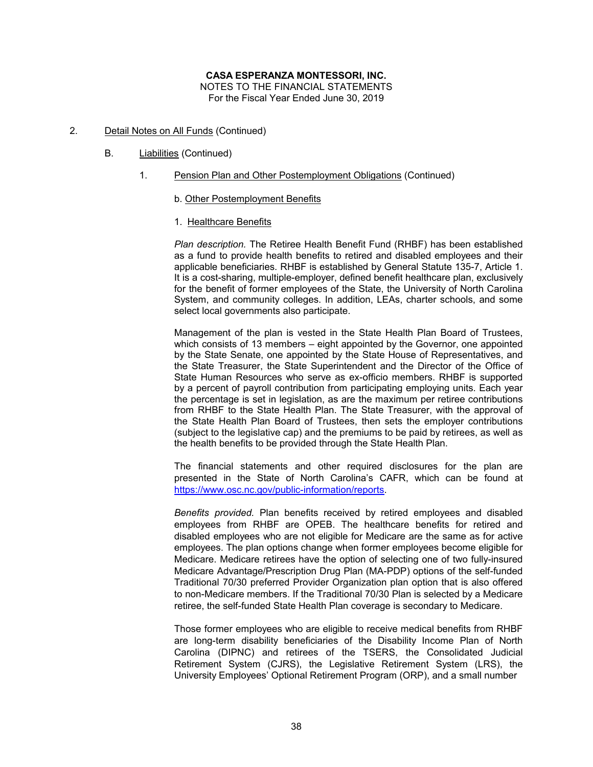- 2. Detail Notes on All Funds (Continued)
	- B. Liabilities (Continued)
		- 1. Pension Plan and Other Postemployment Obligations (Continued)
			- b. Other Postemployment Benefits
			- 1. Healthcare Benefits

*Plan description.* The Retiree Health Benefit Fund (RHBF) has been established as a fund to provide health benefits to retired and disabled employees and their applicable beneficiaries. RHBF is established by General Statute 135-7, Article 1. It is a cost-sharing, multiple-employer, defined benefit healthcare plan, exclusively for the benefit of former employees of the State, the University of North Carolina System, and community colleges. In addition, LEAs, charter schools, and some select local governments also participate.

Management of the plan is vested in the State Health Plan Board of Trustees, which consists of 13 members – eight appointed by the Governor, one appointed by the State Senate, one appointed by the State House of Representatives, and the State Treasurer, the State Superintendent and the Director of the Office of State Human Resources who serve as ex-officio members. RHBF is supported by a percent of payroll contribution from participating employing units. Each year the percentage is set in legislation, as are the maximum per retiree contributions from RHBF to the State Health Plan. The State Treasurer, with the approval of the State Health Plan Board of Trustees, then sets the employer contributions (subject to the legislative cap) and the premiums to be paid by retirees, as well as the health benefits to be provided through the State Health Plan.

The financial statements and other required disclosures for the plan are presented in the State of North Carolina's CAFR, which can be found at https://www.osc.nc.gov/public-information/reports.

*Benefits provided.* Plan benefits received by retired employees and disabled employees from RHBF are OPEB. The healthcare benefits for retired and disabled employees who are not eligible for Medicare are the same as for active employees. The plan options change when former employees become eligible for Medicare. Medicare retirees have the option of selecting one of two fully-insured Medicare Advantage/Prescription Drug Plan (MA-PDP) options of the self-funded Traditional 70/30 preferred Provider Organization plan option that is also offered to non-Medicare members. If the Traditional 70/30 Plan is selected by a Medicare retiree, the self-funded State Health Plan coverage is secondary to Medicare.

Those former employees who are eligible to receive medical benefits from RHBF are long-term disability beneficiaries of the Disability Income Plan of North Carolina (DIPNC) and retirees of the TSERS, the Consolidated Judicial Retirement System (CJRS), the Legislative Retirement System (LRS), the University Employees' Optional Retirement Program (ORP), and a small number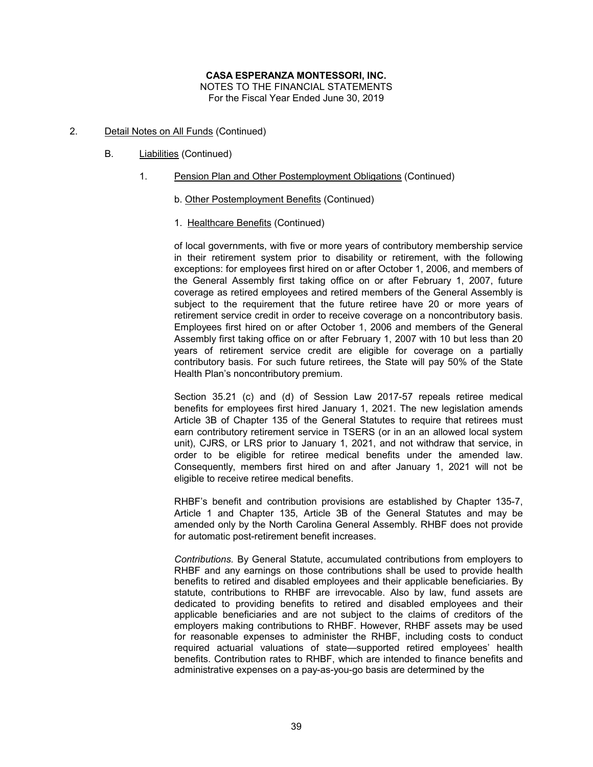- 2. Detail Notes on All Funds (Continued)
	- B. Liabilities (Continued)
		- 1. Pension Plan and Other Postemployment Obligations (Continued)
			- b. Other Postemployment Benefits (Continued)
			- 1. Healthcare Benefits (Continued)

of local governments, with five or more years of contributory membership service in their retirement system prior to disability or retirement, with the following exceptions: for employees first hired on or after October 1, 2006, and members of the General Assembly first taking office on or after February 1, 2007, future coverage as retired employees and retired members of the General Assembly is subject to the requirement that the future retiree have 20 or more years of retirement service credit in order to receive coverage on a noncontributory basis. Employees first hired on or after October 1, 2006 and members of the General Assembly first taking office on or after February 1, 2007 with 10 but less than 20 years of retirement service credit are eligible for coverage on a partially contributory basis. For such future retirees, the State will pay 50% of the State Health Plan's noncontributory premium.

Section 35.21 (c) and (d) of Session Law 2017-57 repeals retiree medical benefits for employees first hired January 1, 2021. The new legislation amends Article 3B of Chapter 135 of the General Statutes to require that retirees must earn contributory retirement service in TSERS (or in an an allowed local system unit), CJRS, or LRS prior to January 1, 2021, and not withdraw that service, in order to be eligible for retiree medical benefits under the amended law. Consequently, members first hired on and after January 1, 2021 will not be eligible to receive retiree medical benefits.

RHBF's benefit and contribution provisions are established by Chapter 135-7, Article 1 and Chapter 135, Article 3B of the General Statutes and may be amended only by the North Carolina General Assembly. RHBF does not provide for automatic post-retirement benefit increases.

*Contributions.* By General Statute, accumulated contributions from employers to RHBF and any earnings on those contributions shall be used to provide health benefits to retired and disabled employees and their applicable beneficiaries. By statute, contributions to RHBF are irrevocable. Also by law, fund assets are dedicated to providing benefits to retired and disabled employees and their applicable beneficiaries and are not subject to the claims of creditors of the employers making contributions to RHBF. However, RHBF assets may be used for reasonable expenses to administer the RHBF, including costs to conduct required actuarial valuations of state—supported retired employees' health benefits. Contribution rates to RHBF, which are intended to finance benefits and administrative expenses on a pay-as-you-go basis are determined by the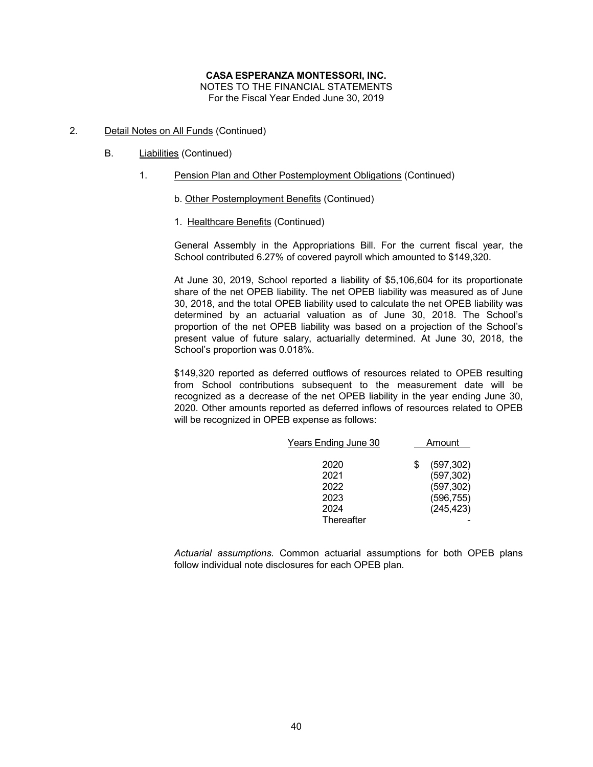- 2. Detail Notes on All Funds (Continued)
	- B. Liabilities (Continued)
		- 1. Pension Plan and Other Postemployment Obligations (Continued)
			- b. Other Postemployment Benefits (Continued)
			- 1. Healthcare Benefits (Continued)

General Assembly in the Appropriations Bill. For the current fiscal year, the School contributed 6.27% of covered payroll which amounted to \$149,320.

At June 30, 2019, School reported a liability of \$5,106,604 for its proportionate share of the net OPEB liability. The net OPEB liability was measured as of June 30, 2018, and the total OPEB liability used to calculate the net OPEB liability was determined by an actuarial valuation as of June 30, 2018. The School's proportion of the net OPEB liability was based on a projection of the School's present value of future salary, actuarially determined. At June 30, 2018, the School's proportion was 0.018%.

\$149,320 reported as deferred outflows of resources related to OPEB resulting from School contributions subsequent to the measurement date will be recognized as a decrease of the net OPEB liability in the year ending June 30, 2020. Other amounts reported as deferred inflows of resources related to OPEB will be recognized in OPEB expense as follows:

| Years Ending June 30 |   | Amount     |
|----------------------|---|------------|
|                      |   |            |
| 2020                 | S | (597, 302) |
| 2021                 |   | (597, 302) |
| 2022                 |   | (597, 302) |
| 2023                 |   | (596, 755) |
| 2024                 |   | (245, 423) |
| Thereafter           |   |            |

*Actuarial assumptions.* Common actuarial assumptions for both OPEB plans follow individual note disclosures for each OPEB plan.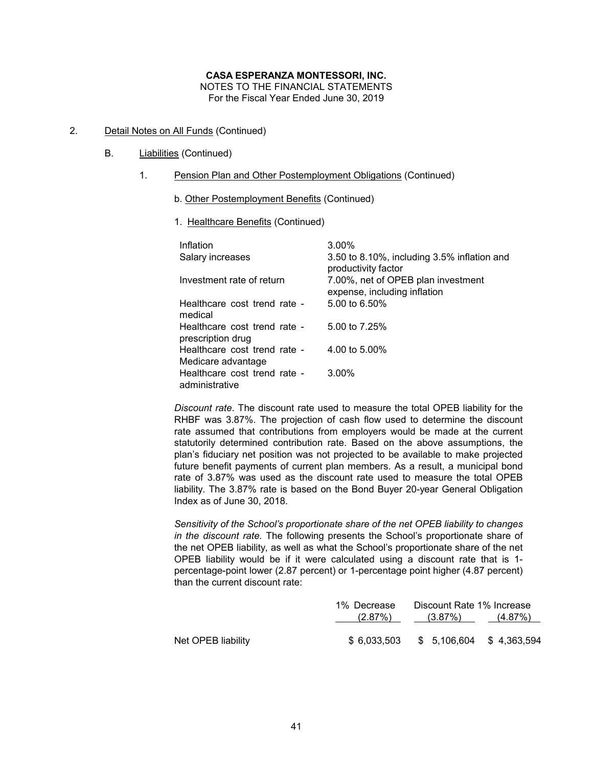- 2. Detail Notes on All Funds (Continued)
	- B. Liabilities (Continued)
		- 1. Pension Plan and Other Postemployment Obligations (Continued)
			- b. Other Postemployment Benefits (Continued)
			- 1. Healthcare Benefits (Continued)

| Inflation                                         | 3.00%                                                              |
|---------------------------------------------------|--------------------------------------------------------------------|
| Salary increases                                  | 3.50 to 8.10%, including 3.5% inflation and<br>productivity factor |
| Investment rate of return                         | 7.00%, net of OPEB plan investment<br>expense, including inflation |
| Healthcare cost trend rate -<br>medical           | 5.00 to 6.50%                                                      |
| Healthcare cost trend rate -<br>prescription drug | 5.00 to 7.25%                                                      |
| Healthcare cost trend rate -                      | 4.00 to 5.00%                                                      |
| Medicare advantage                                |                                                                    |
| Healthcare cost trend rate -<br>administrative    | $3.00\%$                                                           |

*Discount rate*. The discount rate used to measure the total OPEB liability for the RHBF was 3.87%. The projection of cash flow used to determine the discount rate assumed that contributions from employers would be made at the current statutorily determined contribution rate. Based on the above assumptions, the plan's fiduciary net position was not projected to be available to make projected future benefit payments of current plan members. As a result, a municipal bond rate of 3.87% was used as the discount rate used to measure the total OPEB liability. The 3.87% rate is based on the Bond Buyer 20-year General Obligation Index as of June 30, 2018.

*Sensitivity of the School's proportionate share of the net OPEB liability to changes in the discount rate.* The following presents the School's proportionate share of the net OPEB liability, as well as what the School's proportionate share of the net OPEB liability would be if it were calculated using a discount rate that is 1 percentage-point lower (2.87 percent) or 1-percentage point higher (4.87 percent) than the current discount rate:

|                    | 1% Decrease | Discount Rate 1% Increase              |  |  |
|--------------------|-------------|----------------------------------------|--|--|
|                    |             | $(2.87\%)$ $(3.87\%)$ $(4.87\%)$       |  |  |
| Net OPEB liability |             | \$ 6.033.503 \$ 5.106.604 \$ 4.363.594 |  |  |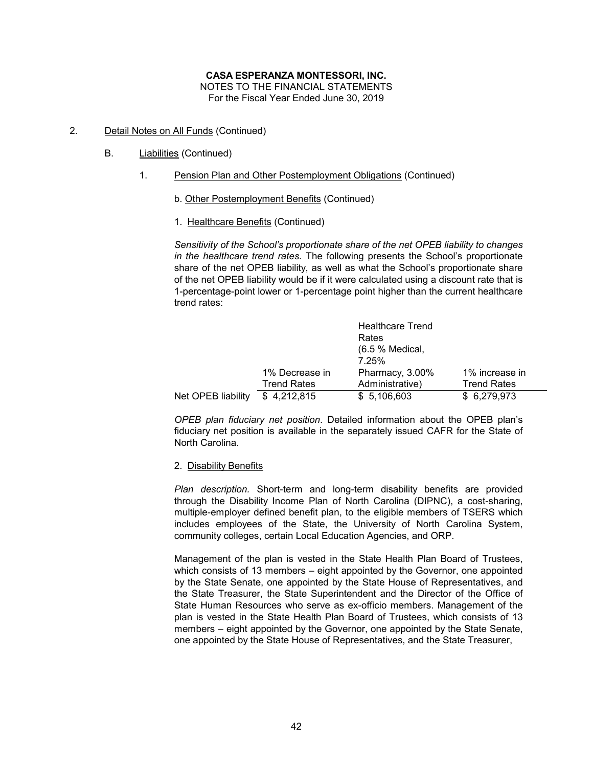#### **CASA ESPERANZA MONTESSORI, INC.** NOTES TO THE FINANCIAL STATEMENTS

For the Fiscal Year Ended June 30, 2019

- 2. Detail Notes on All Funds (Continued)
	- B. Liabilities (Continued)
		- 1. Pension Plan and Other Postemployment Obligations (Continued)
			- b. Other Postemployment Benefits (Continued)
			- 1. Healthcare Benefits (Continued)

*Sensitivity of the School's proportionate share of the net OPEB liability to changes in the healthcare trend rates.* The following presents the School's proportionate share of the net OPEB liability, as well as what the School's proportionate share of the net OPEB liability would be if it were calculated using a discount rate that is 1-percentage-point lower or 1-percentage point higher than the current healthcare trend rates:

|                    |                    | <b>Healthcare Trend</b><br>Rates<br>(6.5 % Medical,<br>7.25% |                    |
|--------------------|--------------------|--------------------------------------------------------------|--------------------|
|                    | 1% Decrease in     | Pharmacy, 3.00%                                              | 1% increase in     |
|                    | <b>Trend Rates</b> | Administrative)                                              | <b>Trend Rates</b> |
| Net OPEB liability | \$4,212,815        | \$5,106,603                                                  | \$6,279,973        |

*OPEB plan fiduciary net position*. Detailed information about the OPEB plan's fiduciary net position is available in the separately issued CAFR for the State of North Carolina.

2. Disability Benefits

*Plan description.* Short-term and long-term disability benefits are provided through the Disability Income Plan of North Carolina (DIPNC), a cost-sharing, multiple-employer defined benefit plan, to the eligible members of TSERS which includes employees of the State, the University of North Carolina System, community colleges, certain Local Education Agencies, and ORP.

Management of the plan is vested in the State Health Plan Board of Trustees, which consists of 13 members – eight appointed by the Governor, one appointed by the State Senate, one appointed by the State House of Representatives, and the State Treasurer, the State Superintendent and the Director of the Office of State Human Resources who serve as ex-officio members. Management of the plan is vested in the State Health Plan Board of Trustees, which consists of 13 members – eight appointed by the Governor, one appointed by the State Senate, one appointed by the State House of Representatives, and the State Treasurer,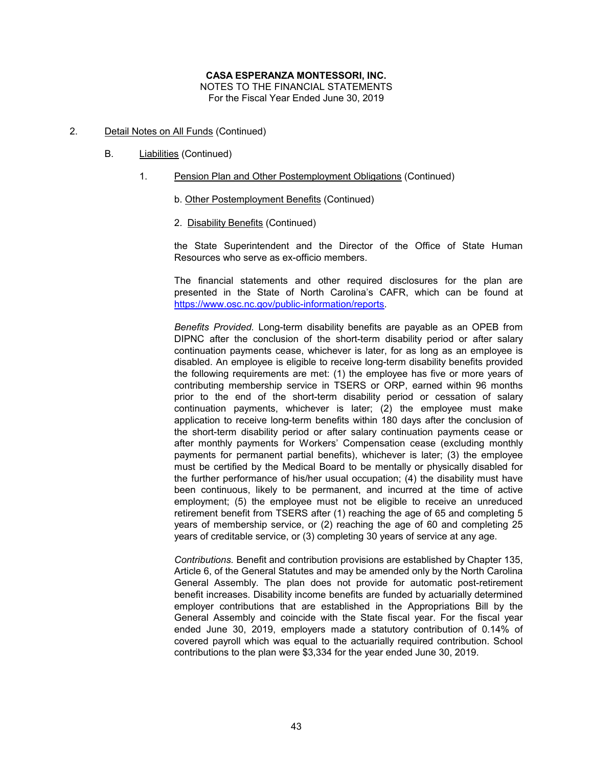- 2. Detail Notes on All Funds (Continued)
	- B. Liabilities (Continued)
		- 1. Pension Plan and Other Postemployment Obligations (Continued)
			- b. Other Postemployment Benefits (Continued)
			- 2. Disability Benefits (Continued)

the State Superintendent and the Director of the Office of State Human Resources who serve as ex-officio members.

The financial statements and other required disclosures for the plan are presented in the State of North Carolina's CAFR, which can be found at https://www.osc.nc.gov/public-information/reports.

*Benefits Provided.* Long-term disability benefits are payable as an OPEB from DIPNC after the conclusion of the short-term disability period or after salary continuation payments cease, whichever is later, for as long as an employee is disabled. An employee is eligible to receive long-term disability benefits provided the following requirements are met: (1) the employee has five or more years of contributing membership service in TSERS or ORP, earned within 96 months prior to the end of the short-term disability period or cessation of salary continuation payments, whichever is later; (2) the employee must make application to receive long-term benefits within 180 days after the conclusion of the short-term disability period or after salary continuation payments cease or after monthly payments for Workers' Compensation cease (excluding monthly payments for permanent partial benefits), whichever is later; (3) the employee must be certified by the Medical Board to be mentally or physically disabled for the further performance of his/her usual occupation; (4) the disability must have been continuous, likely to be permanent, and incurred at the time of active employment; (5) the employee must not be eligible to receive an unreduced retirement benefit from TSERS after (1) reaching the age of 65 and completing 5 years of membership service, or (2) reaching the age of 60 and completing 25 years of creditable service, or (3) completing 30 years of service at any age.

*Contributions.* Benefit and contribution provisions are established by Chapter 135, Article 6, of the General Statutes and may be amended only by the North Carolina General Assembly. The plan does not provide for automatic post-retirement benefit increases. Disability income benefits are funded by actuarially determined employer contributions that are established in the Appropriations Bill by the General Assembly and coincide with the State fiscal year. For the fiscal year ended June 30, 2019, employers made a statutory contribution of 0.14% of covered payroll which was equal to the actuarially required contribution. School contributions to the plan were \$3,334 for the year ended June 30, 2019.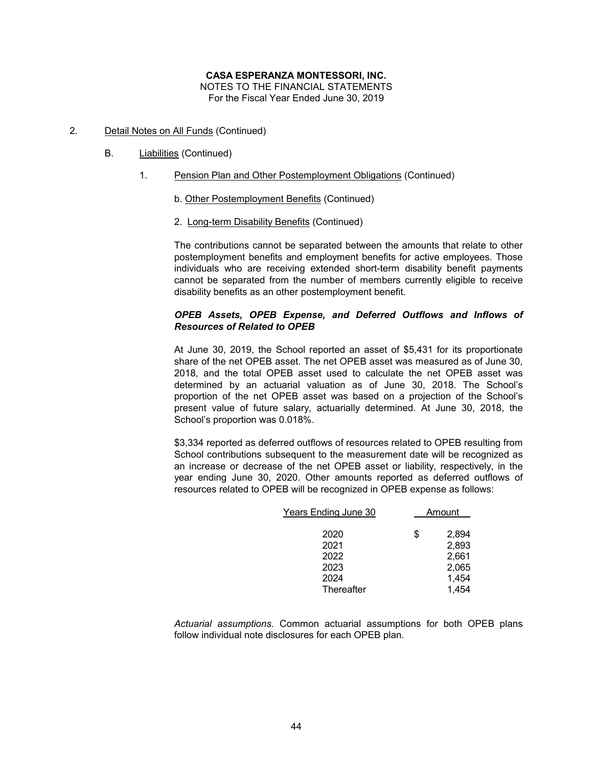- 2. Detail Notes on All Funds (Continued)
	- B. Liabilities (Continued)
		- 1. Pension Plan and Other Postemployment Obligations (Continued)
			- b. Other Postemployment Benefits (Continued)
			- 2. Long-term Disability Benefits (Continued)

The contributions cannot be separated between the amounts that relate to other postemployment benefits and employment benefits for active employees. Those individuals who are receiving extended short-term disability benefit payments cannot be separated from the number of members currently eligible to receive disability benefits as an other postemployment benefit.

# *OPEB Assets, OPEB Expense, and Deferred Outflows and Inflows of Resources of Related to OPEB*

At June 30, 2019, the School reported an asset of \$5,431 for its proportionate share of the net OPEB asset. The net OPEB asset was measured as of June 30, 2018, and the total OPEB asset used to calculate the net OPEB asset was determined by an actuarial valuation as of June 30, 2018. The School's proportion of the net OPEB asset was based on a projection of the School's present value of future salary, actuarially determined. At June 30, 2018, the School's proportion was 0.018%.

\$3,334 reported as deferred outflows of resources related to OPEB resulting from School contributions subsequent to the measurement date will be recognized as an increase or decrease of the net OPEB asset or liability, respectively, in the year ending June 30, 2020. Other amounts reported as deferred outflows of resources related to OPEB will be recognized in OPEB expense as follows:

| Years Ending June 30 | Amount |       |
|----------------------|--------|-------|
| 2020                 | \$     | 2,894 |
| 2021                 |        | 2,893 |
| 2022                 |        | 2,661 |
| 2023                 |        | 2,065 |
| 2024                 |        | 1,454 |
| Thereafter           |        | 1,454 |

*Actuarial assumptions.* Common actuarial assumptions for both OPEB plans follow individual note disclosures for each OPEB plan.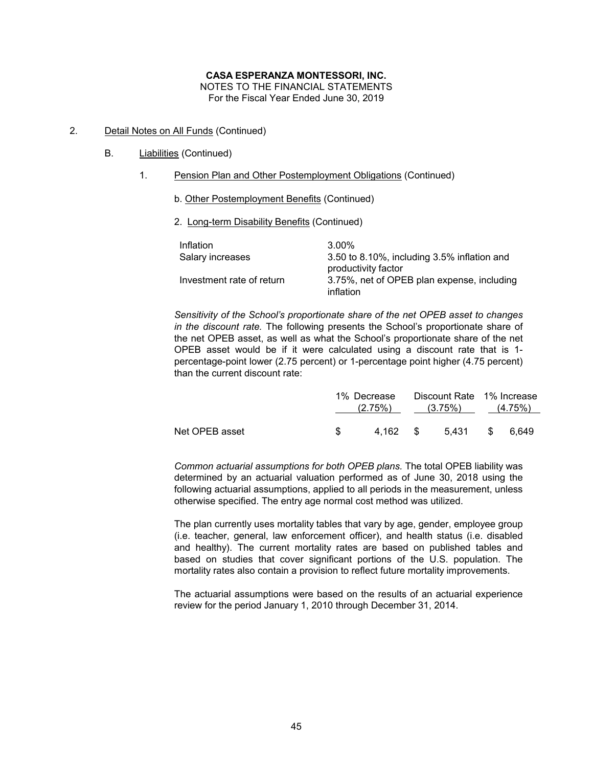- 2. Detail Notes on All Funds (Continued)
	- B. Liabilities (Continued)
		- 1. Pension Plan and Other Postemployment Obligations (Continued)
			- b. Other Postemployment Benefits (Continued)
			- 2. Long-term Disability Benefits (Continued)

| Inflation                 | 3.00%                                                                 |
|---------------------------|-----------------------------------------------------------------------|
| Salary increases          | 3.50 to 8.10%, including $3.5\%$ inflation and<br>productivity factor |
| Investment rate of return | 3.75%, net of OPEB plan expense, including<br>inflation               |

*Sensitivity of the School's proportionate share of the net OPEB asset to changes in the discount rate.* The following presents the School's proportionate share of the net OPEB asset, as well as what the School's proportionate share of the net OPEB asset would be if it were calculated using a discount rate that is 1 percentage-point lower (2.75 percent) or 1-percentage point higher (4.75 percent) than the current discount rate:

|                |               | 1% Decrease<br>$(2.75\%)$ $(3.75\%)$ $(4.75\%)$ | Discount Rate 1% Increase |  |
|----------------|---------------|-------------------------------------------------|---------------------------|--|
| Net OPEB asset | $\mathcal{S}$ |                                                 | 4.162 \$ 5.431 \$ 6.649   |  |

*Common actuarial assumptions for both OPEB plans.* The total OPEB liability was determined by an actuarial valuation performed as of June 30, 2018 using the following actuarial assumptions, applied to all periods in the measurement, unless otherwise specified. The entry age normal cost method was utilized.

The plan currently uses mortality tables that vary by age, gender, employee group (i.e. teacher, general, law enforcement officer), and health status (i.e. disabled and healthy). The current mortality rates are based on published tables and based on studies that cover significant portions of the U.S. population. The mortality rates also contain a provision to reflect future mortality improvements.

The actuarial assumptions were based on the results of an actuarial experience review for the period January 1, 2010 through December 31, 2014.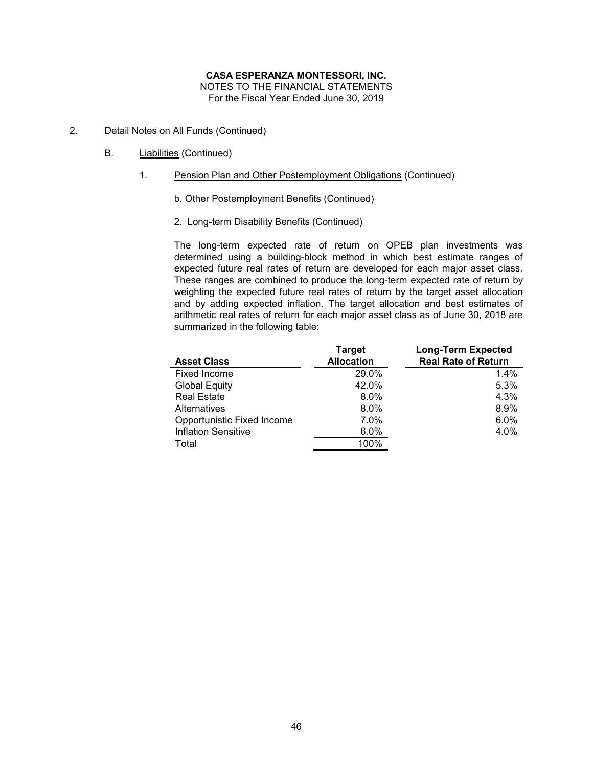- 2. Detail Notes on All Funds (Continued)
	- B. Liabilities (Continued)
		- 1. Pension Plan and Other Postemployment Obligations (Continued)
			- b. Other Postemployment Benefits (Continued)
			- 2. Long-term Disability Benefits (Continued)

The long-term expected rate of return on OPEB plan investments was determined using a building-block method in which best estimate ranges of expected future real rates of return are developed for each major asset class. These ranges are combined to produce the long-term expected rate of return by weighting the expected future real rates of return by the target asset allocation and by adding expected inflation. The target allocation and best estimates of arithmetic real rates of return for each major asset class as of June 30, 2018 are summarized in the following table:

| <b>Asset Class</b>         | <b>Target</b><br><b>Allocation</b> | <b>Long-Term Expected</b><br><b>Real Rate of Return</b> |
|----------------------------|------------------------------------|---------------------------------------------------------|
| Fixed Income               | 29.0%                              | 1.4%                                                    |
| <b>Global Equity</b>       | 42.0%                              | 5.3%                                                    |
| <b>Real Estate</b>         | 8.0%                               | 4.3%                                                    |
| Alternatives               | 8.0%                               | 8.9%                                                    |
| Opportunistic Fixed Income | 7.0%                               | 6.0%                                                    |
| <b>Inflation Sensitive</b> | 6.0%                               | 4.0%                                                    |
| Total                      | 100%                               |                                                         |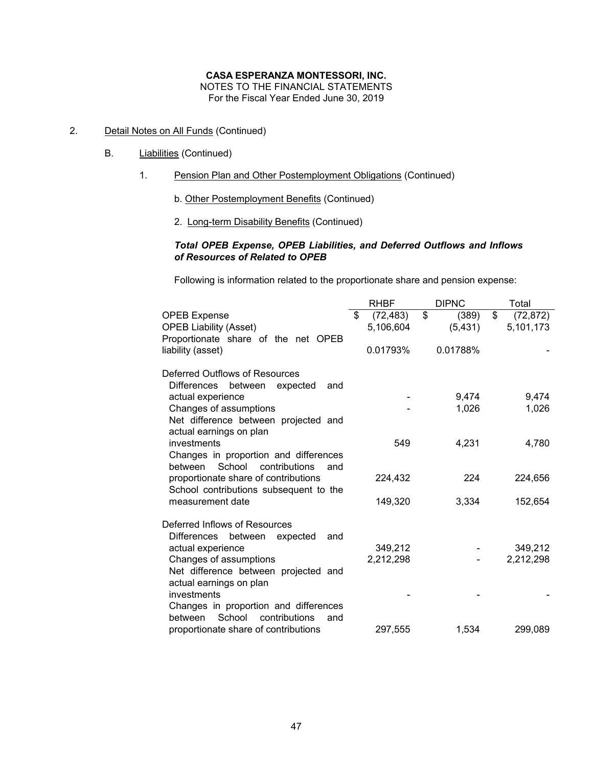NOTES TO THE FINANCIAL STATEMENTS For the Fiscal Year Ended June 30, 2019

- 2. Detail Notes on All Funds (Continued)
	- B. Liabilities (Continued)
		- 1. Pension Plan and Other Postemployment Obligations (Continued)
			- b. Other Postemployment Benefits (Continued)
			- 2. Long-term Disability Benefits (Continued)

# *Total OPEB Expense, OPEB Liabilities, and Deferred Outflows and Inflows of Resources of Related to OPEB*

Following is information related to the proportionate share and pension expense:

|                                           | <b>RHBF</b>     | <b>DIPNC</b> | Total           |
|-------------------------------------------|-----------------|--------------|-----------------|
| <b>OPEB Expense</b>                       | \$<br>(72, 483) | \$<br>(389)  | \$<br>(72, 872) |
| <b>OPEB Liability (Asset)</b>             | 5,106,604       | (5, 431)     | 5,101,173       |
| Proportionate share of the net OPEB       |                 |              |                 |
| liability (asset)                         | 0.01793%        | 0.01788%     |                 |
|                                           |                 |              |                 |
| Deferred Outflows of Resources            |                 |              |                 |
| Differences<br>between<br>expected<br>and |                 |              |                 |
| actual experience                         |                 | 9,474        | 9,474           |
| Changes of assumptions                    |                 | 1,026        | 1,026           |
| Net difference between projected and      |                 |              |                 |
| actual earnings on plan                   |                 |              |                 |
| investments                               | 549             | 4,231        | 4,780           |
| Changes in proportion and differences     |                 |              |                 |
| between<br>School<br>contributions<br>and |                 |              |                 |
| proportionate share of contributions      | 224,432         | 224          | 224,656         |
| School contributions subsequent to the    |                 |              |                 |
| measurement date                          | 149,320         | 3,334        | 152,654         |
|                                           |                 |              |                 |
| Deferred Inflows of Resources             |                 |              |                 |
| Differences<br>between<br>expected<br>and |                 |              |                 |
| actual experience                         | 349,212         |              | 349,212         |
| Changes of assumptions                    | 2,212,298       |              | 2,212,298       |
| Net difference between projected and      |                 |              |                 |
| actual earnings on plan                   |                 |              |                 |
| investments                               |                 |              |                 |
| Changes in proportion and differences     |                 |              |                 |
| School<br>between<br>contributions<br>and |                 |              |                 |
| proportionate share of contributions      | 297,555         | 1,534        | 299,089         |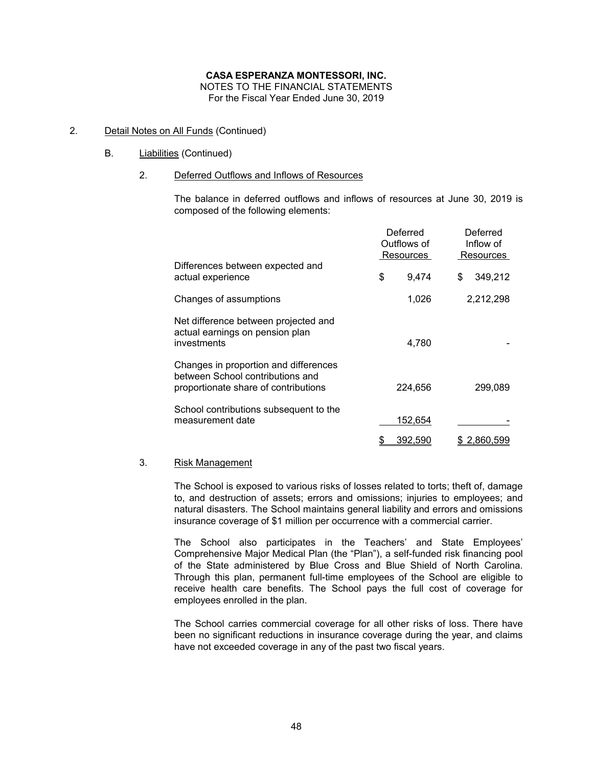# 2. Detail Notes on All Funds (Continued)

# B. Liabilities (Continued)

# 2. Deferred Outflows and Inflows of Resources

The balance in deferred outflows and inflows of resources at June 30, 2019 is composed of the following elements:

|                                                                                                                   | Deferred<br>Outflows of<br>Resources |         |    |           |  | Deferred<br>Inflow of<br>Resources |
|-------------------------------------------------------------------------------------------------------------------|--------------------------------------|---------|----|-----------|--|------------------------------------|
| Differences between expected and<br>actual experience                                                             | \$                                   | 9,474   | \$ | 349,212   |  |                                    |
| Changes of assumptions                                                                                            |                                      | 1,026   |    | 2,212,298 |  |                                    |
| Net difference between projected and<br>actual earnings on pension plan<br>investments                            |                                      | 4,780   |    |           |  |                                    |
| Changes in proportion and differences<br>between School contributions and<br>proportionate share of contributions |                                      | 224,656 |    | 299,089   |  |                                    |
| School contributions subsequent to the<br>measurement date                                                        |                                      | 152,654 |    |           |  |                                    |
|                                                                                                                   | \$                                   | 392,590 |    | 2,860,599 |  |                                    |

### 3. Risk Management

The School is exposed to various risks of losses related to torts; theft of, damage to, and destruction of assets; errors and omissions; injuries to employees; and natural disasters. The School maintains general liability and errors and omissions insurance coverage of \$1 million per occurrence with a commercial carrier.

The School also participates in the Teachers' and State Employees' Comprehensive Major Medical Plan (the "Plan"), a self-funded risk financing pool of the State administered by Blue Cross and Blue Shield of North Carolina. Through this plan, permanent full-time employees of the School are eligible to receive health care benefits. The School pays the full cost of coverage for employees enrolled in the plan.

The School carries commercial coverage for all other risks of loss. There have been no significant reductions in insurance coverage during the year, and claims have not exceeded coverage in any of the past two fiscal years.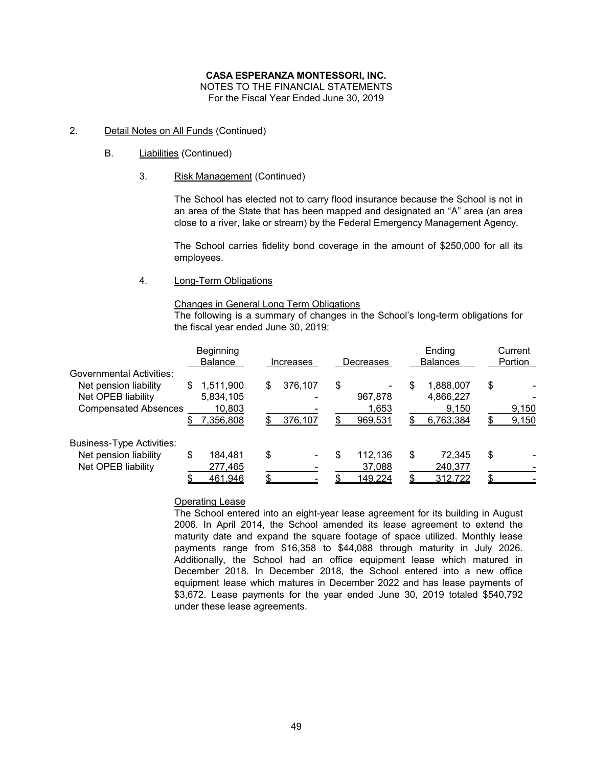NOTES TO THE FINANCIAL STATEMENTS For the Fiscal Year Ended June 30, 2019

- 2. Detail Notes on All Funds (Continued)
	- B. Liabilities (Continued)
		- 3. Risk Management (Continued)

The School has elected not to carry flood insurance because the School is not in an area of the State that has been mapped and designated an "A" area (an area close to a river, lake or stream) by the Federal Emergency Management Agency.

The School carries fidelity bond coverage in the amount of \$250,000 for all its employees.

4. Long-Term Obligations

### Changes in General Long Term Obligations

The following is a summary of changes in the School's long-term obligations for the fiscal year ended June 30, 2019:

|                                  | Beginning<br><b>Balance</b> | Increases     | Decreases    | Ending<br><b>Balances</b> | Current<br>Portion |
|----------------------------------|-----------------------------|---------------|--------------|---------------------------|--------------------|
| Governmental Activities:         |                             |               |              |                           |                    |
| Net pension liability            | S<br>1,511,900              | 376,107<br>\$ | \$           | 1,888,007<br>\$           | \$                 |
| Net OPEB liability               | 5,834,105                   |               | 967.878      | 4,866,227                 |                    |
| <b>Compensated Absences</b>      | 10,803                      |               | 1,653        | 9,150                     | 9,150              |
|                                  | 7,356,808<br>\$             | 376,107       | 969,531      | 6,763,384                 | 9,150              |
| <b>Business-Type Activities:</b> |                             |               |              |                           |                    |
| Net pension liability            | 184.481<br>\$               | \$            | 112,136<br>S | \$<br>72.345              | \$                 |
| Net OPEB liability               | 277,465                     |               | 37,088       | 240,377                   |                    |
|                                  | 461,946                     | ¢             | 149,224      | 312,722                   |                    |

# Operating Lease

The School entered into an eight-year lease agreement for its building in August 2006. In April 2014, the School amended its lease agreement to extend the maturity date and expand the square footage of space utilized. Monthly lease payments range from \$16,358 to \$44,088 through maturity in July 2026. Additionally, the School had an office equipment lease which matured in December 2018. In December 2018, the School entered into a new office equipment lease which matures in December 2022 and has lease payments of \$3,672. Lease payments for the year ended June 30, 2019 totaled \$540,792 under these lease agreements.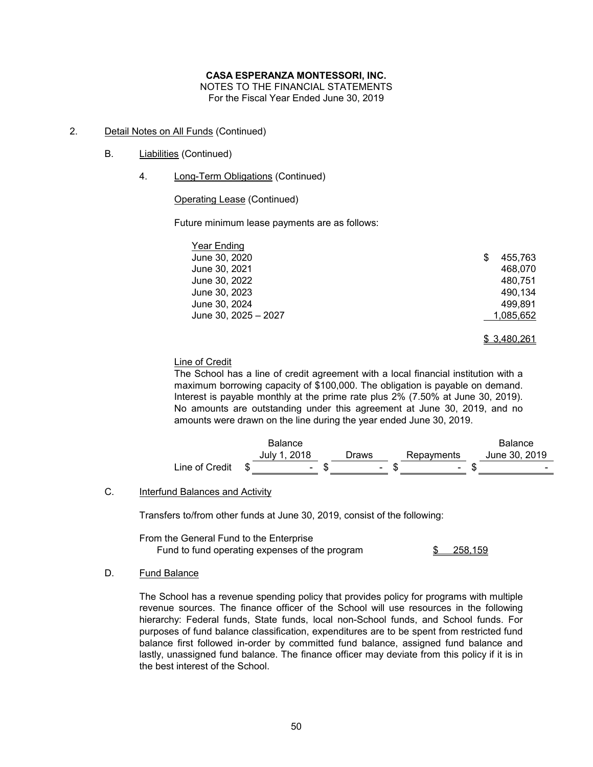NOTES TO THE FINANCIAL STATEMENTS

For the Fiscal Year Ended June 30, 2019

- 2. Detail Notes on All Funds (Continued)
	- B. **Liabilities** (Continued)
		- 4. Long-Term Obligations (Continued)

# Operating Lease (Continued)

Future minimum lease payments are as follows:

| Year Ending          |              |
|----------------------|--------------|
| June 30, 2020        | 455.763<br>S |
| June 30, 2021        | 468.070      |
| June 30, 2022        | 480,751      |
| June 30, 2023        | 490.134      |
| June 30, 2024        | 499.891      |
| June 30, 2025 - 2027 | 1,085,652    |
|                      |              |

### \$ 3,480,261

# Line of Credit

The School has a line of credit agreement with a local financial institution with a maximum borrowing capacity of \$100,000. The obligation is payable on demand. Interest is payable monthly at the prime rate plus 2% (7.50% at June 30, 2019). No amounts are outstanding under this agreement at June 30, 2019, and no amounts were drawn on the line during the year ended June 30, 2019.

|                | <b>Balance</b> |                          |            | <b>Balance</b> |
|----------------|----------------|--------------------------|------------|----------------|
|                | July 1, 2018   | Draws                    | Repayments | June 30, 2019  |
| Line of Credit |                | $\overline{\phantom{0}}$ | ۰          |                |

# C. Interfund Balances and Activity

Transfers to/from other funds at June 30, 2019, consist of the following:

From the General Fund to the Enterprise

Fund to fund operating expenses of the program  $\frac{\$}{\$}$  258,159

### D. Fund Balance

The School has a revenue spending policy that provides policy for programs with multiple revenue sources. The finance officer of the School will use resources in the following hierarchy: Federal funds, State funds, local non-School funds, and School funds. For purposes of fund balance classification, expenditures are to be spent from restricted fund balance first followed in-order by committed fund balance, assigned fund balance and lastly, unassigned fund balance. The finance officer may deviate from this policy if it is in the best interest of the School.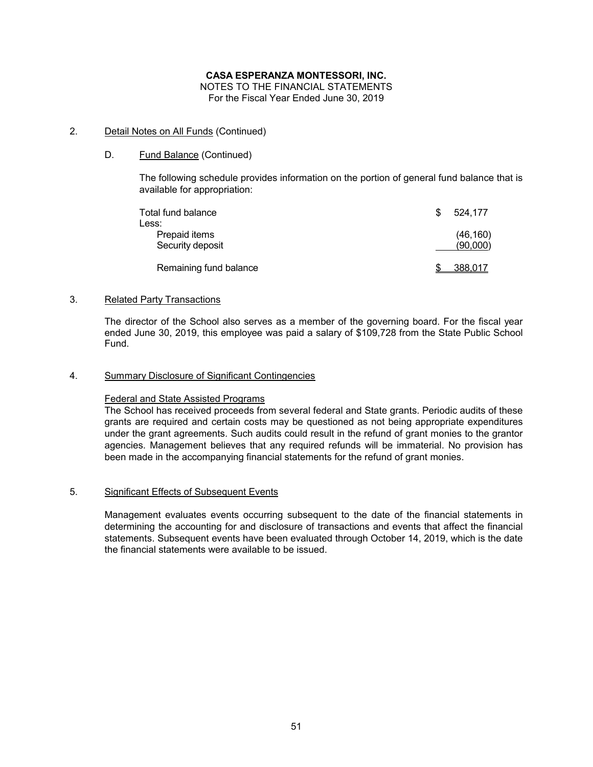# 2. Detail Notes on All Funds (Continued)

# D. Fund Balance (Continued)

The following schedule provides information on the portion of general fund balance that is available for appropriation:

| Total fund balance<br>Less:       | \$. | 524.177               |
|-----------------------------------|-----|-----------------------|
| Prepaid items<br>Security deposit |     | (46, 160)<br>(90,000) |
| Remaining fund balance            |     | 388,017               |

### 3. Related Party Transactions

The director of the School also serves as a member of the governing board. For the fiscal year ended June 30, 2019, this employee was paid a salary of \$109,728 from the State Public School Fund.

### 4. Summary Disclosure of Significant Contingencies

### Federal and State Assisted Programs

The School has received proceeds from several federal and State grants. Periodic audits of these grants are required and certain costs may be questioned as not being appropriate expenditures under the grant agreements. Such audits could result in the refund of grant monies to the grantor agencies. Management believes that any required refunds will be immaterial. No provision has been made in the accompanying financial statements for the refund of grant monies.

### 5. Significant Effects of Subsequent Events

Management evaluates events occurring subsequent to the date of the financial statements in determining the accounting for and disclosure of transactions and events that affect the financial statements. Subsequent events have been evaluated through October 14, 2019, which is the date the financial statements were available to be issued.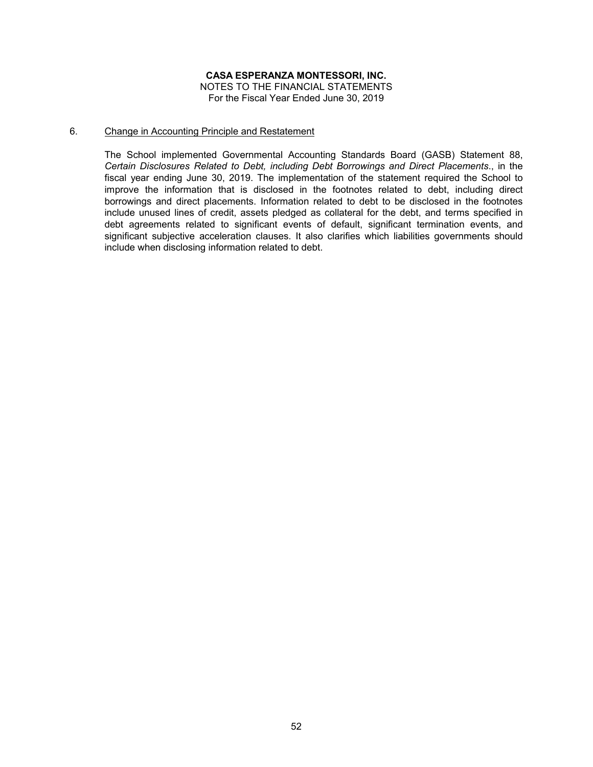### 6. Change in Accounting Principle and Restatement

The School implemented Governmental Accounting Standards Board (GASB) Statement 88, *Certain Disclosures Related to Debt, including Debt Borrowings and Direct Placements*., in the fiscal year ending June 30, 2019. The implementation of the statement required the School to improve the information that is disclosed in the footnotes related to debt, including direct borrowings and direct placements. Information related to debt to be disclosed in the footnotes include unused lines of credit, assets pledged as collateral for the debt, and terms specified in debt agreements related to significant events of default, significant termination events, and significant subjective acceleration clauses. It also clarifies which liabilities governments should include when disclosing information related to debt.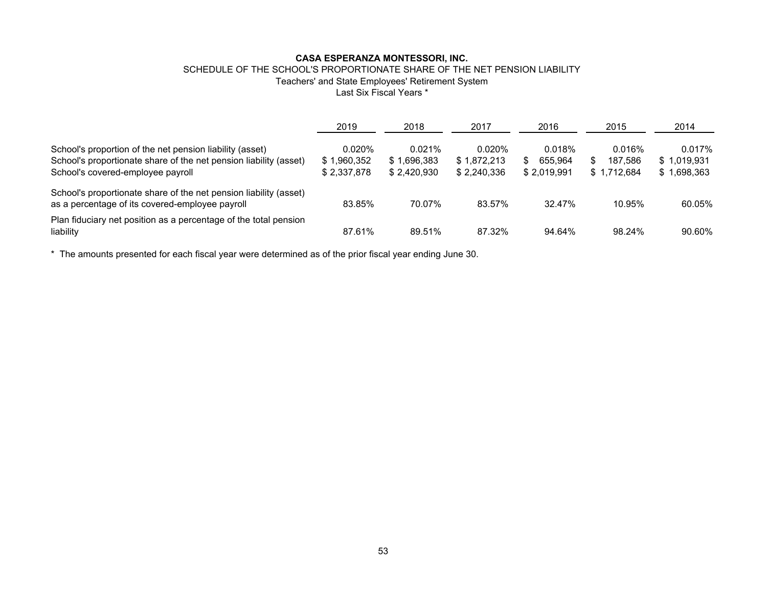### SCHEDULE OF THE SCHOOL'S PROPORTIONATE SHARE OF THE NET PENSION LIABILITY Teachers' and State Employees' Retirement System Last Six Fiscal Years \*

|                                                                                                                                                                    | 2019                                 | 2018                                 | 2017                                    | 2016                                  | 2015                             | 2014                                 |
|--------------------------------------------------------------------------------------------------------------------------------------------------------------------|--------------------------------------|--------------------------------------|-----------------------------------------|---------------------------------------|----------------------------------|--------------------------------------|
| School's proportion of the net pension liability (asset)<br>School's proportionate share of the net pension liability (asset)<br>School's covered-employee payroll | 0.020%<br>\$1,960,352<br>\$2,337,878 | 0.021%<br>\$1.696.383<br>\$2.420.930 | $0.020\%$<br>\$1,872,213<br>\$2,240,336 | 0.018%<br>655.964<br>S<br>\$2,019,991 | 0.016%<br>187.586<br>\$1.712.684 | 0.017%<br>\$1.019.931<br>\$1,698,363 |
| School's proportionate share of the net pension liability (asset)<br>as a percentage of its covered-employee payroll                                               | 83.85%                               | 70.07%                               | 83.57%                                  | 32.47%                                | 10.95%                           | 60.05%                               |
| Plan fiduciary net position as a percentage of the total pension<br>liability                                                                                      | 87.61%                               | 89.51%                               | 87.32%                                  | 94.64%                                | 98.24%                           | 90.60%                               |

\* The amounts presented for each fiscal year were determined as of the prior fiscal year ending June 30.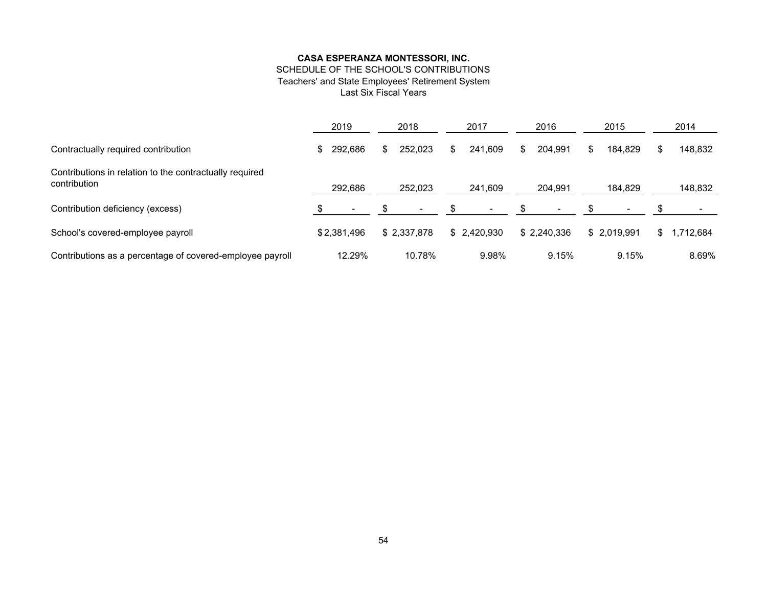# SCHEDULE OF THE SCHOOL'S CONTRIBUTIONS

Teachers' and State Employees' Retirement System

Last Six Fiscal Years

|                                                                         | 2019        |         | 2018 |             | 2017 |             | 2016 |             |     | 2015        | 2014 |          |  |
|-------------------------------------------------------------------------|-------------|---------|------|-------------|------|-------------|------|-------------|-----|-------------|------|----------|--|
| Contractually required contribution                                     | SS.         | 292,686 | \$   | 252.023     | \$.  | 241.609     |      | 204.991     | \$. | 184.829     | S.   | 148,832  |  |
| Contributions in relation to the contractually required<br>contribution |             | 292,686 |      | 252,023     |      | 241,609     |      | 204,991     |     | 184,829     |      | 148,832  |  |
| Contribution deficiency (excess)                                        |             |         |      |             |      |             |      |             |     |             |      |          |  |
| School's covered-employee payroll                                       | \$2,381,496 |         |      | \$2,337,878 |      | \$2,420,930 |      | \$2.240.336 |     | \$2.019.991 | S    | ,712,684 |  |
| Contributions as a percentage of covered-employee payroll               |             | 12.29%  |      | 10.78%      |      | 9.98%       |      | 9.15%       |     | 9.15%       |      | 8.69%    |  |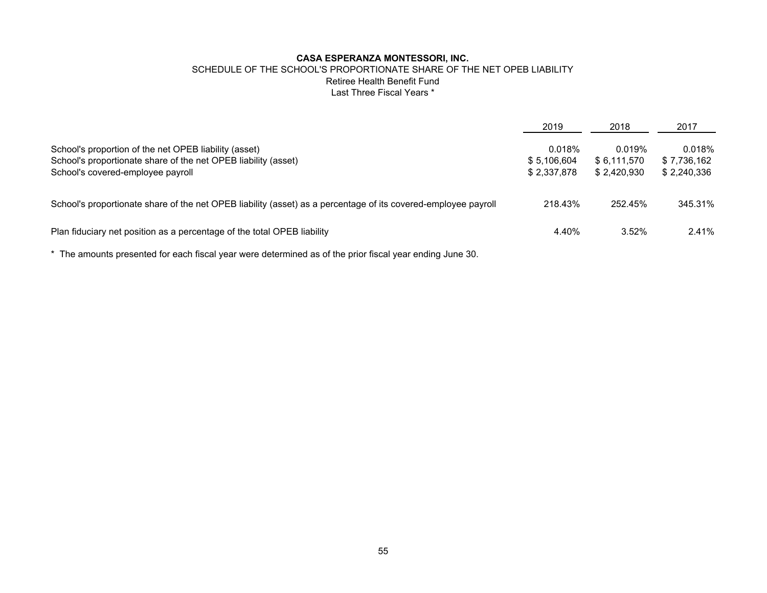### SCHEDULE OF THE SCHOOL'S PROPORTIONATE SHARE OF THE NET OPEB LIABILITY Retiree Health Benefit Fund Last Three Fiscal Years \*

|                                                                                                                                                              | 2019                                 | 2018                                 | 2017                                 |
|--------------------------------------------------------------------------------------------------------------------------------------------------------------|--------------------------------------|--------------------------------------|--------------------------------------|
| School's proportion of the net OPEB liability (asset)<br>School's proportionate share of the net OPEB liability (asset)<br>School's covered-employee payroll | 0.018%<br>\$5,106,604<br>\$2.337.878 | 0.019%<br>\$6,111,570<br>\$2.420.930 | 0.018%<br>\$7,736,162<br>\$2,240,336 |
| School's proportionate share of the net OPEB liability (asset) as a percentage of its covered-employee payroll                                               | 218.43%                              | 252.45%                              | 345.31%                              |
| Plan fiduciary net position as a percentage of the total OPEB liability                                                                                      | 4.40%                                | 3.52%                                | 2.41%                                |

\* The amounts presented for each fiscal year were determined as of the prior fiscal year ending June 30.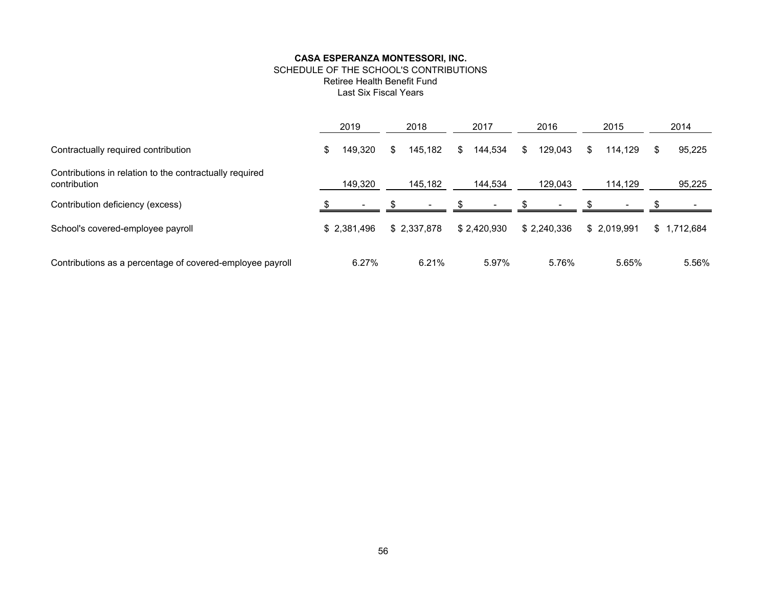### SCHEDULE OF THE SCHOOL'S CONTRIBUTIONS Retiree Health Benefit Fund

Last Six Fiscal Years

|                                                                         | 2019 |             |    | 2018        |    | 2017                     |   | 2016        |     | 2015         |      | 2014        |
|-------------------------------------------------------------------------|------|-------------|----|-------------|----|--------------------------|---|-------------|-----|--------------|------|-------------|
| Contractually required contribution                                     | \$   | 149,320     | S. | 145.182     | \$ | 144,534                  | S | 129,043     | \$. | 114.129      | - \$ | 95,225      |
| Contributions in relation to the contractually required<br>contribution |      | 149,320     |    | 145,182     |    | 144,534                  |   | 129,043     |     | 114,129      |      | 95,225      |
| Contribution deficiency (excess)                                        |      |             |    |             |    | $\overline{\phantom{0}}$ |   |             |     |              |      |             |
| School's covered-employee payroll                                       |      | \$2,381,496 |    | \$2,337,878 |    | \$2,420,930              |   | \$2,240,336 |     | \$ 2.019.991 |      | \$1,712,684 |
| Contributions as a percentage of covered-employee payroll               |      | 6.27%       |    | 6.21%       |    | 5.97%                    |   | 5.76%       |     | 5.65%        |      | 5.56%       |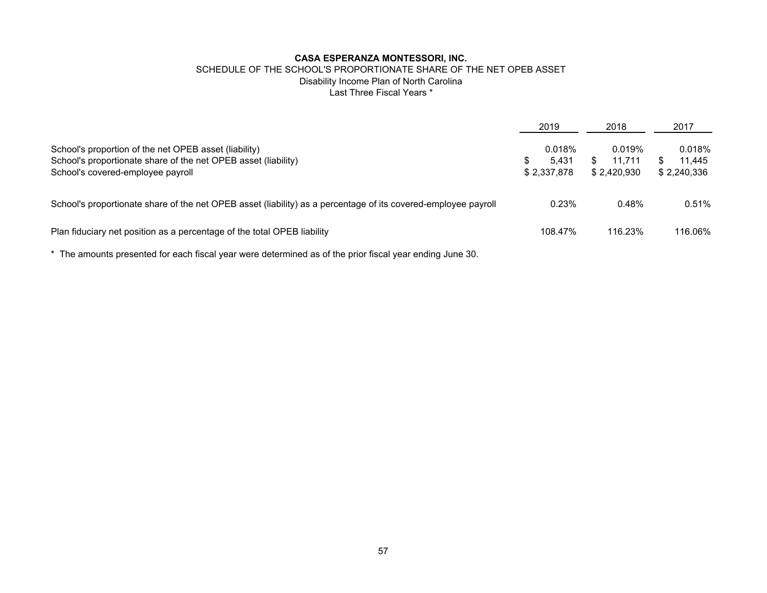# SCHEDULE OF THE SCHOOL'S PROPORTIONATE SHARE OF THE NET OPEB ASSET Disability Income Plan of North Carolina Last Three Fiscal Years \*

|                                                                                                                                                              | 2019               |                 | 2018        |                  | 2017                            |
|--------------------------------------------------------------------------------------------------------------------------------------------------------------|--------------------|-----------------|-------------|------------------|---------------------------------|
| School's proportion of the net OPEB asset (liability)<br>School's proportionate share of the net OPEB asset (liability)<br>School's covered-employee payroll | \$.<br>\$2,337,878 | 0.018%<br>5.431 | \$2.420.930 | 0.019%<br>11.711 | 0.018%<br>11.445<br>\$2,240,336 |
| School's proportionate share of the net OPEB asset (liability) as a percentage of its covered-employee payroll                                               |                    | 0.23%           |             | 0.48%            | 0.51%                           |
| Plan fiduciary net position as a percentage of the total OPEB liability                                                                                      |                    | 108.47%         |             | 116.23%          | 116.06%                         |

\* The amounts presented for each fiscal year were determined as of the prior fiscal year ending June 30.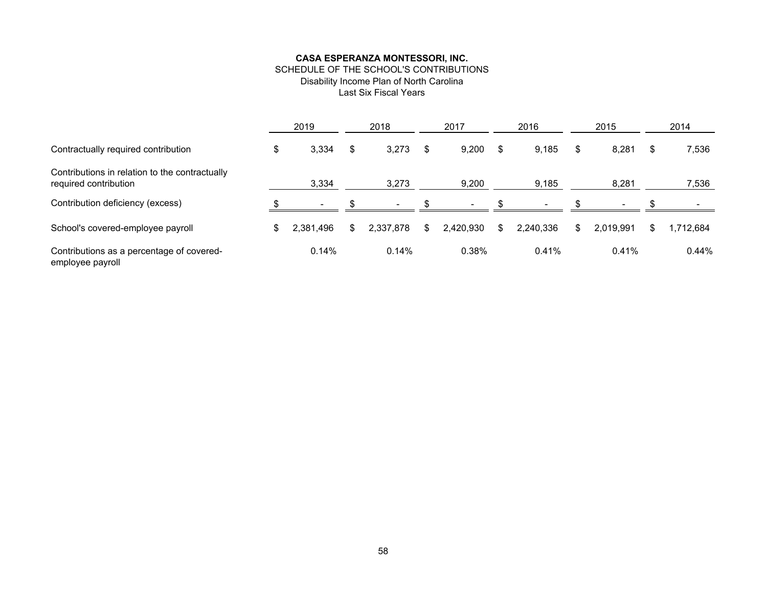# SCHEDULE OF THE SCHOOL'S CONTRIBUTIONS Disability Income Plan of North Carolina Last Six Fiscal Years

|                                                                         | 2019                     |     | 2018      |     | 2017      |    | 2016                     |     | 2015      |    | 2014     |
|-------------------------------------------------------------------------|--------------------------|-----|-----------|-----|-----------|----|--------------------------|-----|-----------|----|----------|
| Contractually required contribution                                     | \$<br>3,334              | S   | 3,273     | S   | 9,200     | \$ | 9,185                    | \$. | 8,281     | S  | 7,536    |
| Contributions in relation to the contractually<br>required contribution | 3,334                    |     | 3,273     |     | 9,200     |    | 9,185                    |     | 8,281     |    | 7,536    |
| Contribution deficiency (excess)                                        | $\overline{\phantom{a}}$ |     |           |     |           |    | $\overline{\phantom{a}}$ |     |           |    |          |
| School's covered-employee payroll                                       | \$<br>2,381,496          | \$. | 2,337,878 | \$. | 2.420.930 | S  | 2.240.336                | \$. | 2,019,991 | \$ | ,712,684 |
| Contributions as a percentage of covered-<br>employee payroll           | 0.14%                    |     | 0.14%     |     | 0.38%     |    | 0.41%                    |     | 0.41%     |    | 0.44%    |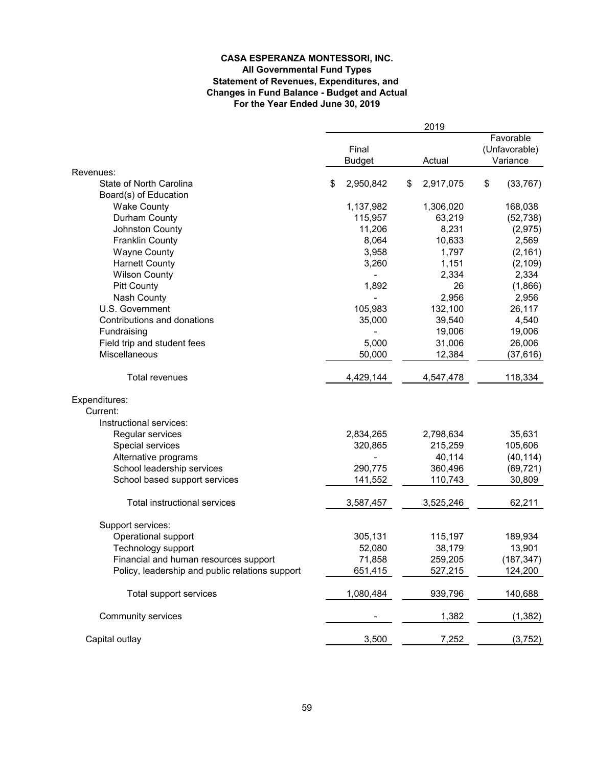### **CASA ESPERANZA MONTESSORI, INC. All Governmental Fund Types Statement of Revenues, Expenditures, and Changes in Fund Balance - Budget and Actual For the Year Ended June 30, 2019**

|                                                 |                                  |           | 2019                                   |    |            |
|-------------------------------------------------|----------------------------------|-----------|----------------------------------------|----|------------|
|                                                 | Final<br><b>Budget</b><br>Actual |           | Favorable<br>(Unfavorable)<br>Variance |    |            |
| Revenues:                                       |                                  |           |                                        |    |            |
| State of North Carolina                         | \$                               | 2,950,842 | \$<br>2,917,075                        | \$ | (33, 767)  |
| Board(s) of Education                           |                                  |           |                                        |    |            |
| <b>Wake County</b>                              |                                  | 1,137,982 | 1,306,020                              |    | 168,038    |
| Durham County                                   |                                  | 115,957   | 63,219                                 |    | (52, 738)  |
| Johnston County                                 |                                  | 11,206    | 8,231                                  |    | (2, 975)   |
| <b>Franklin County</b>                          |                                  | 8,064     | 10,633                                 |    | 2,569      |
| <b>Wayne County</b>                             |                                  | 3,958     | 1,797                                  |    | (2, 161)   |
| <b>Harnett County</b>                           |                                  | 3,260     | 1,151                                  |    | (2, 109)   |
| <b>Wilson County</b>                            |                                  |           | 2,334                                  |    | 2,334      |
| <b>Pitt County</b>                              |                                  | 1,892     | 26                                     |    | (1,866)    |
| Nash County                                     |                                  |           | 2,956                                  |    | 2,956      |
| U.S. Government                                 |                                  | 105,983   | 132,100                                |    | 26,117     |
| Contributions and donations                     |                                  | 35,000    | 39,540                                 |    | 4,540      |
| Fundraising                                     |                                  |           | 19,006                                 |    | 19,006     |
| Field trip and student fees                     |                                  | 5,000     | 31,006                                 |    | 26,006     |
| Miscellaneous                                   |                                  | 50,000    | 12,384                                 |    | (37, 616)  |
| Total revenues                                  |                                  | 4,429,144 | 4,547,478                              |    | 118,334    |
| Expenditures:                                   |                                  |           |                                        |    |            |
| Current:                                        |                                  |           |                                        |    |            |
| Instructional services:                         |                                  |           |                                        |    |            |
| Regular services                                |                                  | 2,834,265 | 2,798,634                              |    | 35,631     |
| Special services                                |                                  | 320,865   | 215,259                                |    | 105,606    |
| Alternative programs                            |                                  |           | 40,114                                 |    | (40, 114)  |
| School leadership services                      |                                  | 290,775   | 360,496                                |    | (69, 721)  |
| School based support services                   |                                  | 141,552   | 110,743                                |    | 30,809     |
| Total instructional services                    |                                  | 3,587,457 | 3,525,246                              |    | 62,211     |
| Support services:                               |                                  |           |                                        |    |            |
| Operational support                             |                                  | 305,131   | 115,197                                |    | 189,934    |
| Technology support                              |                                  | 52,080    | 38,179                                 |    | 13,901     |
| Financial and human resources support           |                                  | 71,858    | 259,205                                |    | (187, 347) |
| Policy, leadership and public relations support |                                  | 651,415   | 527,215                                |    | 124,200    |
| Total support services                          |                                  | 1,080,484 | 939,796                                |    | 140,688    |
| Community services                              |                                  |           | 1,382                                  |    | (1, 382)   |
| Capital outlay                                  |                                  | 3,500     | 7,252                                  |    | (3, 752)   |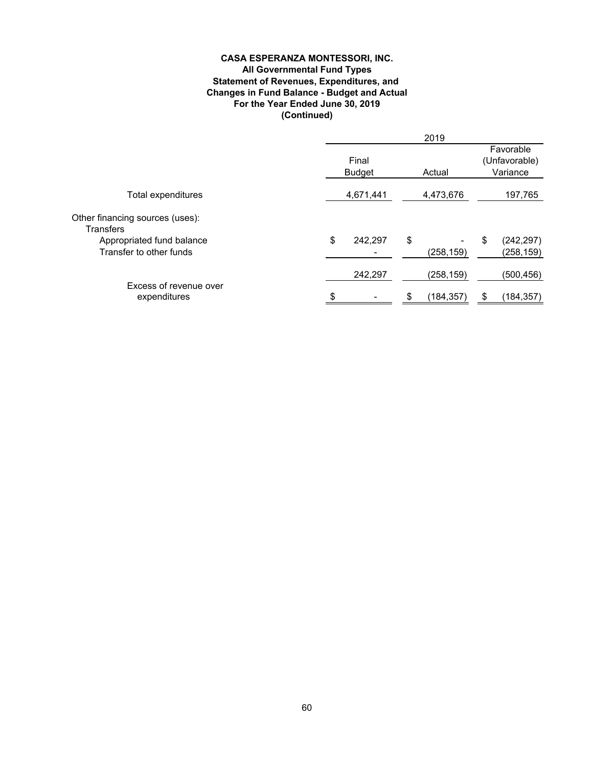### **CASA ESPERANZA MONTESSORI, INC. All Governmental Fund Types** Statement of Revenues, Expenditures, and **Changes in Fund Balance - Budget and Actual For the Year Ended June 30, 2019 (Continued)**

|                                                      |                        |         |           | 2019       |                                        |                          |  |
|------------------------------------------------------|------------------------|---------|-----------|------------|----------------------------------------|--------------------------|--|
|                                                      | Final<br><b>Budget</b> |         |           | Actual     | Favorable<br>(Unfavorable)<br>Variance |                          |  |
| Total expenditures                                   | 4,671,441              |         | 4,473,676 |            | 197,765                                |                          |  |
| Other financing sources (uses):<br><b>Transfers</b>  |                        |         |           |            |                                        |                          |  |
| Appropriated fund balance<br>Transfer to other funds | \$                     | 242,297 | \$        | (258,159)  | \$                                     | (242, 297)<br>(258, 159) |  |
|                                                      |                        | 242,297 |           | (258,159)  |                                        | (500, 456)               |  |
| Excess of revenue over<br>expenditures               |                        |         | æ.        | (184, 357) |                                        | (184, 357)               |  |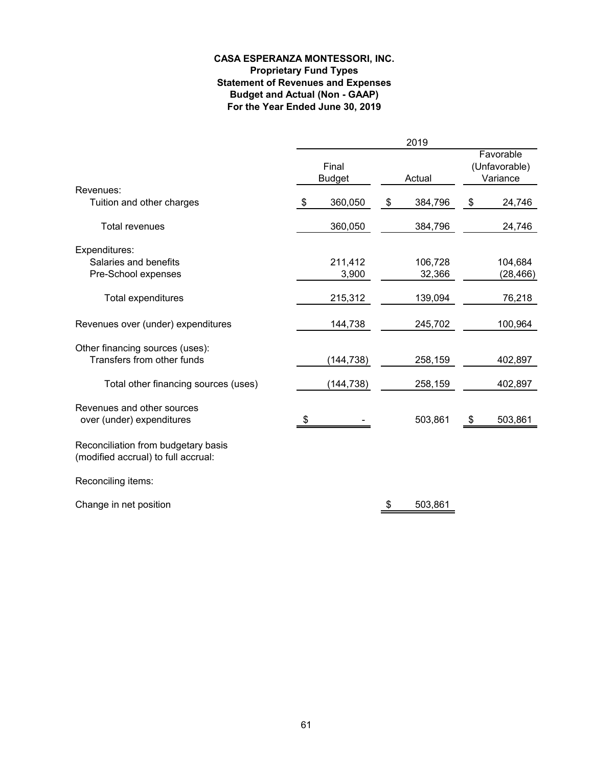# **CASA ESPERANZA MONTESSORI, INC. Proprietary Fund Types Statement of Revenues and Expenses Budget and Actual (Non - GAAP) For the Year Ended June 30, 2019**

|                                                                            |    |                        | 2019          |                                        |           |
|----------------------------------------------------------------------------|----|------------------------|---------------|----------------------------------------|-----------|
|                                                                            |    | Final<br><b>Budget</b> | Actual        | Favorable<br>(Unfavorable)<br>Variance |           |
| Revenues:                                                                  |    |                        |               |                                        |           |
| Tuition and other charges                                                  | \$ | 360,050                | \$<br>384,796 | \$                                     | 24,746    |
| <b>Total revenues</b>                                                      |    | 360,050                | 384,796       |                                        | 24,746    |
| Expenditures:                                                              |    |                        |               |                                        |           |
| Salaries and benefits                                                      |    | 211,412                | 106,728       |                                        | 104,684   |
| Pre-School expenses                                                        |    | 3,900                  | 32,366        |                                        | (28, 466) |
| Total expenditures                                                         |    | 215,312                | 139,094       |                                        | 76,218    |
| Revenues over (under) expenditures                                         |    | 144,738                | 245,702       |                                        | 100,964   |
| Other financing sources (uses):<br>Transfers from other funds              |    | (144, 738)             | 258,159       |                                        | 402,897   |
| Total other financing sources (uses)                                       |    | (144, 738)             | 258,159       |                                        | 402,897   |
| Revenues and other sources<br>over (under) expenditures                    | S  |                        | 503,861       | \$                                     | 503,861   |
| Reconciliation from budgetary basis<br>(modified accrual) to full accrual: |    |                        |               |                                        |           |
| Reconciling items:                                                         |    |                        |               |                                        |           |
| Change in net position                                                     |    |                        | \$<br>503,861 |                                        |           |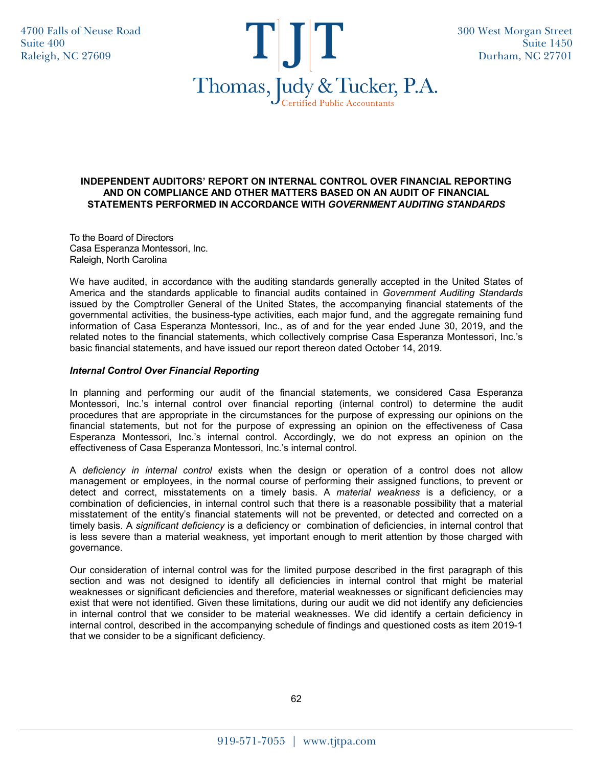4700 Falls of Neuse Road Suite 400 Raleigh, NC 27609



### **INDEPENDENT AUDITORS' REPORT ON INTERNAL CONTROL OVER FINANCIAL REPORTING AND ON COMPLIANCE AND OTHER MATTERS BASED ON AN AUDIT OF FINANCIAL STATEMENTS PERFORMED IN ACCORDANCE WITH** *GOVERNMENT AUDITING STANDARDS*

To the Board of Directors Casa Esperanza Montessori, Inc. Raleigh, North Carolina

We have audited, in accordance with the auditing standards generally accepted in the United States of America and the standards applicable to financial audits contained in *Government Auditing Standards* issued by the Comptroller General of the United States, the accompanying financial statements of the governmental activities, the business-type activities, each major fund, and the aggregate remaining fund information of Casa Esperanza Montessori, Inc., as of and for the year ended June 30, 2019, and the related notes to the financial statements, which collectively comprise Casa Esperanza Montessori, Inc.'s basic financial statements, and have issued our report thereon dated October 14, 2019.

# *Internal Control Over Financial Reporting*

In planning and performing our audit of the financial statements, we considered Casa Esperanza Montessori, Inc.'s internal control over financial reporting (internal control) to determine the audit procedures that are appropriate in the circumstances for the purpose of expressing our opinions on the financial statements, but not for the purpose of expressing an opinion on the effectiveness of Casa Esperanza Montessori, Inc.'s internal control. Accordingly, we do not express an opinion on the effectiveness of Casa Esperanza Montessori, Inc.'s internal control.

A *deficiency in internal control* exists when the design or operation of a control does not allow management or employees, in the normal course of performing their assigned functions, to prevent or detect and correct, misstatements on a timely basis. A *material weakness* is a deficiency, or a combination of deficiencies, in internal control such that there is a reasonable possibility that a material misstatement of the entity's financial statements will not be prevented, or detected and corrected on a timely basis. A *significant deficiency* is a deficiency or combination of deficiencies, in internal control that is less severe than a material weakness, yet important enough to merit attention by those charged with governance.

Our consideration of internal control was for the limited purpose described in the first paragraph of this section and was not designed to identify all deficiencies in internal control that might be material weaknesses or significant deficiencies and therefore, material weaknesses or significant deficiencies may exist that were not identified. Given these limitations, during our audit we did not identify any deficiencies in internal control that we consider to be material weaknesses. We did identify a certain deficiency in internal control, described in the accompanying schedule of findings and questioned costs as item 2019-1 that we consider to be a significant deficiency.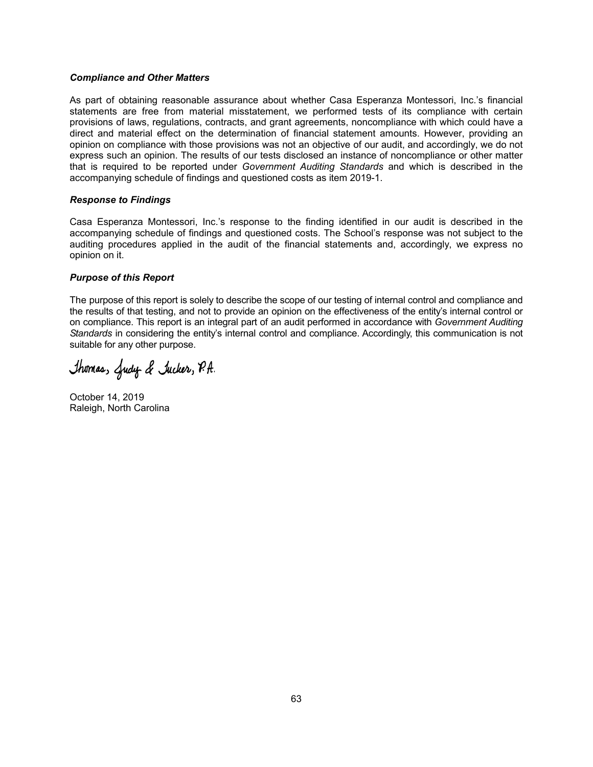### *Compliance and Other Matters*

As part of obtaining reasonable assurance about whether Casa Esperanza Montessori, Inc.'s financial statements are free from material misstatement, we performed tests of its compliance with certain provisions of laws, regulations, contracts, and grant agreements, noncompliance with which could have a direct and material effect on the determination of financial statement amounts. However, providing an opinion on compliance with those provisions was not an objective of our audit, and accordingly, we do not express such an opinion. The results of our tests disclosed an instance of noncompliance or other matter that is required to be reported under *Government Auditing Standards* and which is described in the accompanying schedule of findings and questioned costs as item 2019-1.

### *Response to Findings*

Casa Esperanza Montessori, Inc.'s response to the finding identified in our audit is described in the accompanying schedule of findings and questioned costs. The School's response was not subject to the auditing procedures applied in the audit of the financial statements and, accordingly, we express no opinion on it.

### *Purpose of this Report*

The purpose of this report is solely to describe the scope of our testing of internal control and compliance and the results of that testing, and not to provide an opinion on the effectiveness of the entity's internal control or on compliance. This report is an integral part of an audit performed in accordance with *Government Auditing Standards* in considering the entity's internal control and compliance. Accordingly, this communication is not suitable for any other purpose.

Thomas, Gudy & Jucker, P.A.

October 14, 2019 Raleigh, North Carolina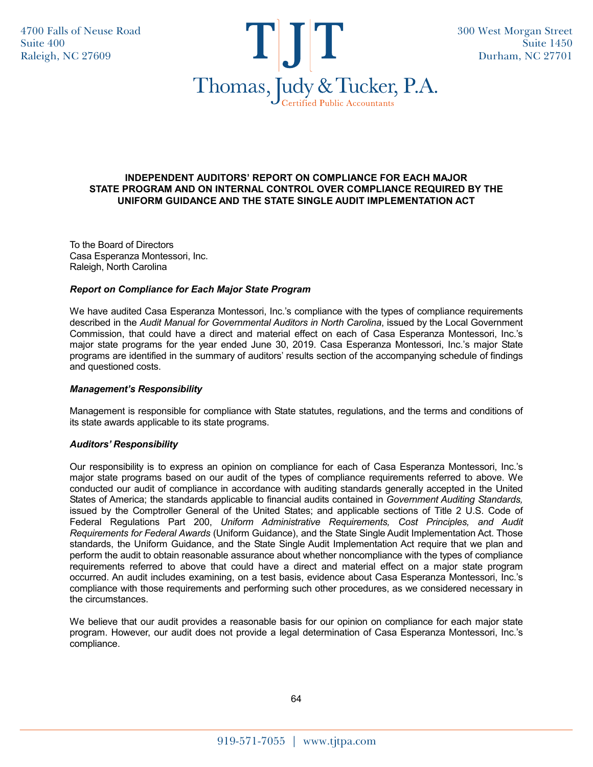4700 Falls of Neuse Road Suite 400 Raleigh, NC 27609



### **INDEPENDENT AUDITORS' REPORT ON COMPLIANCE FOR EACH MAJOR STATE PROGRAM AND ON INTERNAL CONTROL OVER COMPLIANCE REQUIRED BY THE UNIFORM GUIDANCE AND THE STATE SINGLE AUDIT IMPLEMENTATION ACT**

To the Board of Directors Casa Esperanza Montessori, Inc. Raleigh, North Carolina

### *Report on Compliance for Each Major State Program*

We have audited Casa Esperanza Montessori, Inc.'s compliance with the types of compliance requirements described in the *Audit Manual for Governmental Auditors in North Carolina*, issued by the Local Government Commission, that could have a direct and material effect on each of Casa Esperanza Montessori, Inc.'s major state programs for the year ended June 30, 2019. Casa Esperanza Montessori, Inc.'s major State programs are identified in the summary of auditors' results section of the accompanying schedule of findings and questioned costs.

### *Management's Responsibility*

Management is responsible for compliance with State statutes, regulations, and the terms and conditions of its state awards applicable to its state programs.

### *Auditors' Responsibility*

Our responsibility is to express an opinion on compliance for each of Casa Esperanza Montessori, Inc.'s major state programs based on our audit of the types of compliance requirements referred to above. We conducted our audit of compliance in accordance with auditing standards generally accepted in the United States of America; the standards applicable to financial audits contained in *Government Auditing Standards,* issued by the Comptroller General of the United States; and applicable sections of Title 2 U.S. Code of Federal Regulations Part 200, *Uniform Administrative Requirements, Cost Principles, and Audit Requirements for Federal Awards* (Uniform Guidance), and the State Single Audit Implementation Act. Those standards, the Uniform Guidance, and the State Single Audit Implementation Act require that we plan and perform the audit to obtain reasonable assurance about whether noncompliance with the types of compliance requirements referred to above that could have a direct and material effect on a major state program occurred. An audit includes examining, on a test basis, evidence about Casa Esperanza Montessori, Inc.'s compliance with those requirements and performing such other procedures, as we considered necessary in the circumstances.

We believe that our audit provides a reasonable basis for our opinion on compliance for each major state program. However, our audit does not provide a legal determination of Casa Esperanza Montessori, Inc.'s compliance.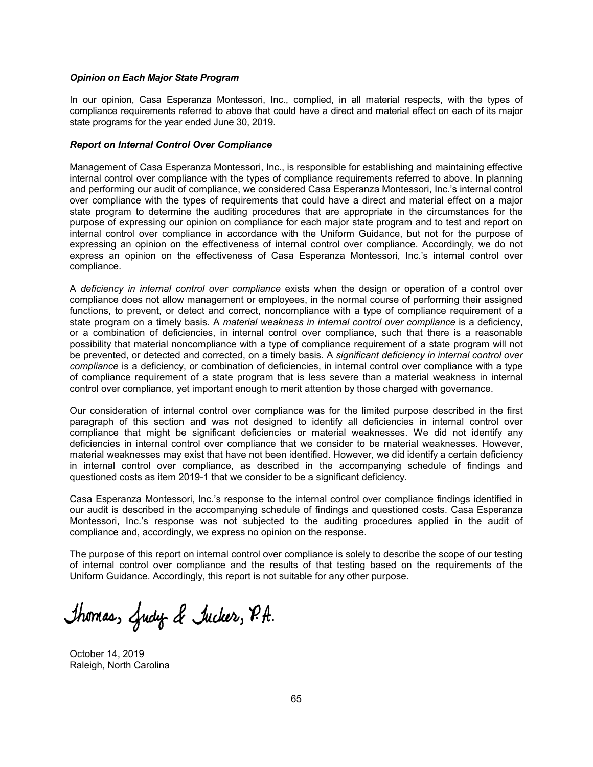#### *Opinion on Each Major State Program*

In our opinion, Casa Esperanza Montessori, Inc., complied, in all material respects, with the types of compliance requirements referred to above that could have a direct and material effect on each of its major state programs for the year ended June 30, 2019.

#### *Report on Internal Control Over Compliance*

Management of Casa Esperanza Montessori, Inc., is responsible for establishing and maintaining effective internal control over compliance with the types of compliance requirements referred to above. In planning and performing our audit of compliance, we considered Casa Esperanza Montessori, Inc.'s internal control over compliance with the types of requirements that could have a direct and material effect on a major state program to determine the auditing procedures that are appropriate in the circumstances for the purpose of expressing our opinion on compliance for each major state program and to test and report on internal control over compliance in accordance with the Uniform Guidance, but not for the purpose of expressing an opinion on the effectiveness of internal control over compliance. Accordingly, we do not express an opinion on the effectiveness of Casa Esperanza Montessori, Inc.'s internal control over compliance.

A *deficiency in internal control over compliance* exists when the design or operation of a control over compliance does not allow management or employees, in the normal course of performing their assigned functions, to prevent, or detect and correct, noncompliance with a type of compliance requirement of a state program on a timely basis. A *material weakness in internal control over compliance* is a deficiency, or a combination of deficiencies, in internal control over compliance, such that there is a reasonable possibility that material noncompliance with a type of compliance requirement of a state program will not be prevented, or detected and corrected, on a timely basis. A *significant deficiency in internal control over compliance* is a deficiency, or combination of deficiencies, in internal control over compliance with a type of compliance requirement of a state program that is less severe than a material weakness in internal control over compliance, yet important enough to merit attention by those charged with governance.

Our consideration of internal control over compliance was for the limited purpose described in the first paragraph of this section and was not designed to identify all deficiencies in internal control over compliance that might be significant deficiencies or material weaknesses. We did not identify any deficiencies in internal control over compliance that we consider to be material weaknesses. However, material weaknesses may exist that have not been identified. However, we did identify a certain deficiency in internal control over compliance, as described in the accompanying schedule of findings and questioned costs as item 2019-1 that we consider to be a significant deficiency.

Casa Esperanza Montessori, Inc.'s response to the internal control over compliance findings identified in our audit is described in the accompanying schedule of findings and questioned costs. Casa Esperanza Montessori, Inc.'s response was not subjected to the auditing procedures applied in the audit of compliance and, accordingly, we express no opinion on the response.

The purpose of this report on internal control over compliance is solely to describe the scope of our testing of internal control over compliance and the results of that testing based on the requirements of the Uniform Guidance. Accordingly, this report is not suitable for any other purpose.

Thomas, Gudy & Jucker, P.A.

October 14, 2019 Raleigh, North Carolina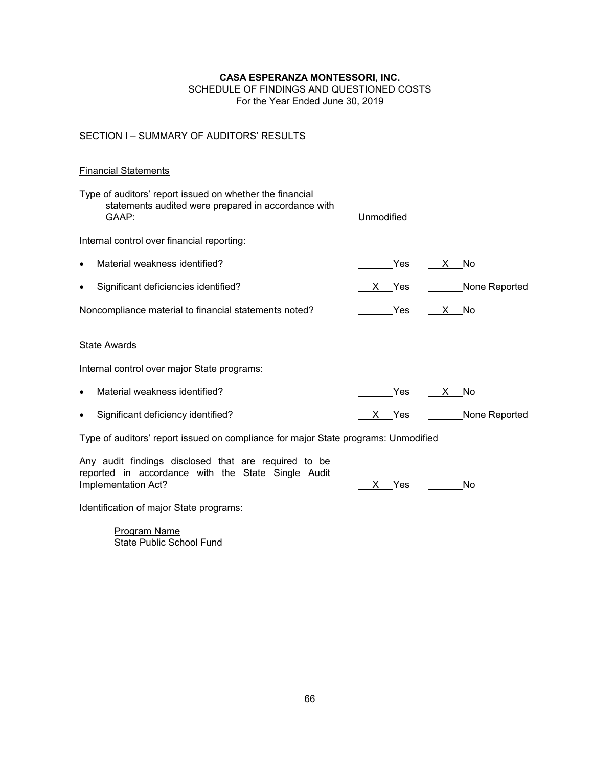# SCHEDULE OF FINDINGS AND QUESTIONED COSTS For the Year Ended June 30, 2019

# SECTION I - SUMMARY OF AUDITORS' RESULTS

# Financial Statements

| Type of auditors' report issued on whether the financial<br>statements audited were prepared in accordance with<br>GAAP:          | Unmodified |               |               |  |  |  |  |
|-----------------------------------------------------------------------------------------------------------------------------------|------------|---------------|---------------|--|--|--|--|
| Internal control over financial reporting:                                                                                        |            |               |               |  |  |  |  |
| Material weakness identified?<br>$\bullet$                                                                                        | Yes        | X.<br>No.     |               |  |  |  |  |
| Significant deficiencies identified?<br>$\bullet$                                                                                 | X Yes      |               | None Reported |  |  |  |  |
| Noncompliance material to financial statements noted?                                                                             | Yes        | X No          |               |  |  |  |  |
| <b>State Awards</b>                                                                                                               |            |               |               |  |  |  |  |
| Internal control over major State programs:                                                                                       |            |               |               |  |  |  |  |
| Material weakness identified?<br>$\bullet$                                                                                        | Yes        | No.<br>X —    |               |  |  |  |  |
| Significant deficiency identified?<br>$\bullet$                                                                                   | X Yes      | None Reported |               |  |  |  |  |
| Type of auditors' report issued on compliance for major State programs: Unmodified                                                |            |               |               |  |  |  |  |
| Any audit findings disclosed that are required to be<br>reported in accordance with the State Single Audit<br>Implementation Act? | Yes        | No            |               |  |  |  |  |
| Identification of major State programs:                                                                                           |            |               |               |  |  |  |  |

Program Name State Public School Fund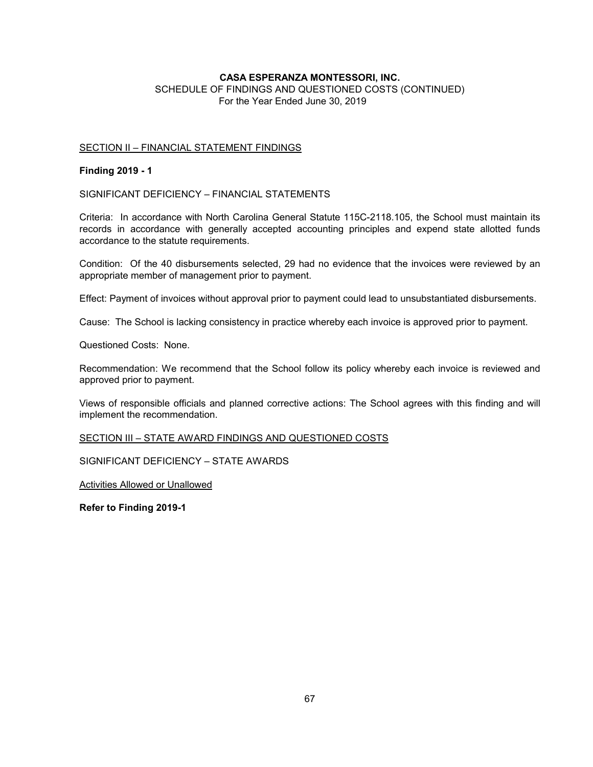SCHEDULE OF FINDINGS AND QUESTIONED COSTS (CONTINUED) For the Year Ended June 30, 2019

### SECTION II – FINANCIAL STATEMENT FINDINGS

### **Finding 2019 - 1**

SIGNIFICANT DEFICIENCY – FINANCIAL STATEMENTS

Criteria: In accordance with North Carolina General Statute 115C-2118.105, the School must maintain its records in accordance with generally accepted accounting principles and expend state allotted funds accordance to the statute requirements.

Condition: Of the 40 disbursements selected, 29 had no evidence that the invoices were reviewed by an appropriate member of management prior to payment.

Effect: Payment of invoices without approval prior to payment could lead to unsubstantiated disbursements.

Cause: The School is lacking consistency in practice whereby each invoice is approved prior to payment.

Questioned Costs: None.

Recommendation: We recommend that the School follow its policy whereby each invoice is reviewed and approved prior to payment.

Views of responsible officials and planned corrective actions: The School agrees with this finding and will implement the recommendation.

SECTION III – STATE AWARD FINDINGS AND QUESTIONED COSTS

SIGNIFICANT DEFICIENCY – STATE AWARDS

Activities Allowed or Unallowed

**Refer to Finding 2019-1**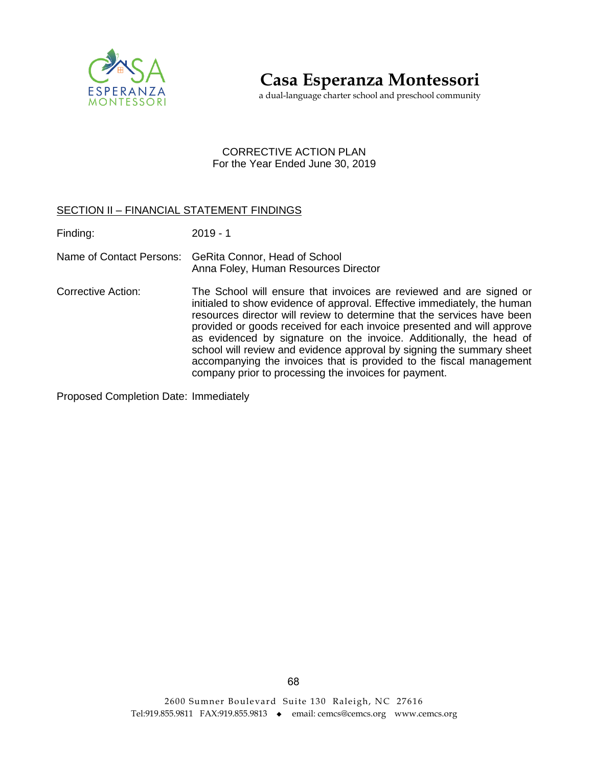

**Casa Esperanza Montessori**

a dual-language charter school and preschool community

# CORRECTIVE ACTION PLAN For the Year Ended June 30, 2019

# SECTION II – FINANCIAL STATEMENT FINDINGS

Finding: 2019 - 1

- Name of Contact Persons: GeRita Connor, Head of School Anna Foley, Human Resources Director
- Corrective Action: The School will ensure that invoices are reviewed and are signed or initialed to show evidence of approval. Effective immediately, the human resources director will review to determine that the services have been provided or goods received for each invoice presented and will approve as evidenced by signature on the invoice. Additionally, the head of school will review and evidence approval by signing the summary sheet accompanying the invoices that is provided to the fiscal management company prior to processing the invoices for payment.

Proposed Completion Date: Immediately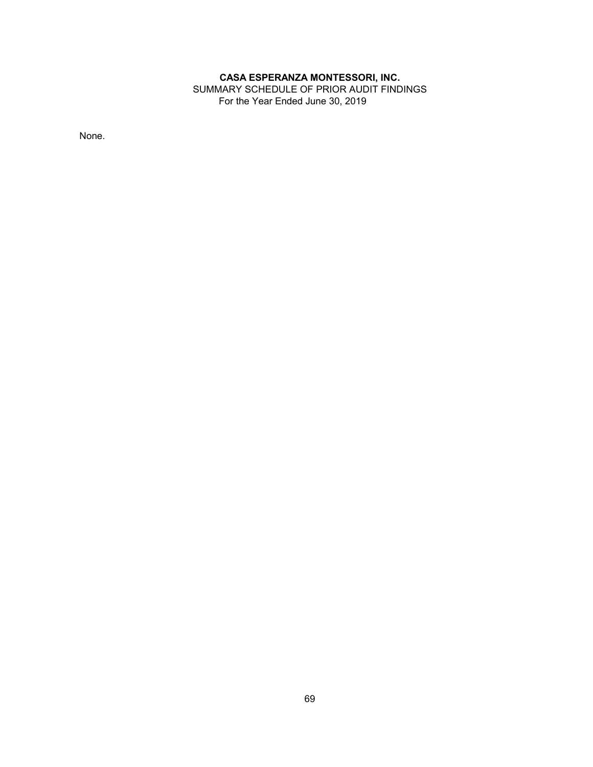SUMMARY SCHEDULE OF PRIOR AUDIT FINDINGS For the Year Ended June 30, 2019

None.